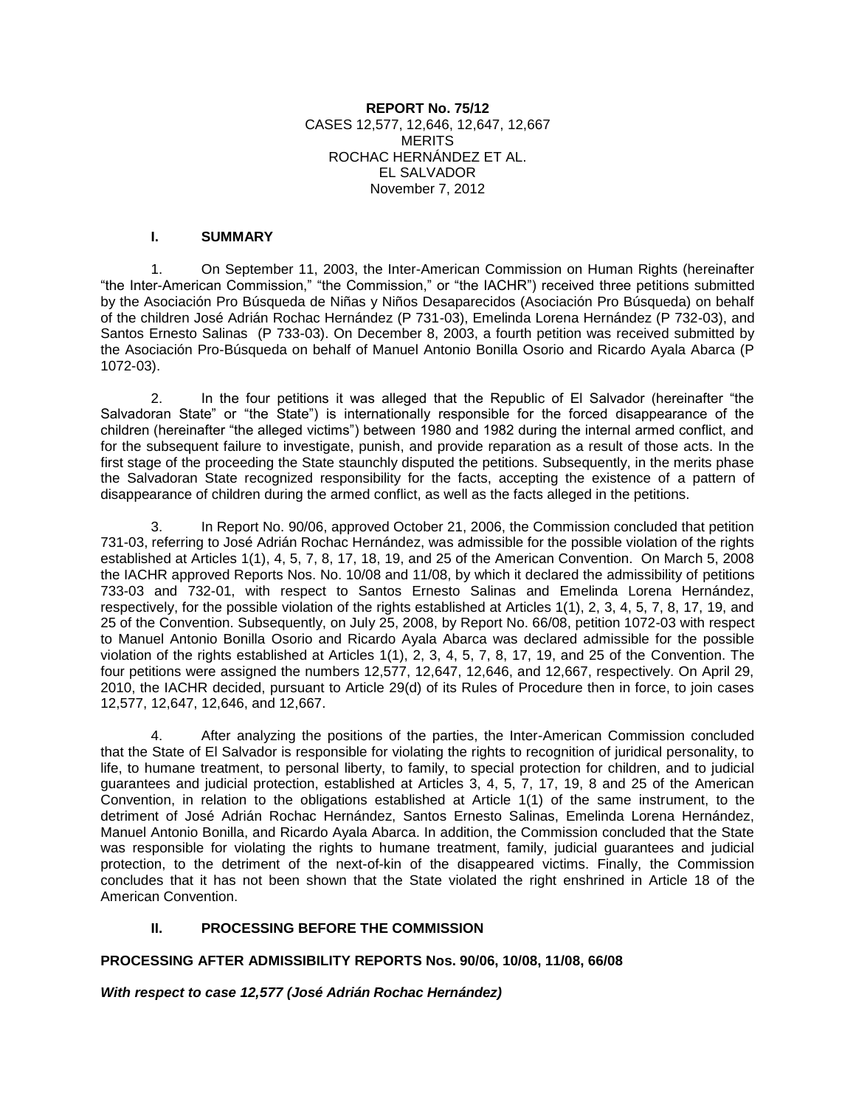**REPORT No. 75/12** CASES 12,577, 12,646, 12,647, 12,667 **MERITS** ROCHAC HERNÁNDEZ ET AL. EL SALVADOR November 7, 2012

## **I. SUMMARY**

1. On September 11, 2003, the Inter-American Commission on Human Rights (hereinafter "the Inter-American Commission," "the Commission," or "the IACHR") received three petitions submitted by the Asociación Pro Búsqueda de Niñas y Niños Desaparecidos (Asociación Pro Búsqueda) on behalf of the children José Adrián Rochac Hernández (P 731-03), Emelinda Lorena Hernández (P 732-03), and Santos Ernesto Salinas (P 733-03). On December 8, 2003, a fourth petition was received submitted by the Asociación Pro-Búsqueda on behalf of Manuel Antonio Bonilla Osorio and Ricardo Ayala Abarca (P 1072-03).

2. In the four petitions it was alleged that the Republic of El Salvador (hereinafter "the Salvadoran State" or "the State") is internationally responsible for the forced disappearance of the children (hereinafter "the alleged victims") between 1980 and 1982 during the internal armed conflict, and for the subsequent failure to investigate, punish, and provide reparation as a result of those acts. In the first stage of the proceeding the State staunchly disputed the petitions. Subsequently, in the merits phase the Salvadoran State recognized responsibility for the facts, accepting the existence of a pattern of disappearance of children during the armed conflict, as well as the facts alleged in the petitions.

In Report No. 90/06, approved October 21, 2006, the Commission concluded that petition 731-03, referring to José Adrián Rochac Hernández, was admissible for the possible violation of the rights established at Articles 1(1), 4, 5, 7, 8, 17, 18, 19, and 25 of the American Convention. On March 5, 2008 the IACHR approved Reports Nos. No. 10/08 and 11/08, by which it declared the admissibility of petitions 733-03 and 732-01, with respect to Santos Ernesto Salinas and Emelinda Lorena Hernández, respectively, for the possible violation of the rights established at Articles 1(1), 2, 3, 4, 5, 7, 8, 17, 19, and 25 of the Convention. Subsequently, on July 25, 2008, by Report No. 66/08, petition 1072-03 with respect to Manuel Antonio Bonilla Osorio and Ricardo Ayala Abarca was declared admissible for the possible violation of the rights established at Articles 1(1), 2, 3, 4, 5, 7, 8, 17, 19, and 25 of the Convention. The four petitions were assigned the numbers 12,577, 12,647, 12,646, and 12,667, respectively. On April 29, 2010, the IACHR decided, pursuant to Article 29(d) of its Rules of Procedure then in force, to join cases 12,577, 12,647, 12,646, and 12,667.

4. After analyzing the positions of the parties, the Inter-American Commission concluded that the State of El Salvador is responsible for violating the rights to recognition of juridical personality, to life, to humane treatment, to personal liberty, to family, to special protection for children, and to judicial guarantees and judicial protection, established at Articles 3, 4, 5, 7, 17, 19, 8 and 25 of the American Convention, in relation to the obligations established at Article 1(1) of the same instrument, to the detriment of José Adrián Rochac Hernández, Santos Ernesto Salinas, Emelinda Lorena Hernández, Manuel Antonio Bonilla, and Ricardo Ayala Abarca. In addition, the Commission concluded that the State was responsible for violating the rights to humane treatment, family, judicial guarantees and judicial protection, to the detriment of the next-of-kin of the disappeared victims. Finally, the Commission concludes that it has not been shown that the State violated the right enshrined in Article 18 of the American Convention.

## **II. PROCESSING BEFORE THE COMMISSION**

## **PROCESSING AFTER ADMISSIBILITY REPORTS Nos. 90/06, 10/08, 11/08, 66/08**

*With respect to case 12,577 (José Adrián Rochac Hernández)*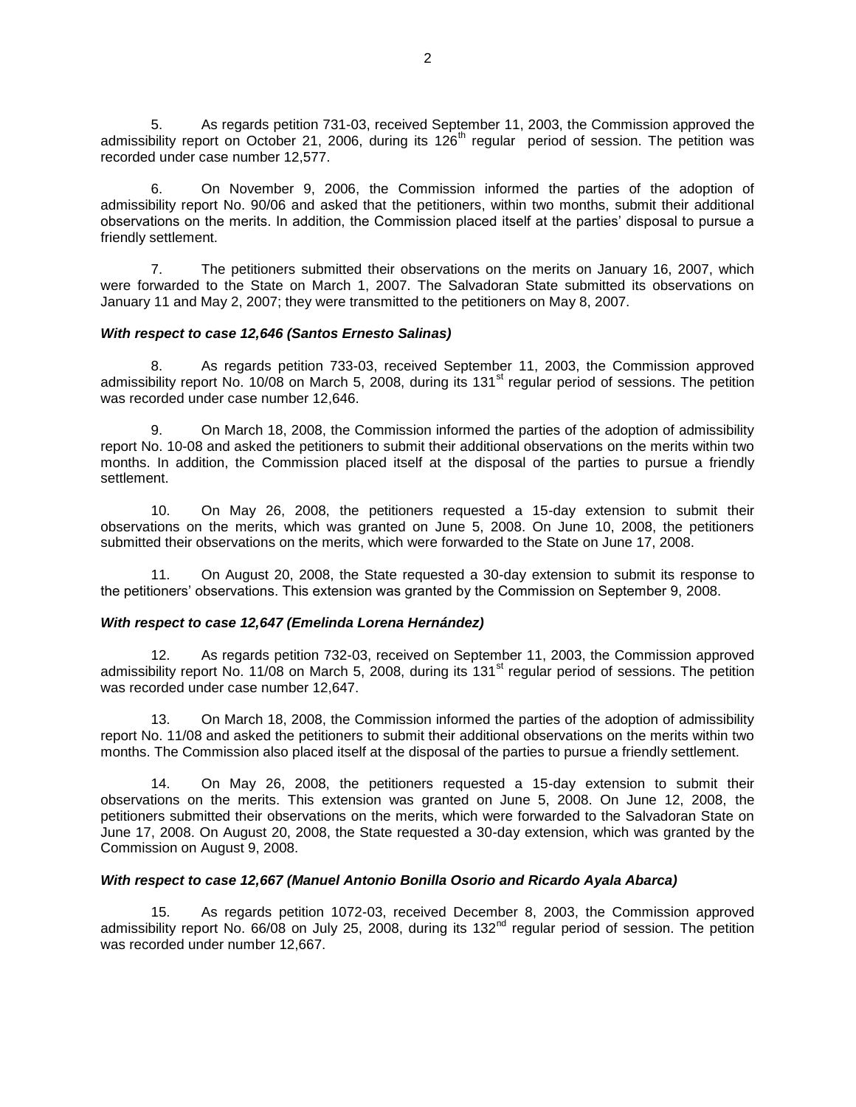5. As regards petition 731-03, received September 11, 2003, the Commission approved the admissibility report on October 21, 2006, during its 126<sup>th</sup> regular period of session. The petition was recorded under case number 12,577.

6. On November 9, 2006, the Commission informed the parties of the adoption of admissibility report No. 90/06 and asked that the petitioners, within two months, submit their additional observations on the merits. In addition, the Commission placed itself at the parties' disposal to pursue a friendly settlement.

7. The petitioners submitted their observations on the merits on January 16, 2007, which were forwarded to the State on March 1, 2007. The Salvadoran State submitted its observations on January 11 and May 2, 2007; they were transmitted to the petitioners on May 8, 2007.

#### *With respect to case 12,646 (Santos Ernesto Salinas)*

8. As regards petition 733-03, received September 11, 2003, the Commission approved admissibility report No. 10/08 on March 5, 2008, during its 131<sup>st</sup> regular period of sessions. The petition was recorded under case number 12,646.

9. On March 18, 2008, the Commission informed the parties of the adoption of admissibility report No. 10-08 and asked the petitioners to submit their additional observations on the merits within two months. In addition, the Commission placed itself at the disposal of the parties to pursue a friendly settlement.

10. On May 26, 2008, the petitioners requested a 15-day extension to submit their observations on the merits, which was granted on June 5, 2008. On June 10, 2008, the petitioners submitted their observations on the merits, which were forwarded to the State on June 17, 2008.

11. On August 20, 2008, the State requested a 30-day extension to submit its response to the petitioners' observations. This extension was granted by the Commission on September 9, 2008.

#### *With respect to case 12,647 (Emelinda Lorena Hernández)*

12. As regards petition 732-03, received on September 11, 2003, the Commission approved admissibility report No. 11/08 on March 5, 2008, during its 131<sup>st</sup> regular period of sessions. The petition was recorded under case number 12,647.

13. On March 18, 2008, the Commission informed the parties of the adoption of admissibility report No. 11/08 and asked the petitioners to submit their additional observations on the merits within two months. The Commission also placed itself at the disposal of the parties to pursue a friendly settlement.

14. On May 26, 2008, the petitioners requested a 15-day extension to submit their observations on the merits. This extension was granted on June 5, 2008. On June 12, 2008, the petitioners submitted their observations on the merits, which were forwarded to the Salvadoran State on June 17, 2008. On August 20, 2008, the State requested a 30-day extension, which was granted by the Commission on August 9, 2008.

#### *With respect to case 12,667 (Manuel Antonio Bonilla Osorio and Ricardo Ayala Abarca)*

15. As regards petition 1072-03, received December 8, 2003, the Commission approved admissibility report No. 66/08 on July 25, 2008, during its 132<sup>nd</sup> regular period of session. The petition was recorded under number 12,667.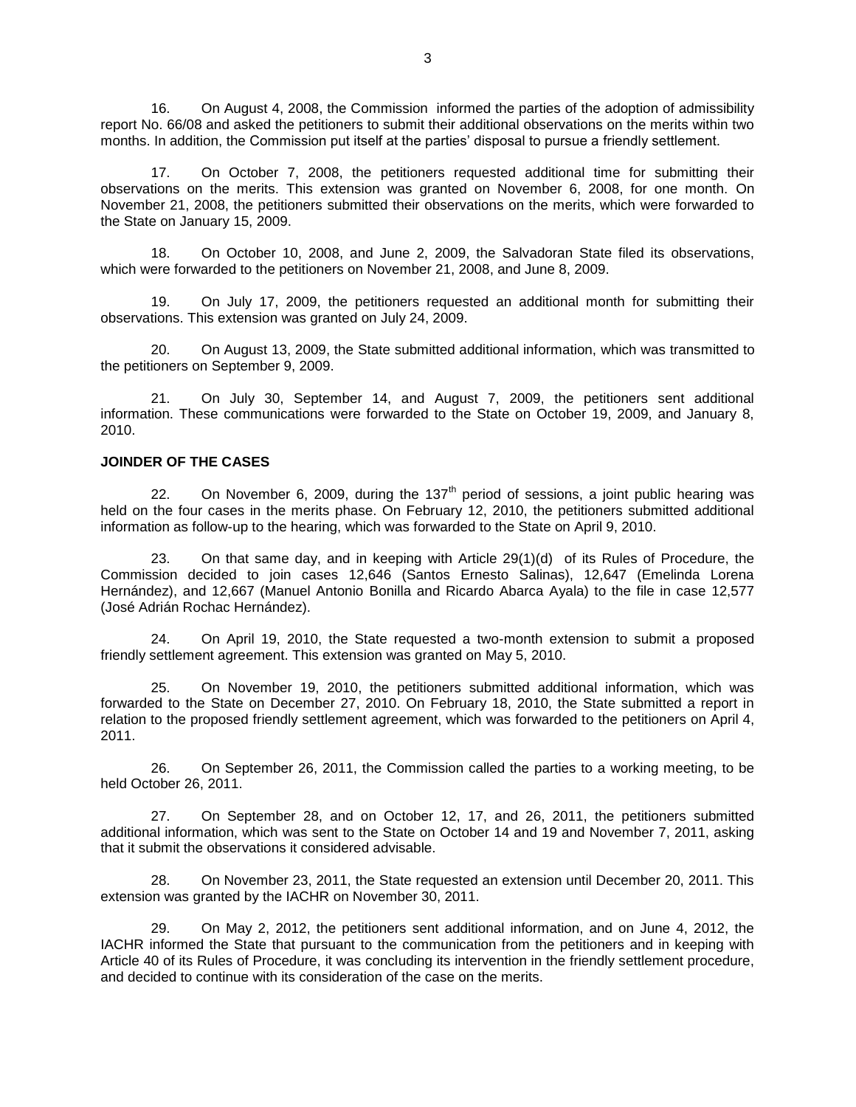16. On August 4, 2008, the Commission informed the parties of the adoption of admissibility report No. 66/08 and asked the petitioners to submit their additional observations on the merits within two months. In addition, the Commission put itself at the parties' disposal to pursue a friendly settlement.

17. On October 7, 2008, the petitioners requested additional time for submitting their observations on the merits. This extension was granted on November 6, 2008, for one month. On November 21, 2008, the petitioners submitted their observations on the merits, which were forwarded to the State on January 15, 2009.

18. On October 10, 2008, and June 2, 2009, the Salvadoran State filed its observations, which were forwarded to the petitioners on November 21, 2008, and June 8, 2009.

19. On July 17, 2009, the petitioners requested an additional month for submitting their observations. This extension was granted on July 24, 2009.

20. On August 13, 2009, the State submitted additional information, which was transmitted to the petitioners on September 9, 2009.

21. On July 30, September 14, and August 7, 2009, the petitioners sent additional information. These communications were forwarded to the State on October 19, 2009, and January 8, 2010.

## **JOINDER OF THE CASES**

22. On November 6, 2009, during the 137<sup>th</sup> period of sessions, a joint public hearing was held on the four cases in the merits phase. On February 12, 2010, the petitioners submitted additional information as follow-up to the hearing, which was forwarded to the State on April 9, 2010.

23. On that same day, and in keeping with Article 29(1)(d) of its Rules of Procedure, the Commission decided to join cases 12,646 (Santos Ernesto Salinas), 12,647 (Emelinda Lorena Hernández), and 12,667 (Manuel Antonio Bonilla and Ricardo Abarca Ayala) to the file in case 12,577 (José Adrián Rochac Hernández).

24. On April 19, 2010, the State requested a two-month extension to submit a proposed friendly settlement agreement. This extension was granted on May 5, 2010.

25. On November 19, 2010, the petitioners submitted additional information, which was forwarded to the State on December 27, 2010. On February 18, 2010, the State submitted a report in relation to the proposed friendly settlement agreement, which was forwarded to the petitioners on April 4, 2011.

26. On September 26, 2011, the Commission called the parties to a working meeting, to be held October 26, 2011.

27. On September 28, and on October 12, 17, and 26, 2011, the petitioners submitted additional information, which was sent to the State on October 14 and 19 and November 7, 2011, asking that it submit the observations it considered advisable.

28. On November 23, 2011, the State requested an extension until December 20, 2011. This extension was granted by the IACHR on November 30, 2011.

29. On May 2, 2012, the petitioners sent additional information, and on June 4, 2012, the IACHR informed the State that pursuant to the communication from the petitioners and in keeping with Article 40 of its Rules of Procedure, it was concluding its intervention in the friendly settlement procedure, and decided to continue with its consideration of the case on the merits.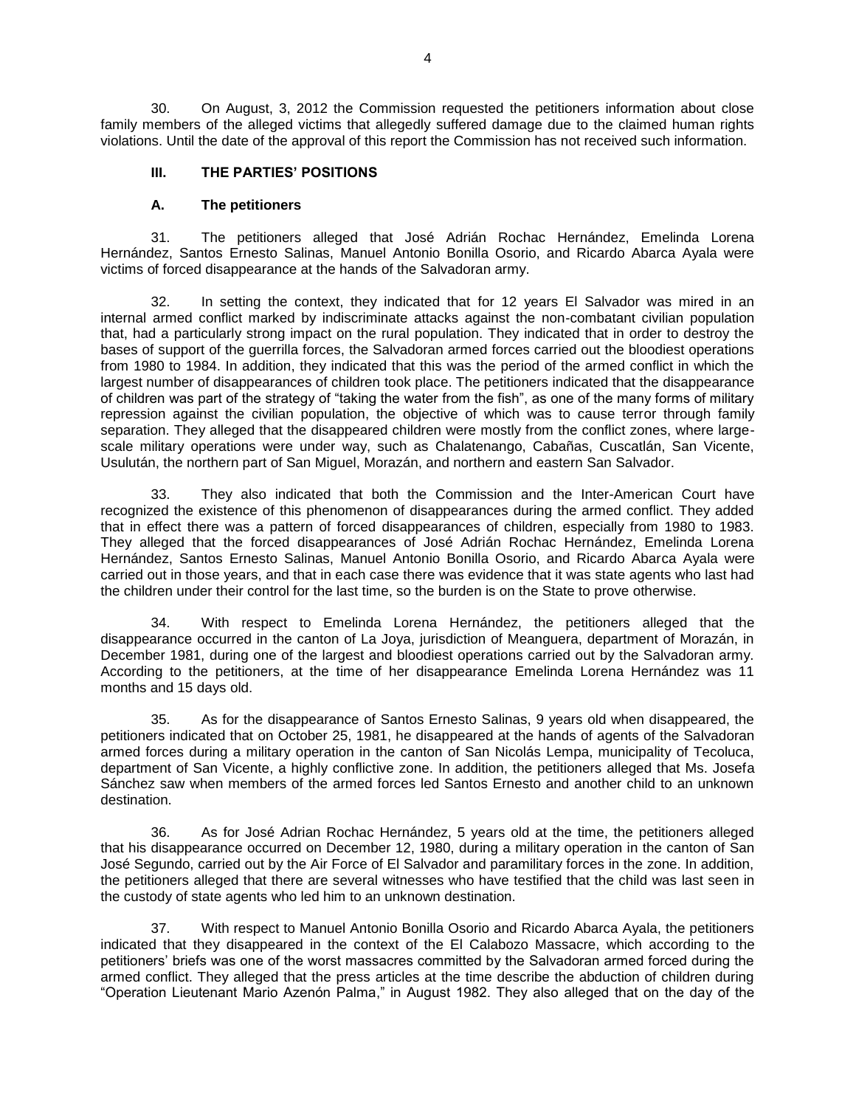30. On August, 3, 2012 the Commission requested the petitioners information about close family members of the alleged victims that allegedly suffered damage due to the claimed human rights violations. Until the date of the approval of this report the Commission has not received such information.

## **III. THE PARTIES' POSITIONS**

## **A. The petitioners**

31. The petitioners alleged that José Adrián Rochac Hernández, Emelinda Lorena Hernández, Santos Ernesto Salinas, Manuel Antonio Bonilla Osorio, and Ricardo Abarca Ayala were victims of forced disappearance at the hands of the Salvadoran army.

32. In setting the context, they indicated that for 12 years El Salvador was mired in an internal armed conflict marked by indiscriminate attacks against the non-combatant civilian population that, had a particularly strong impact on the rural population. They indicated that in order to destroy the bases of support of the guerrilla forces, the Salvadoran armed forces carried out the bloodiest operations from 1980 to 1984. In addition, they indicated that this was the period of the armed conflict in which the largest number of disappearances of children took place. The petitioners indicated that the disappearance of children was part of the strategy of "taking the water from the fish", as one of the many forms of military repression against the civilian population, the objective of which was to cause terror through family separation. They alleged that the disappeared children were mostly from the conflict zones, where largescale military operations were under way, such as Chalatenango, Cabañas, Cuscatlán, San Vicente, Usulután, the northern part of San Miguel, Morazán, and northern and eastern San Salvador.

33. They also indicated that both the Commission and the Inter-American Court have recognized the existence of this phenomenon of disappearances during the armed conflict. They added that in effect there was a pattern of forced disappearances of children, especially from 1980 to 1983. They alleged that the forced disappearances of José Adrián Rochac Hernández, Emelinda Lorena Hernández, Santos Ernesto Salinas, Manuel Antonio Bonilla Osorio, and Ricardo Abarca Ayala were carried out in those years, and that in each case there was evidence that it was state agents who last had the children under their control for the last time, so the burden is on the State to prove otherwise.

34. With respect to Emelinda Lorena Hernández, the petitioners alleged that the disappearance occurred in the canton of La Joya, jurisdiction of Meanguera, department of Morazán, in December 1981, during one of the largest and bloodiest operations carried out by the Salvadoran army. According to the petitioners, at the time of her disappearance Emelinda Lorena Hernández was 11 months and 15 days old.

35. As for the disappearance of Santos Ernesto Salinas, 9 years old when disappeared, the petitioners indicated that on October 25, 1981, he disappeared at the hands of agents of the Salvadoran armed forces during a military operation in the canton of San Nicolás Lempa, municipality of Tecoluca, department of San Vicente, a highly conflictive zone. In addition, the petitioners alleged that Ms. Josefa Sánchez saw when members of the armed forces led Santos Ernesto and another child to an unknown destination.

36. As for José Adrian Rochac Hernández, 5 years old at the time, the petitioners alleged that his disappearance occurred on December 12, 1980, during a military operation in the canton of San José Segundo, carried out by the Air Force of El Salvador and paramilitary forces in the zone. In addition, the petitioners alleged that there are several witnesses who have testified that the child was last seen in the custody of state agents who led him to an unknown destination.

37. With respect to Manuel Antonio Bonilla Osorio and Ricardo Abarca Ayala, the petitioners indicated that they disappeared in the context of the El Calabozo Massacre, which according to the petitioners' briefs was one of the worst massacres committed by the Salvadoran armed forced during the armed conflict. They alleged that the press articles at the time describe the abduction of children during "Operation Lieutenant Mario Azenón Palma," in August 1982. They also alleged that on the day of the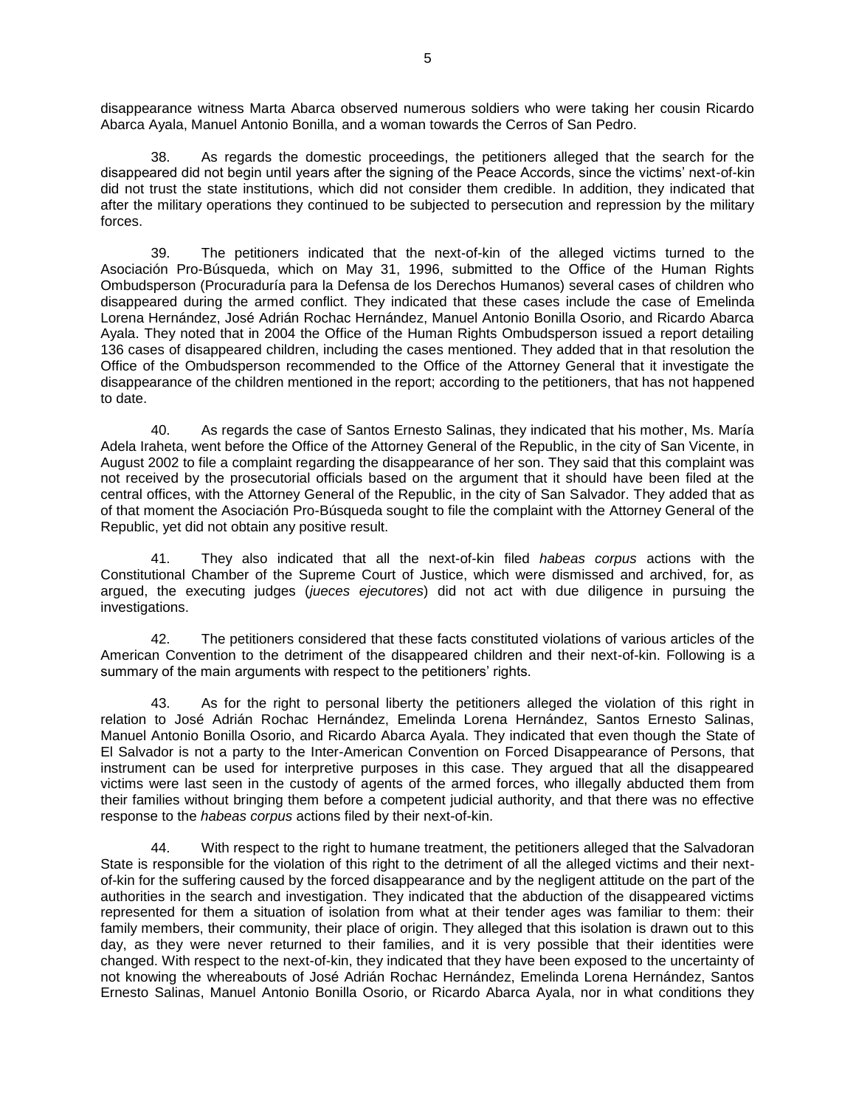disappearance witness Marta Abarca observed numerous soldiers who were taking her cousin Ricardo Abarca Ayala, Manuel Antonio Bonilla, and a woman towards the Cerros of San Pedro.

38. As regards the domestic proceedings, the petitioners alleged that the search for the disappeared did not begin until years after the signing of the Peace Accords, since the victims' next-of-kin did not trust the state institutions, which did not consider them credible. In addition, they indicated that after the military operations they continued to be subjected to persecution and repression by the military forces.

39. The petitioners indicated that the next-of-kin of the alleged victims turned to the Asociación Pro-Búsqueda, which on May 31, 1996, submitted to the Office of the Human Rights Ombudsperson (Procuraduría para la Defensa de los Derechos Humanos) several cases of children who disappeared during the armed conflict. They indicated that these cases include the case of Emelinda Lorena Hernández, José Adrián Rochac Hernández, Manuel Antonio Bonilla Osorio, and Ricardo Abarca Ayala. They noted that in 2004 the Office of the Human Rights Ombudsperson issued a report detailing 136 cases of disappeared children, including the cases mentioned. They added that in that resolution the Office of the Ombudsperson recommended to the Office of the Attorney General that it investigate the disappearance of the children mentioned in the report; according to the petitioners, that has not happened to date.

40. As regards the case of Santos Ernesto Salinas, they indicated that his mother, Ms. María Adela Iraheta, went before the Office of the Attorney General of the Republic, in the city of San Vicente, in August 2002 to file a complaint regarding the disappearance of her son. They said that this complaint was not received by the prosecutorial officials based on the argument that it should have been filed at the central offices, with the Attorney General of the Republic, in the city of San Salvador. They added that as of that moment the Asociación Pro-Búsqueda sought to file the complaint with the Attorney General of the Republic, yet did not obtain any positive result.

41. They also indicated that all the next-of-kin filed *habeas corpus* actions with the Constitutional Chamber of the Supreme Court of Justice, which were dismissed and archived, for, as argued, the executing judges (*jueces ejecutores*) did not act with due diligence in pursuing the investigations.

42. The petitioners considered that these facts constituted violations of various articles of the American Convention to the detriment of the disappeared children and their next-of-kin. Following is a summary of the main arguments with respect to the petitioners' rights.

43. As for the right to personal liberty the petitioners alleged the violation of this right in relation to José Adrián Rochac Hernández, Emelinda Lorena Hernández, Santos Ernesto Salinas, Manuel Antonio Bonilla Osorio, and Ricardo Abarca Ayala. They indicated that even though the State of El Salvador is not a party to the Inter-American Convention on Forced Disappearance of Persons, that instrument can be used for interpretive purposes in this case. They argued that all the disappeared victims were last seen in the custody of agents of the armed forces, who illegally abducted them from their families without bringing them before a competent judicial authority, and that there was no effective response to the *habeas corpus* actions filed by their next-of-kin.

44. With respect to the right to humane treatment, the petitioners alleged that the Salvadoran State is responsible for the violation of this right to the detriment of all the alleged victims and their nextof-kin for the suffering caused by the forced disappearance and by the negligent attitude on the part of the authorities in the search and investigation. They indicated that the abduction of the disappeared victims represented for them a situation of isolation from what at their tender ages was familiar to them: their family members, their community, their place of origin. They alleged that this isolation is drawn out to this day, as they were never returned to their families, and it is very possible that their identities were changed. With respect to the next-of-kin, they indicated that they have been exposed to the uncertainty of not knowing the whereabouts of José Adrián Rochac Hernández, Emelinda Lorena Hernández, Santos Ernesto Salinas, Manuel Antonio Bonilla Osorio, or Ricardo Abarca Ayala, nor in what conditions they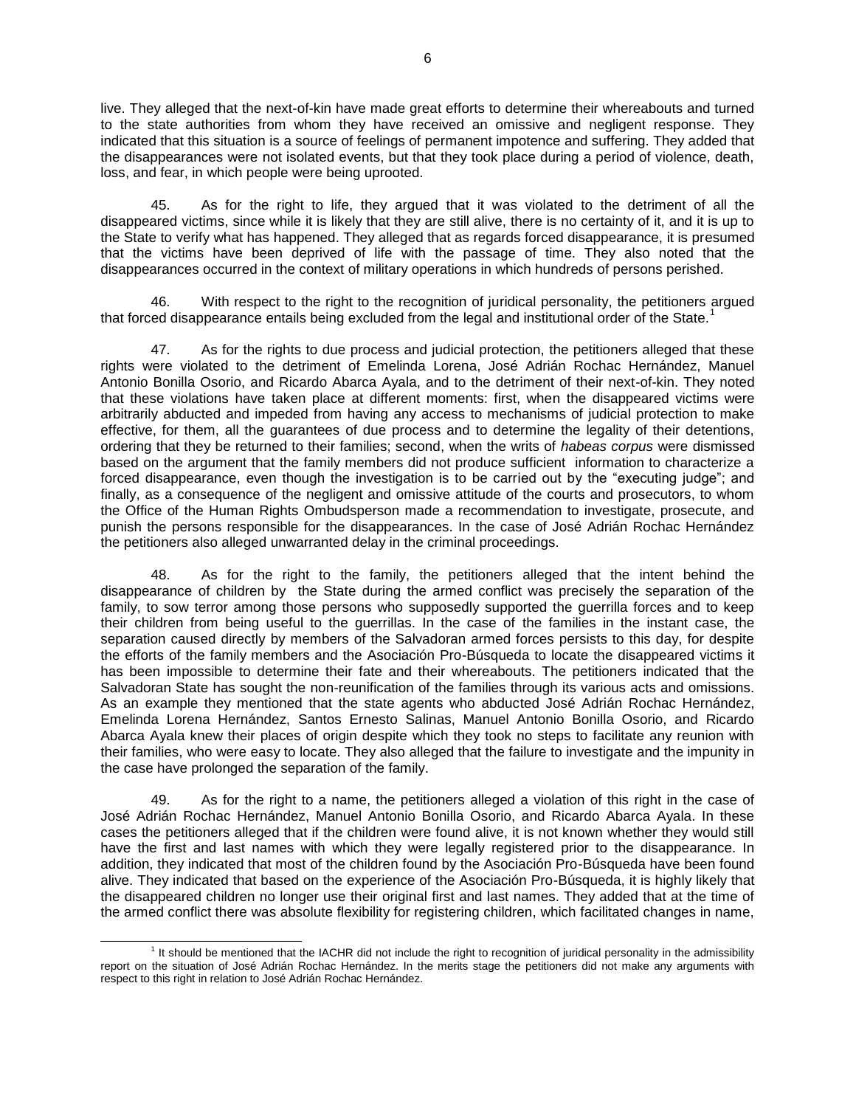live. They alleged that the next-of-kin have made great efforts to determine their whereabouts and turned to the state authorities from whom they have received an omissive and negligent response. They indicated that this situation is a source of feelings of permanent impotence and suffering. They added that the disappearances were not isolated events, but that they took place during a period of violence, death, loss, and fear, in which people were being uprooted.

45. As for the right to life, they argued that it was violated to the detriment of all the disappeared victims, since while it is likely that they are still alive, there is no certainty of it, and it is up to the State to verify what has happened. They alleged that as regards forced disappearance, it is presumed that the victims have been deprived of life with the passage of time. They also noted that the disappearances occurred in the context of military operations in which hundreds of persons perished.

46. With respect to the right to the recognition of juridical personality, the petitioners argued that forced disappearance entails being excluded from the legal and institutional order of the State.<sup>1</sup>

47. As for the rights to due process and judicial protection, the petitioners alleged that these rights were violated to the detriment of Emelinda Lorena, José Adrián Rochac Hernández, Manuel Antonio Bonilla Osorio, and Ricardo Abarca Ayala, and to the detriment of their next-of-kin. They noted that these violations have taken place at different moments: first, when the disappeared victims were arbitrarily abducted and impeded from having any access to mechanisms of judicial protection to make effective, for them, all the guarantees of due process and to determine the legality of their detentions, ordering that they be returned to their families; second, when the writs of *habeas corpus* were dismissed based on the argument that the family members did not produce sufficient information to characterize a forced disappearance, even though the investigation is to be carried out by the "executing judge"; and finally, as a consequence of the negligent and omissive attitude of the courts and prosecutors, to whom the Office of the Human Rights Ombudsperson made a recommendation to investigate, prosecute, and punish the persons responsible for the disappearances. In the case of José Adrián Rochac Hernández the petitioners also alleged unwarranted delay in the criminal proceedings.

48. As for the right to the family, the petitioners alleged that the intent behind the disappearance of children by the State during the armed conflict was precisely the separation of the family, to sow terror among those persons who supposedly supported the guerrilla forces and to keep their children from being useful to the guerrillas. In the case of the families in the instant case, the separation caused directly by members of the Salvadoran armed forces persists to this day, for despite the efforts of the family members and the Asociación Pro-Búsqueda to locate the disappeared victims it has been impossible to determine their fate and their whereabouts. The petitioners indicated that the Salvadoran State has sought the non-reunification of the families through its various acts and omissions. As an example they mentioned that the state agents who abducted José Adrián Rochac Hernández, Emelinda Lorena Hernández, Santos Ernesto Salinas, Manuel Antonio Bonilla Osorio, and Ricardo Abarca Ayala knew their places of origin despite which they took no steps to facilitate any reunion with their families, who were easy to locate. They also alleged that the failure to investigate and the impunity in the case have prolonged the separation of the family.

49. As for the right to a name, the petitioners alleged a violation of this right in the case of José Adrián Rochac Hernández, Manuel Antonio Bonilla Osorio, and Ricardo Abarca Ayala. In these cases the petitioners alleged that if the children were found alive, it is not known whether they would still have the first and last names with which they were legally registered prior to the disappearance. In addition, they indicated that most of the children found by the Asociación Pro-Búsqueda have been found alive. They indicated that based on the experience of the Asociación Pro-Búsqueda, it is highly likely that the disappeared children no longer use their original first and last names. They added that at the time of the armed conflict there was absolute flexibility for registering children, which facilitated changes in name,

 $\overline{a}$ 1 It should be mentioned that the IACHR did not include the right to recognition of juridical personality in the admissibility report on the situation of José Adrián Rochac Hernández. In the merits stage the petitioners did not make any arguments with respect to this right in relation to José Adrián Rochac Hernández.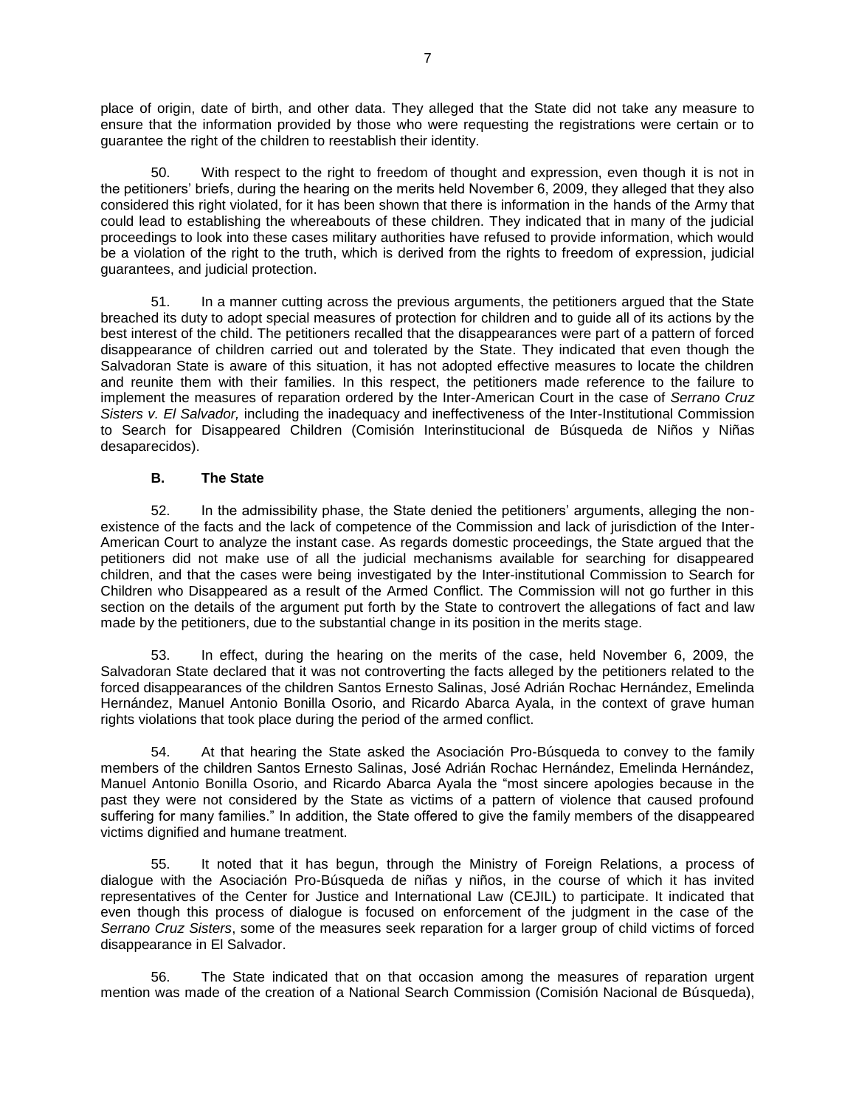place of origin, date of birth, and other data. They alleged that the State did not take any measure to ensure that the information provided by those who were requesting the registrations were certain or to guarantee the right of the children to reestablish their identity.

50. With respect to the right to freedom of thought and expression, even though it is not in the petitioners' briefs, during the hearing on the merits held November 6, 2009, they alleged that they also considered this right violated, for it has been shown that there is information in the hands of the Army that could lead to establishing the whereabouts of these children. They indicated that in many of the judicial proceedings to look into these cases military authorities have refused to provide information, which would be a violation of the right to the truth, which is derived from the rights to freedom of expression, judicial guarantees, and judicial protection.

51. In a manner cutting across the previous arguments, the petitioners argued that the State breached its duty to adopt special measures of protection for children and to guide all of its actions by the best interest of the child. The petitioners recalled that the disappearances were part of a pattern of forced disappearance of children carried out and tolerated by the State. They indicated that even though the Salvadoran State is aware of this situation, it has not adopted effective measures to locate the children and reunite them with their families. In this respect, the petitioners made reference to the failure to implement the measures of reparation ordered by the Inter-American Court in the case of *Serrano Cruz Sisters v. El Salvador,* including the inadequacy and ineffectiveness of the Inter-Institutional Commission to Search for Disappeared Children (Comisión Interinstitucional de Búsqueda de Niños y Niñas desaparecidos).

## **B. The State**

52. In the admissibility phase, the State denied the petitioners' arguments, alleging the nonexistence of the facts and the lack of competence of the Commission and lack of jurisdiction of the Inter-American Court to analyze the instant case. As regards domestic proceedings, the State argued that the petitioners did not make use of all the judicial mechanisms available for searching for disappeared children, and that the cases were being investigated by the Inter-institutional Commission to Search for Children who Disappeared as a result of the Armed Conflict. The Commission will not go further in this section on the details of the argument put forth by the State to controvert the allegations of fact and law made by the petitioners, due to the substantial change in its position in the merits stage.

53. In effect, during the hearing on the merits of the case, held November 6, 2009, the Salvadoran State declared that it was not controverting the facts alleged by the petitioners related to the forced disappearances of the children Santos Ernesto Salinas, José Adrián Rochac Hernández, Emelinda Hernández, Manuel Antonio Bonilla Osorio, and Ricardo Abarca Ayala, in the context of grave human rights violations that took place during the period of the armed conflict.

54. At that hearing the State asked the Asociación Pro-Búsqueda to convey to the family members of the children Santos Ernesto Salinas, José Adrián Rochac Hernández, Emelinda Hernández, Manuel Antonio Bonilla Osorio, and Ricardo Abarca Ayala the "most sincere apologies because in the past they were not considered by the State as victims of a pattern of violence that caused profound suffering for many families." In addition, the State offered to give the family members of the disappeared victims dignified and humane treatment.

55. It noted that it has begun, through the Ministry of Foreign Relations, a process of dialogue with the Asociación Pro-Búsqueda de niñas y niños, in the course of which it has invited representatives of the Center for Justice and International Law (CEJIL) to participate. It indicated that even though this process of dialogue is focused on enforcement of the judgment in the case of the *Serrano Cruz Sisters*, some of the measures seek reparation for a larger group of child victims of forced disappearance in El Salvador.

56. The State indicated that on that occasion among the measures of reparation urgent mention was made of the creation of a National Search Commission (Comisión Nacional de Búsqueda),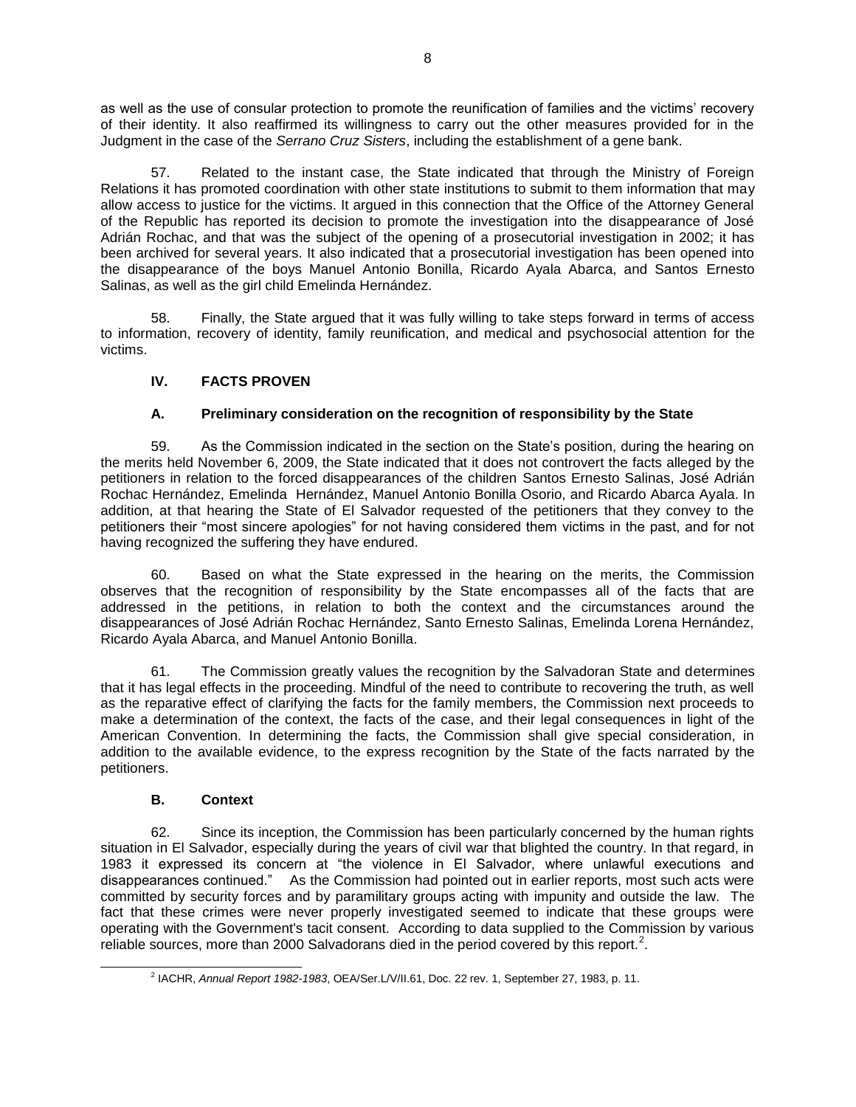as well as the use of consular protection to promote the reunification of families and the victims' recovery of their identity. It also reaffirmed its willingness to carry out the other measures provided for in the Judgment in the case of the *Serrano Cruz Sisters*, including the establishment of a gene bank.

57. Related to the instant case, the State indicated that through the Ministry of Foreign Relations it has promoted coordination with other state institutions to submit to them information that may allow access to justice for the victims. It argued in this connection that the Office of the Attorney General of the Republic has reported its decision to promote the investigation into the disappearance of José Adrián Rochac, and that was the subject of the opening of a prosecutorial investigation in 2002; it has been archived for several years. It also indicated that a prosecutorial investigation has been opened into the disappearance of the boys Manuel Antonio Bonilla, Ricardo Ayala Abarca, and Santos Ernesto Salinas, as well as the girl child Emelinda Hernández.

58. Finally, the State argued that it was fully willing to take steps forward in terms of access to information, recovery of identity, family reunification, and medical and psychosocial attention for the victims.

# **IV. FACTS PROVEN**

## **A. Preliminary consideration on the recognition of responsibility by the State**

59. As the Commission indicated in the section on the State's position, during the hearing on the merits held November 6, 2009, the State indicated that it does not controvert the facts alleged by the petitioners in relation to the forced disappearances of the children Santos Ernesto Salinas, José Adrián Rochac Hernández, Emelinda Hernández, Manuel Antonio Bonilla Osorio, and Ricardo Abarca Ayala. In addition, at that hearing the State of El Salvador requested of the petitioners that they convey to the petitioners their "most sincere apologies" for not having considered them victims in the past, and for not having recognized the suffering they have endured.

60. Based on what the State expressed in the hearing on the merits, the Commission observes that the recognition of responsibility by the State encompasses all of the facts that are addressed in the petitions, in relation to both the context and the circumstances around the disappearances of José Adrián Rochac Hernández, Santo Ernesto Salinas, Emelinda Lorena Hernández, Ricardo Ayala Abarca, and Manuel Antonio Bonilla.

61. The Commission greatly values the recognition by the Salvadoran State and determines that it has legal effects in the proceeding. Mindful of the need to contribute to recovering the truth, as well as the reparative effect of clarifying the facts for the family members, the Commission next proceeds to make a determination of the context, the facts of the case, and their legal consequences in light of the American Convention. In determining the facts, the Commission shall give special consideration, in addition to the available evidence, to the express recognition by the State of the facts narrated by the petitioners.

## **B. Context**

 $\overline{a}$ 

62. Since its inception, the Commission has been particularly concerned by the human rights situation in El Salvador, especially during the years of civil war that blighted the country. In that regard, in 1983 it expressed its concern at "the violence in El Salvador, where unlawful executions and disappearances continued." As the Commission had pointed out in earlier reports, most such acts were committed by security forces and by paramilitary groups acting with impunity and outside the law. The fact that these crimes were never properly investigated seemed to indicate that these groups were operating with the Government's tacit consent. According to data supplied to the Commission by various reliable sources, more than 2000 Salvadorans died in the period covered by this report.<sup>2</sup>.

<sup>2</sup> IACHR, *Annual Report 1982-1983*, OEA/Ser.L/V/II.61, Doc. 22 rev. 1, September 27, 1983, p. 11.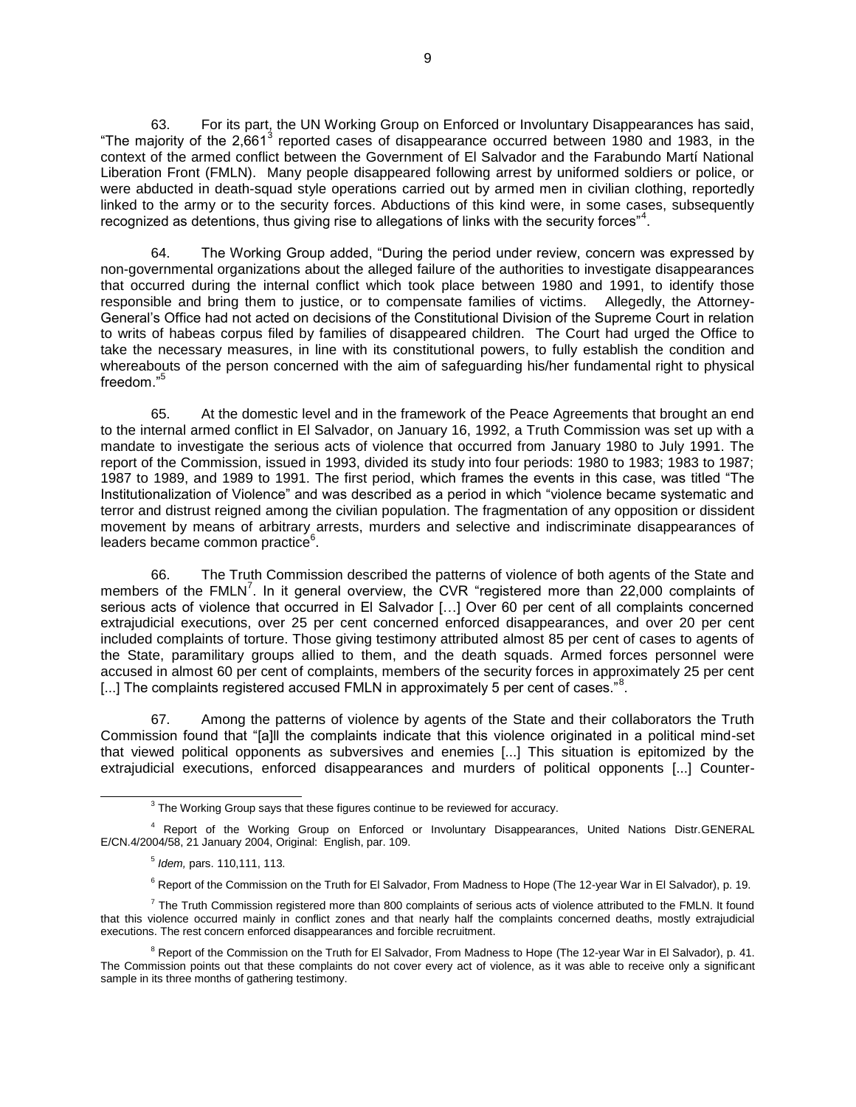63. For its part, the UN Working Group on Enforced or Involuntary Disappearances has said, "The majority of the 2,661<sup>3</sup> reported cases of disappearance occurred between 1980 and 1983, in the context of the armed conflict between the Government of El Salvador and the Farabundo Martí National Liberation Front (FMLN). Many people disappeared following arrest by uniformed soldiers or police, or were abducted in death-squad style operations carried out by armed men in civilian clothing, reportedly linked to the army or to the security forces. Abductions of this kind were, in some cases, subsequently recognized as detentions, thus giving rise to allegations of links with the security forces"<sup>4</sup>.

64. The Working Group added, "During the period under review, concern was expressed by non-governmental organizations about the alleged failure of the authorities to investigate disappearances that occurred during the internal conflict which took place between 1980 and 1991, to identify those responsible and bring them to justice, or to compensate families of victims. Allegedly, the Attorney-General's Office had not acted on decisions of the Constitutional Division of the Supreme Court in relation to writs of habeas corpus filed by families of disappeared children. The Court had urged the Office to take the necessary measures, in line with its constitutional powers, to fully establish the condition and whereabouts of the person concerned with the aim of safeguarding his/her fundamental right to physical freedom."<sup>5</sup>

65. At the domestic level and in the framework of the Peace Agreements that brought an end to the internal armed conflict in El Salvador, on January 16, 1992, a Truth Commission was set up with a mandate to investigate the serious acts of violence that occurred from January 1980 to July 1991. The report of the Commission, issued in 1993, divided its study into four periods: 1980 to 1983; 1983 to 1987; 1987 to 1989, and 1989 to 1991. The first period, which frames the events in this case, was titled "The Institutionalization of Violence" and was described as a period in which "violence became systematic and terror and distrust reigned among the civilian population. The fragmentation of any opposition or dissident movement by means of arbitrary arrests, murders and selective and indiscriminate disappearances of leaders became common practice<sup>6</sup>.

66. The Truth Commission described the patterns of violence of both agents of the State and members of the  $FMLN<sup>7</sup>$ . In it general overview, the CVR "registered more than 22,000 complaints of serious acts of violence that occurred in El Salvador […] Over 60 per cent of all complaints concerned extrajudicial executions, over 25 per cent concerned enforced disappearances, and over 20 per cent included complaints of torture. Those giving testimony attributed almost 85 per cent of cases to agents of the State, paramilitary groups allied to them, and the death squads. Armed forces personnel were accused in almost 60 per cent of complaints, members of the security forces in approximately 25 per cent [...] The complaints registered accused FMLN in approximately 5 per cent of cases."<sup>8</sup>.

67. Among the patterns of violence by agents of the State and their collaborators the Truth Commission found that "[a]ll the complaints indicate that this violence originated in a political mind-set that viewed political opponents as subversives and enemies [...] This situation is epitomized by the extrajudicial executions, enforced disappearances and murders of political opponents [...] Counter-

5 *Idem,* pars. 110,111, 113.

l

 $3$  The Working Group says that these figures continue to be reviewed for accuracy.

<sup>4</sup> Report of the Working Group on Enforced or Involuntary Disappearances, United Nations Distr.GENERAL E/CN.4/2004/58, 21 January 2004, Original: English, par. 109.

<sup>&</sup>lt;sup>6</sup> Report of the Commission on the Truth for El Salvador, From Madness to Hope (The 12-year War in El Salvador), p. 19.

 $^7$  The Truth Commission registered more than 800 complaints of serious acts of violence attributed to the FMLN. It found that this violence occurred mainly in conflict zones and that nearly half the complaints concerned deaths, mostly extrajudicial executions. The rest concern enforced disappearances and forcible recruitment.

<sup>8</sup> Report of the Commission on the Truth for El Salvador, From Madness to Hope (The 12-year War in El Salvador), p. 41. The Commission points out that these complaints do not cover every act of violence, as it was able to receive only a significant sample in its three months of gathering testimony.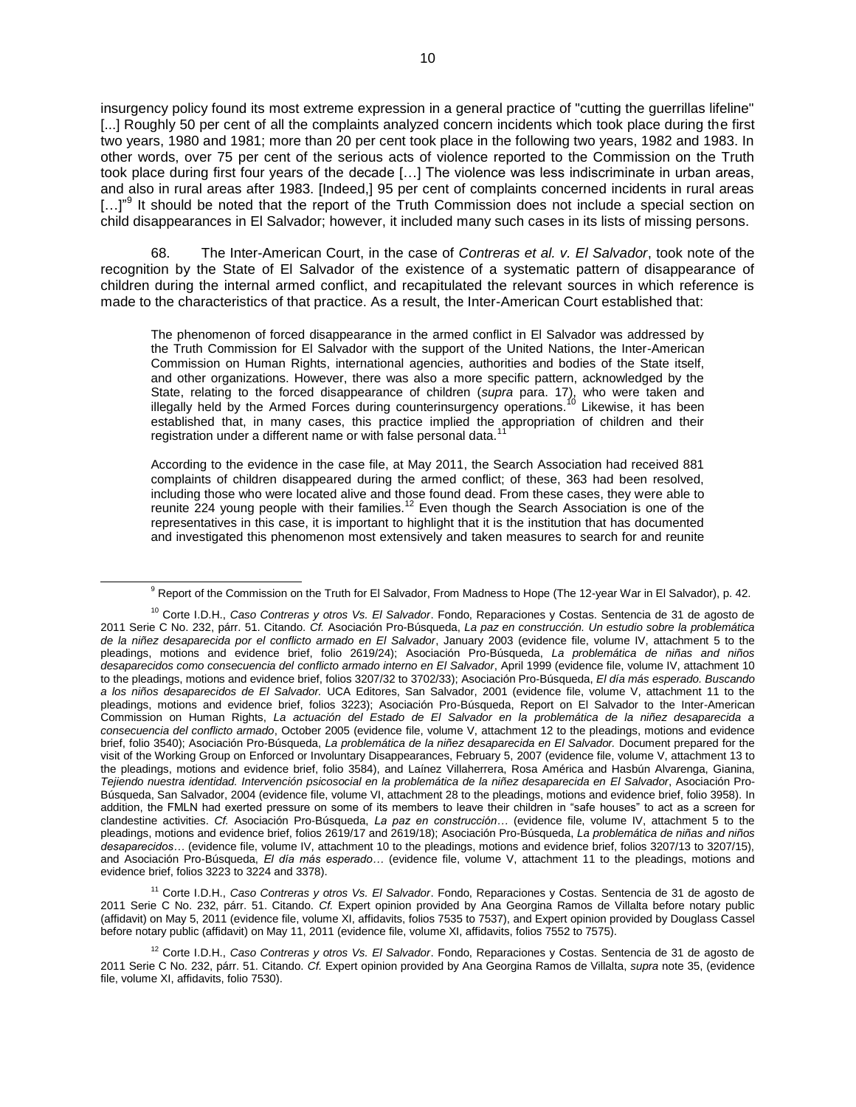insurgency policy found its most extreme expression in a general practice of "cutting the guerrillas lifeline" [...] Roughly 50 per cent of all the complaints analyzed concern incidents which took place during the first two years, 1980 and 1981; more than 20 per cent took place in the following two years, 1982 and 1983. In other words, over 75 per cent of the serious acts of violence reported to the Commission on the Truth took place during first four years of the decade […] The violence was less indiscriminate in urban areas, and also in rural areas after 1983. [Indeed,] 95 per cent of complaints concerned incidents in rural areas  $[...]^{9}$  It should be noted that the report of the Truth Commission does not include a special section on child disappearances in El Salvador; however, it included many such cases in its lists of missing persons.

68. The Inter-American Court, in the case of *Contreras et al. v. El Salvador*, took note of the recognition by the State of El Salvador of the existence of a systematic pattern of disappearance of children during the internal armed conflict, and recapitulated the relevant sources in which reference is made to the characteristics of that practice. As a result, the Inter-American Court established that:

The phenomenon of forced disappearance in the armed conflict in El Salvador was addressed by the Truth Commission for El Salvador with the support of the United Nations, the Inter-American Commission on Human Rights, international agencies, authorities and bodies of the State itself, and other organizations. However, there was also a more specific pattern, acknowledged by the State, relating to the forced disappearance of children (*supra* para. 17), who were taken and illegally held by the Armed Forces during counterinsurgency operations.<sup>10</sup> Likewise, it has been established that, in many cases, this practice implied the appropriation of children and their registration under a different name or with false personal data.<sup>11</sup>

According to the evidence in the case file, at May 2011, the Search Association had received 881 complaints of children disappeared during the armed conflict; of these, 363 had been resolved, including those who were located alive and those found dead. From these cases, they were able to reunite 224 young people with their families.<sup>12</sup> Even though the Search Association is one of the representatives in this case, it is important to highlight that it is the institution that has documented and investigated this phenomenon most extensively and taken measures to search for and reunite

 $\overline{a}$ 

<sup>11</sup> Corte I.D.H., *Caso Contreras y otros Vs. El Salvador*. Fondo, Reparaciones y Costas. Sentencia de 31 de agosto de 2011 Serie C No. 232, párr. 51. Citando. *Cf.* Expert opinion provided by Ana Georgina Ramos de Villalta before notary public (affidavit) on May 5, 2011 (evidence file, volume XI, affidavits, folios 7535 to 7537), and Expert opinion provided by Douglass Cassel before notary public (affidavit) on May 11, 2011 (evidence file, volume XI, affidavits, folios 7552 to 7575).

<sup>12</sup> Corte I.D.H., *Caso Contreras y otros Vs. El Salvador*. Fondo, Reparaciones y Costas. Sentencia de 31 de agosto de 2011 Serie C No. 232, párr. 51. Citando. *Cf.* Expert opinion provided by Ana Georgina Ramos de Villalta, *supra* note 35, (evidence file, volume XI, affidavits, folio 7530).

<sup>&</sup>lt;sup>9</sup> Report of the Commission on the Truth for El Salvador, From Madness to Hope (The 12-year War in El Salvador), p. 42.

<sup>10</sup> Corte I.D.H., *Caso Contreras y otros Vs. El Salvador*. Fondo, Reparaciones y Costas. Sentencia de 31 de agosto de 2011 Serie C No. 232, párr. 51. Citando. *Cf.* Asociación Pro-Búsqueda, *La paz en construcción. Un estudio sobre la problemática de la niñez desaparecida por el conflicto armado en El Salvador*, January 2003 (evidence file, volume IV, attachment 5 to the pleadings, motions and evidence brief, folio 2619/24); Asociación Pro-Búsqueda, *La problemática de niñas and niños desaparecidos como consecuencia del conflicto armado interno en El Salvador*, April 1999 (evidence file, volume IV, attachment 10 to the pleadings, motions and evidence brief, folios 3207/32 to 3702/33); Asociación Pro-Búsqueda, *El día más esperado. Buscando a los niños desaparecidos de El Salvador.* UCA Editores, San Salvador, 2001 (evidence file, volume V, attachment 11 to the pleadings, motions and evidence brief, folios 3223); Asociación Pro-Búsqueda, Report on El Salvador to the Inter-American Commission on Human Rights, *La actuación del Estado de El Salvador en la problemática de la niñez desaparecida a consecuencia del conflicto armado*, October 2005 (evidence file, volume V, attachment 12 to the pleadings, motions and evidence brief, folio 3540); Asociación Pro-Búsqueda, *La problemática de la niñez desaparecida en El Salvador.* Document prepared for the visit of the Working Group on Enforced or Involuntary Disappearances, February 5, 2007 (evidence file, volume V, attachment 13 to the pleadings, motions and evidence brief, folio 3584), and Laínez Villaherrera, Rosa América and Hasbún Alvarenga, Gianina, *Tejiendo nuestra identidad. Intervención psicosocial en la problemática de la niñez desaparecida en El Salvador*, Asociación Pro-Búsqueda, San Salvador, 2004 (evidence file, volume VI, attachment 28 to the pleadings, motions and evidence brief, folio 3958). In addition, the FMLN had exerted pressure on some of its members to leave their children in "safe houses" to act as a screen for clandestine activities. *Cf.* Asociación Pro-Búsqueda, *La paz en construcción…* (evidence file, volume IV, attachment 5 to the pleadings, motions and evidence brief, folios 2619/17 and 2619/18); Asociación Pro-Búsqueda, *La problemática de niñas and niños desaparecidos…* (evidence file, volume IV, attachment 10 to the pleadings, motions and evidence brief, folios 3207/13 to 3207/15), and Asociación Pro-Búsqueda, *El día más esperado…* (evidence file, volume V, attachment 11 to the pleadings, motions and evidence brief, folios 3223 to 3224 and 3378).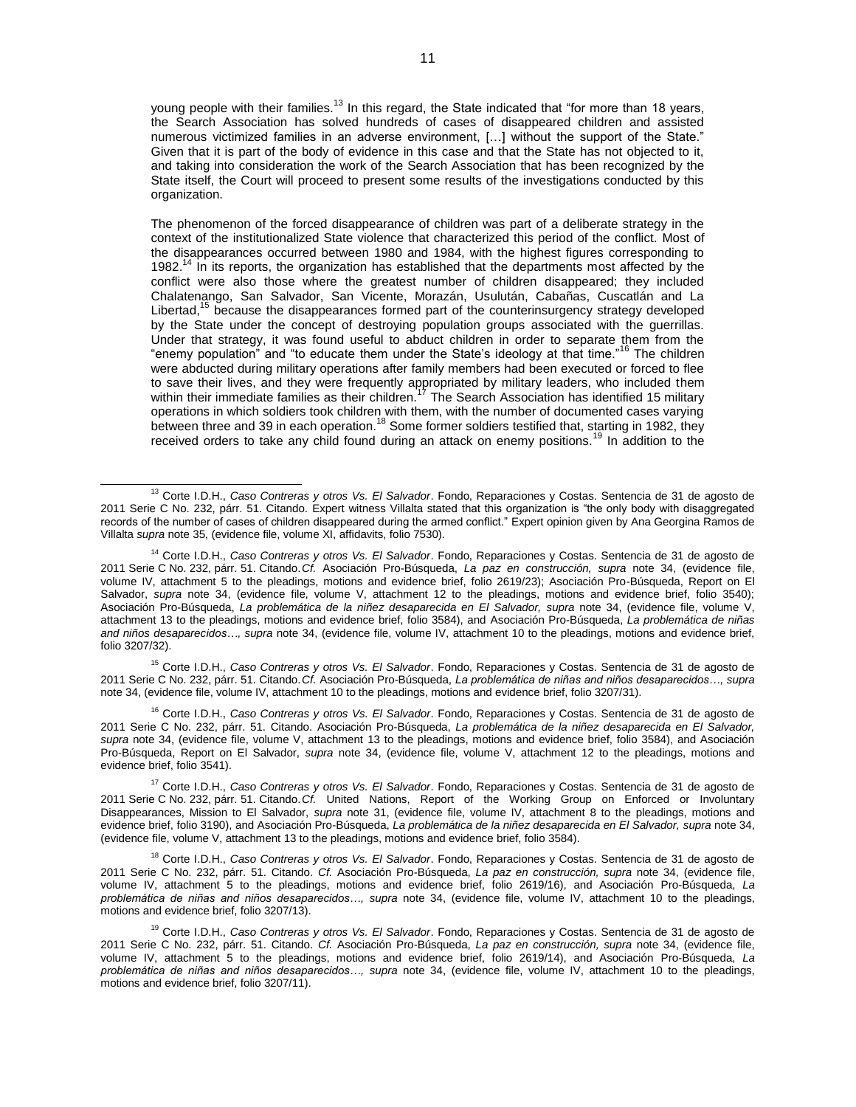young people with their families.<sup>13</sup> In this regard, the State indicated that "for more than 18 years, the Search Association has solved hundreds of cases of disappeared children and assisted numerous victimized families in an adverse environment, […] without the support of the State." Given that it is part of the body of evidence in this case and that the State has not objected to it, and taking into consideration the work of the Search Association that has been recognized by the State itself, the Court will proceed to present some results of the investigations conducted by this organization.

The phenomenon of the forced disappearance of children was part of a deliberate strategy in the context of the institutionalized State violence that characterized this period of the conflict. Most of the disappearances occurred between 1980 and 1984, with the highest figures corresponding to 1982.<sup>14</sup> In its reports, the organization has established that the departments most affected by the conflict were also those where the greatest number of children disappeared; they included Chalatenango, San Salvador, San Vicente, Morazán, Usulután, Cabañas, Cuscatlán and La Libertad,<sup>15</sup> because the disappearances formed part of the counterinsurgency strategy developed by the State under the concept of destroying population groups associated with the guerrillas. Under that strategy, it was found useful to abduct children in order to separate them from the "enemy population" and "to educate them under the State's ideology at that time."<sup>16</sup> The children were abducted during military operations after family members had been executed or forced to flee to save their lives, and they were frequently appropriated by military leaders, who included them within their immediate families as their children.<sup>17</sup> The Search Association has identified 15 military operations in which soldiers took children with them, with the number of documented cases varying between three and 39 in each operation.<sup>18</sup> Some former soldiers testified that, starting in 1982, they received orders to take any child found during an attack on enemy positions.<sup>19</sup> In addition to the

 $\overline{a}$ 

<sup>15</sup> Corte I.D.H., *Caso Contreras y otros Vs. El Salvador*. Fondo, Reparaciones y Costas. Sentencia de 31 de agosto de 2011 Serie C No. 232, párr. 51. Citando.*Cf.* Asociación Pro-Búsqueda, *La problemática de niñas and niños desaparecidos…, supra*  note 34, (evidence file, volume IV, attachment 10 to the pleadings, motions and evidence brief, folio 3207/31).

<sup>16</sup> Corte I.D.H., *Caso Contreras y otros Vs. El Salvador*. Fondo, Reparaciones y Costas. Sentencia de 31 de agosto de 2011 Serie C No. 232, párr. 51. Citando. Asociación Pro-Búsqueda, *La problemática de la niñez desaparecida en El Salvador, supra* note 34, (evidence file, volume V, attachment 13 to the pleadings, motions and evidence brief, folio 3584), and Asociación Pro-Búsqueda, Report on El Salvador, *supra* note 34, (evidence file, volume V, attachment 12 to the pleadings, motions and evidence brief, folio 3541).

<sup>13</sup> Corte I.D.H., *Caso Contreras y otros Vs. El Salvador*. Fondo, Reparaciones y Costas. Sentencia de 31 de agosto de 2011 Serie C No. 232, párr. 51. Citando. Expert witness Villalta stated that this organization is "the only body with disaggregated records of the number of cases of children disappeared during the armed conflict." Expert opinion given by Ana Georgina Ramos de Villalta *supra* note 35, (evidence file, volume XI, affidavits, folio 7530).

<sup>14</sup> Corte I.D.H., *Caso Contreras y otros Vs. El Salvador*. Fondo, Reparaciones y Costas. Sentencia de 31 de agosto de 2011 Serie C No. 232, párr. 51. Citando.*Cf.* Asociación Pro-Búsqueda, *La paz en construcción, supra* note 34, (evidence file, volume IV, attachment 5 to the pleadings, motions and evidence brief, folio 2619/23); Asociación Pro-Búsqueda, Report on El Salvador, *supra* note 34, (evidence file, volume V, attachment 12 to the pleadings, motions and evidence brief, folio 3540); Asociación Pro-Búsqueda, *La problemática de la niñez desaparecida en El Salvador, supra* note 34, (evidence file, volume V, attachment 13 to the pleadings, motions and evidence brief, folio 3584), and Asociación Pro-Búsqueda, *La problemática de niñas and niños desaparecidos…, supra* note 34, (evidence file, volume IV, attachment 10 to the pleadings, motions and evidence brief, folio 3207/32).

<sup>17</sup> Corte I.D.H., *Caso Contreras y otros Vs. El Salvador*. Fondo, Reparaciones y Costas. Sentencia de 31 de agosto de 2011 Serie C No. 232, párr. 51. Citando.*Cf.* United Nations, Report of the Working Group on Enforced or Involuntary Disappearances, Mission to El Salvador, *supra* note 31, (evidence file, volume IV, attachment 8 to the pleadings, motions and evidence brief, folio 3190), and Asociación Pro-Búsqueda, *La problemática de la niñez desaparecida en El Salvador, supra* note 34, (evidence file, volume V, attachment 13 to the pleadings, motions and evidence brief, folio 3584).

<sup>18</sup> Corte I.D.H., *Caso Contreras y otros Vs. El Salvador*. Fondo, Reparaciones y Costas. Sentencia de 31 de agosto de 2011 Serie C No. 232, párr. 51. Citando. *Cf.* Asociación Pro-Búsqueda, *La paz en construcción, supra* note 34, (evidence file, volume IV, attachment 5 to the pleadings, motions and evidence brief, folio 2619/16), and Asociación Pro-Búsqueda, *La problemática de niñas and niños desaparecidos…, supra* note 34, (evidence file, volume IV, attachment 10 to the pleadings, motions and evidence brief, folio 3207/13).

<sup>19</sup> Corte I.D.H., *Caso Contreras y otros Vs. El Salvador*. Fondo, Reparaciones y Costas. Sentencia de 31 de agosto de 2011 Serie C No. 232, párr. 51. Citando. *Cf.* Asociación Pro-Búsqueda, *La paz en construcción, supra* note 34, (evidence file, volume IV, attachment 5 to the pleadings, motions and evidence brief, folio 2619/14), and Asociación Pro-Búsqueda, *La problemática de niñas and niños desaparecidos…, supra* note 34, (evidence file, volume IV, attachment 10 to the pleadings, motions and evidence brief, folio 3207/11).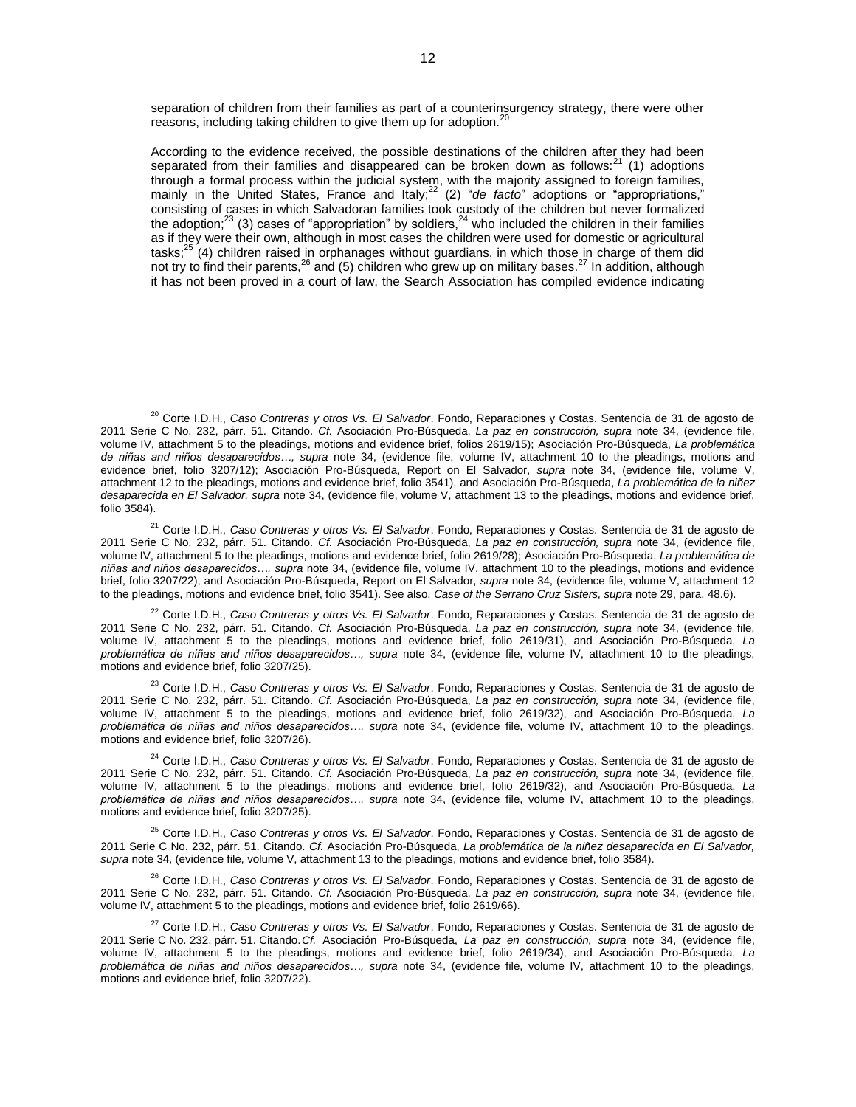separation of children from their families as part of a counterinsurgency strategy, there were other reasons, including taking children to give them up for adoption.<sup>20</sup>

According to the evidence received, the possible destinations of the children after they had been separated from their families and disappeared can be broken down as follows: $^{21}$  (1) adoptions through a formal process within the judicial system, with the majority assigned to foreign families, mainly in the United States, France and Italy;<sup>22</sup> (2) "*de facto*" adoptions or "appropriations," consisting of cases in which Salvadoran families took custody of the children but never formalized the adoption;<sup>23</sup> (3) cases of "appropriation" by soldiers,<sup>24</sup> who included the children in their families as if they were their own, although in most cases the children were used for domestic or agricultural tasks;<sup>25</sup> (4) children raised in orphanages without guardians, in which those in charge of them did not try to find their parents,<sup>26</sup> and (5) children who grew up on military bases.<sup>27</sup> In addition, although it has not been proved in a court of law, the Search Association has compiled evidence indicating

 $\overline{a}$ 

<sup>22</sup> Corte I.D.H., *Caso Contreras y otros Vs. El Salvador*. Fondo, Reparaciones y Costas. Sentencia de 31 de agosto de 2011 Serie C No. 232, párr. 51. Citando. *Cf.* Asociación Pro-Búsqueda, *La paz en construcción, supra* note 34, (evidence file, volume IV, attachment 5 to the pleadings, motions and evidence brief, folio 2619/31), and Asociación Pro-Búsqueda, *La problemática de niñas and niños desaparecidos…, supra* note 34, (evidence file, volume IV, attachment 10 to the pleadings, motions and evidence brief, folio 3207/25).

<sup>23</sup> Corte I.D.H., *Caso Contreras y otros Vs. El Salvador*. Fondo, Reparaciones y Costas. Sentencia de 31 de agosto de 2011 Serie C No. 232, párr. 51. Citando. *Cf.* Asociación Pro-Búsqueda, *La paz en construcción, supra* note 34, (evidence file, volume IV, attachment 5 to the pleadings, motions and evidence brief, folio 2619/32), and Asociación Pro-Búsqueda, *La problemática de niñas and niños desaparecidos…, supra* note 34, (evidence file, volume IV, attachment 10 to the pleadings, motions and evidence brief, folio 3207/26).

<sup>24</sup> Corte I.D.H., *Caso Contreras y otros Vs. El Salvador*. Fondo, Reparaciones y Costas. Sentencia de 31 de agosto de 2011 Serie C No. 232, párr. 51. Citando. *Cf.* Asociación Pro-Búsqueda, *La paz en construcción, supra* note 34, (evidence file, volume IV, attachment 5 to the pleadings, motions and evidence brief, folio 2619/32), and Asociación Pro-Búsqueda, *La problemática de niñas and niños desaparecidos…, supra* note 34, (evidence file, volume IV, attachment 10 to the pleadings, motions and evidence brief, folio 3207/25).

<sup>25</sup> Corte I.D.H., *Caso Contreras y otros Vs. El Salvador*. Fondo, Reparaciones y Costas. Sentencia de 31 de agosto de 2011 Serie C No. 232, párr. 51. Citando. *Cf.* Asociación Pro-Búsqueda, *La problemática de la niñez desaparecida en El Salvador, supra* note 34, (evidence file, volume V, attachment 13 to the pleadings, motions and evidence brief, folio 3584).

<sup>26</sup> Corte I.D.H., *Caso Contreras y otros Vs. El Salvador*. Fondo, Reparaciones y Costas. Sentencia de 31 de agosto de 2011 Serie C No. 232, párr. 51. Citando. *Cf.* Asociación Pro-Búsqueda, *La paz en construcción, supra* note 34, (evidence file, volume IV, attachment 5 to the pleadings, motions and evidence brief, folio 2619/66).

<sup>27</sup> Corte I.D.H., *Caso Contreras y otros Vs. El Salvador*. Fondo, Reparaciones y Costas. Sentencia de 31 de agosto de 2011 Serie C No. 232, párr. 51. Citando.*Cf.* Asociación Pro-Búsqueda, *La paz en construcción, supra* note 34, (evidence file, volume IV, attachment 5 to the pleadings, motions and evidence brief, folio 2619/34), and Asociación Pro-Búsqueda, *La*  problemática de niñas and niños desaparecidos..., supra note 34, (evidence file, volume IV, attachment 10 to the pleadings, motions and evidence brief, folio 3207/22).

<sup>20</sup> Corte I.D.H., *Caso Contreras y otros Vs. El Salvador*. Fondo, Reparaciones y Costas. Sentencia de 31 de agosto de 2011 Serie C No. 232, párr. 51. Citando. *Cf.* Asociación Pro-Búsqueda, *La paz en construcción, supra* note 34, (evidence file, volume IV, attachment 5 to the pleadings, motions and evidence brief, folios 2619/15); Asociación Pro-Búsqueda, *La problemática de niñas and niños desaparecidos…, supra* note 34, (evidence file, volume IV, attachment 10 to the pleadings, motions and evidence brief, folio 3207/12); Asociación Pro-Búsqueda, Report on El Salvador, *supra* note 34, (evidence file, volume V, attachment 12 to the pleadings, motions and evidence brief, folio 3541), and Asociación Pro-Búsqueda, *La problemática de la niñez desaparecida en El Salvador, supra* note 34, (evidence file, volume V, attachment 13 to the pleadings, motions and evidence brief, folio 3584).

<sup>21</sup> Corte I.D.H., *Caso Contreras y otros Vs. El Salvador*. Fondo, Reparaciones y Costas. Sentencia de 31 de agosto de 2011 Serie C No. 232, párr. 51. Citando. *Cf.* Asociación Pro-Búsqueda, *La paz en construcción, supra* note 34, (evidence file, volume IV, attachment 5 to the pleadings, motions and evidence brief, folio 2619/28); Asociación Pro-Búsqueda, *La problemática de niñas and niños desaparecidos…, supra* note 34, (evidence file, volume IV, attachment 10 to the pleadings, motions and evidence brief, folio 3207/22), and Asociación Pro-Búsqueda, Report on El Salvador, *supra* note 34, (evidence file, volume V, attachment 12 to the pleadings, motions and evidence brief, folio 3541). See also, *Case of the Serrano Cruz Sisters, supra* note 29, para. 48.6).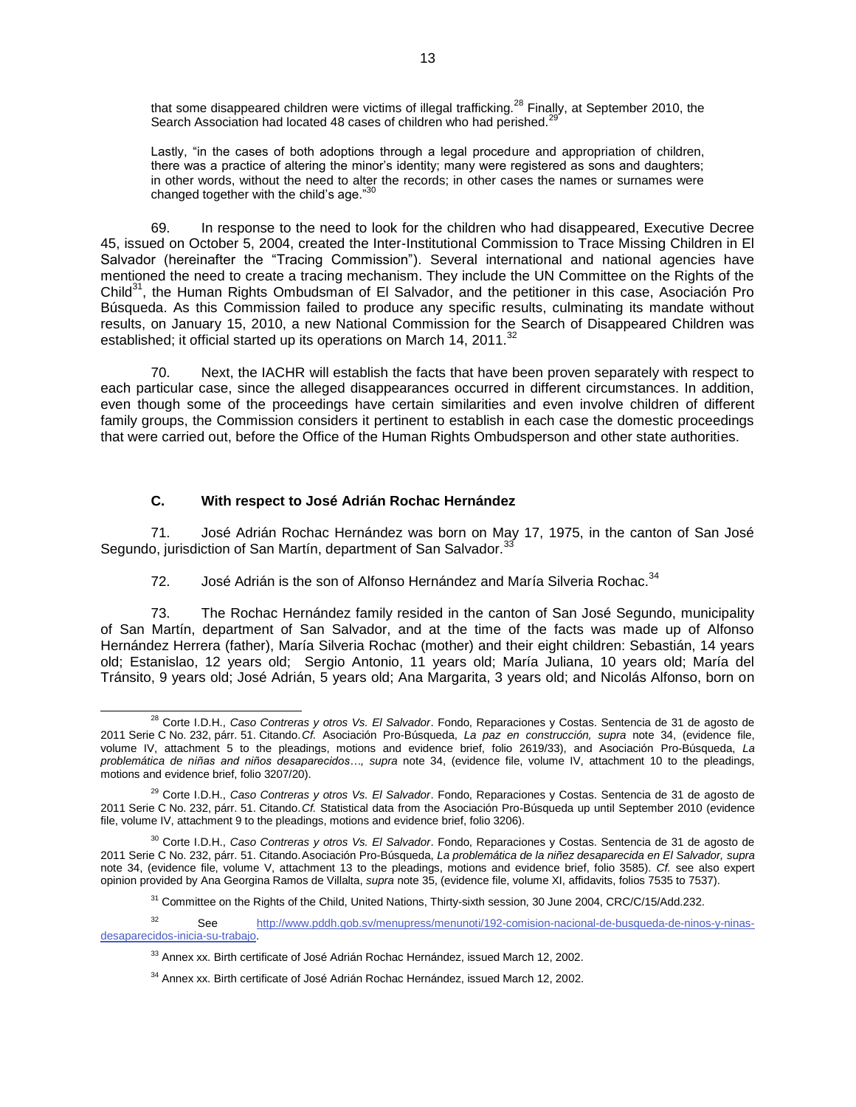that some disappeared children were victims of illegal trafficking.<sup>28</sup> Finally, at September 2010, the Search Association had located 48 cases of children who had perished.<sup>29</sup>

Lastly, "in the cases of both adoptions through a legal procedure and appropriation of children, there was a practice of altering the minor's identity; many were registered as sons and daughters; in other words, without the need to alter the records; in other cases the names or surnames were changed together with the child's age." $30$ 

69. In response to the need to look for the children who had disappeared, Executive Decree 45, issued on October 5, 2004, created the Inter-Institutional Commission to Trace Missing Children in El Salvador (hereinafter the "Tracing Commission"). Several international and national agencies have mentioned the need to create a tracing mechanism. They include the UN Committee on the Rights of the Child<sup>31</sup>, the Human Rights Ombudsman of El Salvador, and the petitioner in this case, Asociación Pro Búsqueda. As this Commission failed to produce any specific results, culminating its mandate without results, on January 15, 2010, a new National Commission for the Search of Disappeared Children was established; it official started up its operations on March 14, 2011.<sup>32</sup>

70. Next, the IACHR will establish the facts that have been proven separately with respect to each particular case, since the alleged disappearances occurred in different circumstances. In addition, even though some of the proceedings have certain similarities and even involve children of different family groups, the Commission considers it pertinent to establish in each case the domestic proceedings that were carried out, before the Office of the Human Rights Ombudsperson and other state authorities.

## **C. With respect to José Adrián Rochac Hernández**

71. José Adrián Rochac Hernández was born on May 17, 1975, in the canton of San José Segundo, jurisdiction of San Martín, department of San Salvador.<sup>33</sup>

72. José Adrián is the son of Alfonso Hernández and María Silveria Rochac.<sup>34</sup>

73. The Rochac Hernández family resided in the canton of San José Segundo, municipality of San Martín, department of San Salvador, and at the time of the facts was made up of Alfonso Hernández Herrera (father), María Silveria Rochac (mother) and their eight children: Sebastián, 14 years old; Estanislao, 12 years old; Sergio Antonio, 11 years old; María Juliana, 10 years old; María del Tránsito, 9 years old; José Adrián, 5 years old; Ana Margarita, 3 years old; and Nicolás Alfonso, born on

l <sup>28</sup> Corte I.D.H., *Caso Contreras y otros Vs. El Salvador*. Fondo, Reparaciones y Costas. Sentencia de 31 de agosto de 2011 Serie C No. 232, párr. 51. Citando.*Cf.* Asociación Pro-Búsqueda, *La paz en construcción, supra* note 34, (evidence file, volume IV, attachment 5 to the pleadings, motions and evidence brief, folio 2619/33), and Asociación Pro-Búsqueda, *La problemática de niñas and niños desaparecidos…, supra* note 34, (evidence file, volume IV, attachment 10 to the pleadings, motions and evidence brief, folio 3207/20).

<sup>29</sup> Corte I.D.H., *Caso Contreras y otros Vs. El Salvador*. Fondo, Reparaciones y Costas. Sentencia de 31 de agosto de 2011 Serie C No. 232, párr. 51. Citando.*Cf.* Statistical data from the Asociación Pro-Búsqueda up until September 2010 (evidence file, volume IV, attachment 9 to the pleadings, motions and evidence brief, folio 3206).

<sup>30</sup> Corte I.D.H., *Caso Contreras y otros Vs. El Salvador*. Fondo, Reparaciones y Costas. Sentencia de 31 de agosto de 2011 Serie C No. 232, párr. 51. Citando.Asociación Pro-Búsqueda, *La problemática de la niñez desaparecida en El Salvador, supra*  note 34, (evidence file, volume V, attachment 13 to the pleadings, motions and evidence brief, folio 3585). *Cf.* see also expert opinion provided by Ana Georgina Ramos de Villalta, *supra* note 35, (evidence file, volume XI, affidavits, folios 7535 to 7537).

<sup>&</sup>lt;sup>31</sup> Committee on the Rights of the Child, United Nations, Thirty-sixth session, 30 June 2004, CRC/C/15/Add.232.

<sup>32</sup> See [http://www.pddh.gob.sv/menupress/menunoti/192-comision-nacional-de-busqueda-de-ninos-y-ninas](http://www.pddh.gob.sv/menupress/menunoti/192-comision-nacional-de-busqueda-de-ninos-y-ninas-desaparecidos-inicia-su-trabajo)[desaparecidos-inicia-su-trabajo.](http://www.pddh.gob.sv/menupress/menunoti/192-comision-nacional-de-busqueda-de-ninos-y-ninas-desaparecidos-inicia-su-trabajo)

<sup>&</sup>lt;sup>33</sup> Annex xx. Birth certificate of José Adrián Rochac Hernández, issued March 12, 2002.

<sup>&</sup>lt;sup>34</sup> Annex xx. Birth certificate of José Adrián Rochac Hernández, issued March 12, 2002.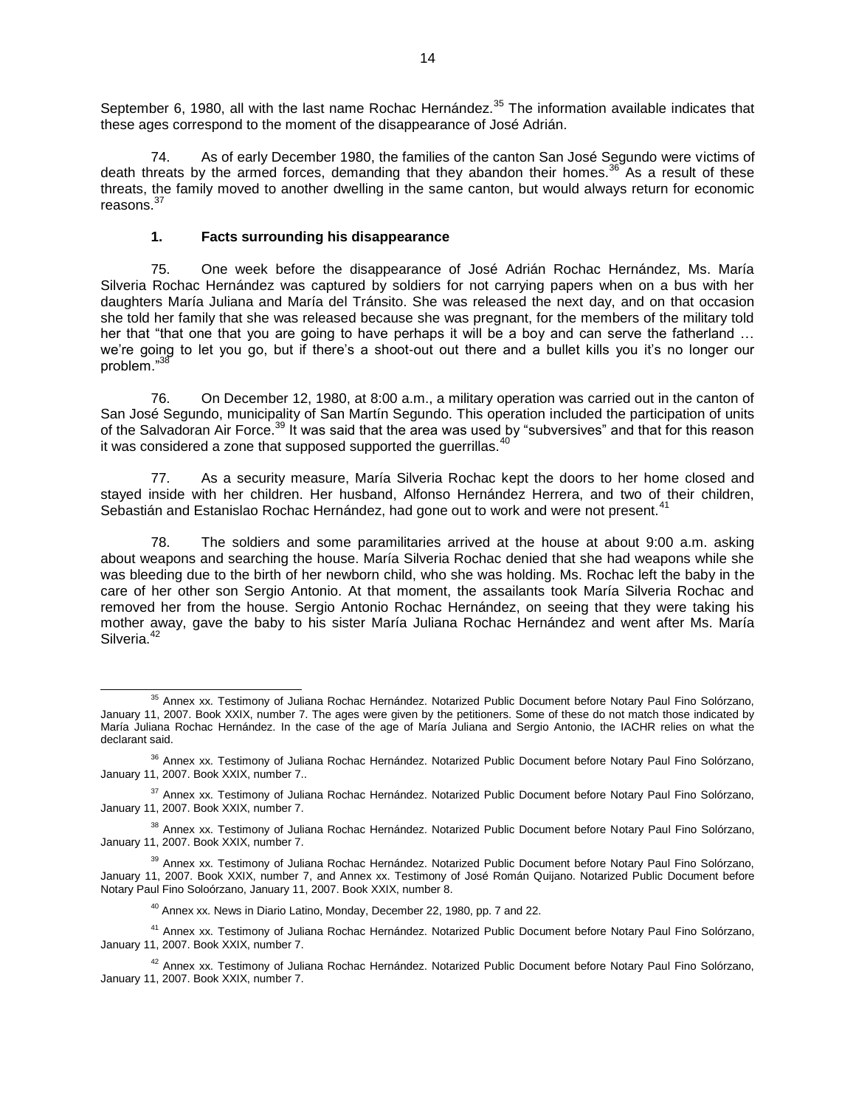September 6, 1980, all with the last name Rochac Hernández.<sup>35</sup> The information available indicates that these ages correspond to the moment of the disappearance of José Adrián.

74. As of early December 1980, the families of the canton San José Segundo were victims of death threats by the armed forces, demanding that they abandon their homes.<sup>36</sup> As a result of these threats, the family moved to another dwelling in the same canton, but would always return for economic reasons.<sup>37</sup>

### **1. Facts surrounding his disappearance**

75. One week before the disappearance of José Adrián Rochac Hernández, Ms. María Silveria Rochac Hernández was captured by soldiers for not carrying papers when on a bus with her daughters María Juliana and María del Tránsito. She was released the next day, and on that occasion she told her family that she was released because she was pregnant, for the members of the military told her that "that one that you are going to have perhaps it will be a boy and can serve the fatherland ... we're going to let you go, but if there's a shoot-out out there and a bullet kills you it's no longer our problem."<sup>38</sup>

76. On December 12, 1980, at 8:00 a.m., a military operation was carried out in the canton of San José Segundo, municipality of San Martín Segundo. This operation included the participation of units of the Salvadoran Air Force.<sup>39</sup> It was said that the area was used by "subversives" and that for this reason it was considered a zone that supposed supported the querrillas.  $40$ 

77. As a security measure, María Silveria Rochac kept the doors to her home closed and stayed inside with her children. Her husband, Alfonso Hernández Herrera, and two of their children, Sebastián and Estanislao Rochac Hernández, had gone out to work and were not present.<sup>41</sup>

78. The soldiers and some paramilitaries arrived at the house at about 9:00 a.m. asking about weapons and searching the house. María Silveria Rochac denied that she had weapons while she was bleeding due to the birth of her newborn child, who she was holding. Ms. Rochac left the baby in the care of her other son Sergio Antonio. At that moment, the assailants took María Silveria Rochac and removed her from the house. Sergio Antonio Rochac Hernández, on seeing that they were taking his mother away, gave the baby to his sister María Juliana Rochac Hernández and went after Ms. María Silveria.<sup>42</sup>

 $\overline{a}$ <sup>35</sup> Annex xx. Testimony of Juliana Rochac Hernández. Notarized Public Document before Notary Paul Fino Solórzano, January 11, 2007. Book XXIX, number 7. The ages were given by the petitioners. Some of these do not match those indicated by María Juliana Rochac Hernández. In the case of the age of María Juliana and Sergio Antonio, the IACHR relies on what the declarant said.

<sup>&</sup>lt;sup>36</sup> Annex xx. Testimony of Juliana Rochac Hernández. Notarized Public Document before Notary Paul Fino Solórzano, January 11, 2007. Book XXIX, number 7..

<sup>&</sup>lt;sup>37</sup> Annex xx. Testimony of Juliana Rochac Hernández. Notarized Public Document before Notary Paul Fino Solórzano, January 11, 2007. Book XXIX, number 7.

<sup>&</sup>lt;sup>38</sup> Annex xx. Testimony of Juliana Rochac Hernández. Notarized Public Document before Notary Paul Fino Solórzano, January 11, 2007. Book XXIX, number 7.

<sup>&</sup>lt;sup>39</sup> Annex xx. Testimony of Juliana Rochac Hernández. Notarized Public Document before Notary Paul Fino Solórzano, January 11, 2007. Book XXIX, number 7, and Annex xx. Testimony of José Román Quijano. Notarized Public Document before Notary Paul Fino Soloórzano, January 11, 2007. Book XXIX, number 8.

 $^{40}$  Annex xx. News in Diario Latino, Monday, December 22, 1980, pp. 7 and 22.

<sup>41</sup> Annex xx. Testimony of Juliana Rochac Hernández. Notarized Public Document before Notary Paul Fino Solórzano, January 11, 2007. Book XXIX, number 7.

 $42$  Annex xx. Testimony of Juliana Rochac Hernández. Notarized Public Document before Notary Paul Fino Solórzano, January 11, 2007. Book XXIX, number 7.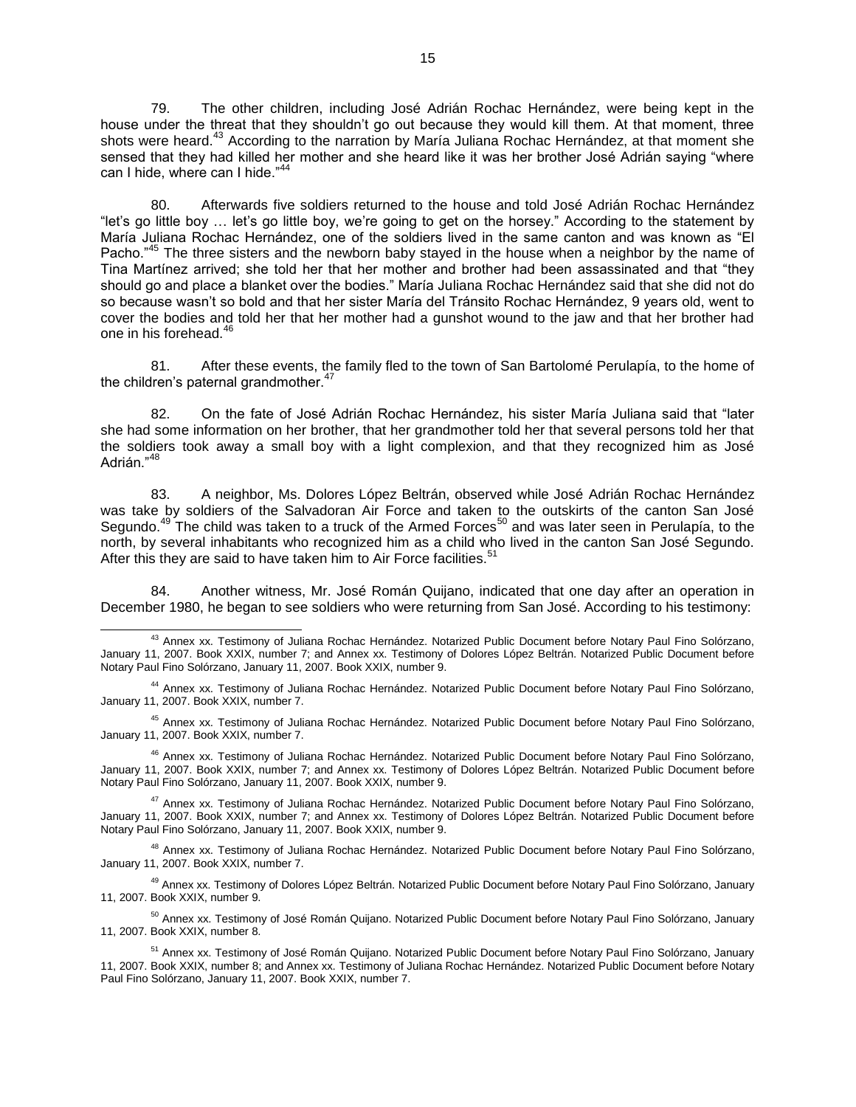79. The other children, including José Adrián Rochac Hernández, were being kept in the house under the threat that they shouldn't go out because they would kill them. At that moment, three shots were heard.<sup>43</sup> According to the narration by María Juliana Rochac Hernández, at that moment she sensed that they had killed her mother and she heard like it was her brother José Adrián saying "where can I hide, where can I hide."<sup>44</sup>

80. Afterwards five soldiers returned to the house and told José Adrián Rochac Hernández "let's go little boy … let's go little boy, we're going to get on the horsey." According to the statement by María Juliana Rochac Hernández, one of the soldiers lived in the same canton and was known as "El Pacho."<sup>45</sup> The three sisters and the newborn baby stayed in the house when a neighbor by the name of Tina Martínez arrived; she told her that her mother and brother had been assassinated and that "they should go and place a blanket over the bodies." María Juliana Rochac Hernández said that she did not do so because wasn't so bold and that her sister María del Tránsito Rochac Hernández, 9 years old, went to cover the bodies and told her that her mother had a gunshot wound to the jaw and that her brother had one in his forehead.<sup>4</sup>

81. After these events, the family fled to the town of San Bartolomé Perulapía, to the home of the children's paternal grandmother.<sup>4</sup>

82. On the fate of José Adrián Rochac Hernández, his sister María Juliana said that "later she had some information on her brother, that her grandmother told her that several persons told her that the soldiers took away a small boy with a light complexion, and that they recognized him as José Adrián."<sup>48</sup>

83. A neighbor, Ms. Dolores López Beltrán, observed while José Adrián Rochac Hernández was take by soldiers of the Salvadoran Air Force and taken to the outskirts of the canton San José Segundo.<sup>49</sup> The child was taken to a truck of the Armed Forces<sup>50</sup> and was later seen in Perulapía, to the north, by several inhabitants who recognized him as a child who lived in the canton San José Segundo. After this they are said to have taken him to Air Force facilities.<sup>51</sup>

84. Another witness, Mr. José Román Quijano, indicated that one day after an operation in December 1980, he began to see soldiers who were returning from San José. According to his testimony:

l

- <sup>45</sup> Annex xx. Testimony of Juliana Rochac Hernández. Notarized Public Document before Notary Paul Fino Solórzano, January 11, 2007. Book XXIX, number 7.
- <sup>46</sup> Annex xx. Testimony of Juliana Rochac Hernández. Notarized Public Document before Notary Paul Fino Solórzano, January 11, 2007. Book XXIX, number 7; and Annex xx. Testimony of Dolores López Beltrán. Notarized Public Document before Notary Paul Fino Solórzano, January 11, 2007. Book XXIX, number 9.
- <sup>47</sup> Annex xx. Testimony of Juliana Rochac Hernández. Notarized Public Document before Notary Paul Fino Solórzano, January 11, 2007. Book XXIX, number 7; and Annex xx. Testimony of Dolores López Beltrán. Notarized Public Document before Notary Paul Fino Solórzano, January 11, 2007. Book XXIX, number 9.
- <sup>48</sup> Annex xx. Testimony of Juliana Rochac Hernández. Notarized Public Document before Notary Paul Fino Solórzano, January 11, 2007. Book XXIX, number 7.
- <sup>49</sup> Annex xx. Testimony of Dolores López Beltrán. Notarized Public Document before Notary Paul Fino Solórzano, January 11, 2007. Book XXIX, number 9.

<sup>50</sup> Annex xx. Testimony of José Román Quijano. Notarized Public Document before Notary Paul Fino Solórzano, January 11, 2007. Book XXIX, number 8.

<sup>51</sup> Annex xx. Testimony of José Román Quijano. Notarized Public Document before Notary Paul Fino Solórzano, January 11, 2007. Book XXIX, number 8; and Annex xx. Testimony of Juliana Rochac Hernández. Notarized Public Document before Notary Paul Fino Solórzano, January 11, 2007. Book XXIX, number 7.

<sup>43</sup> Annex xx. Testimony of Juliana Rochac Hernández. Notarized Public Document before Notary Paul Fino Solórzano, January 11, 2007. Book XXIX, number 7; and Annex xx. Testimony of Dolores López Beltrán. Notarized Public Document before Notary Paul Fino Solórzano, January 11, 2007. Book XXIX, number 9.

<sup>&</sup>lt;sup>44</sup> Annex xx. Testimony of Juliana Rochac Hernández. Notarized Public Document before Notary Paul Fino Solórzano, January 11, 2007. Book XXIX, number 7.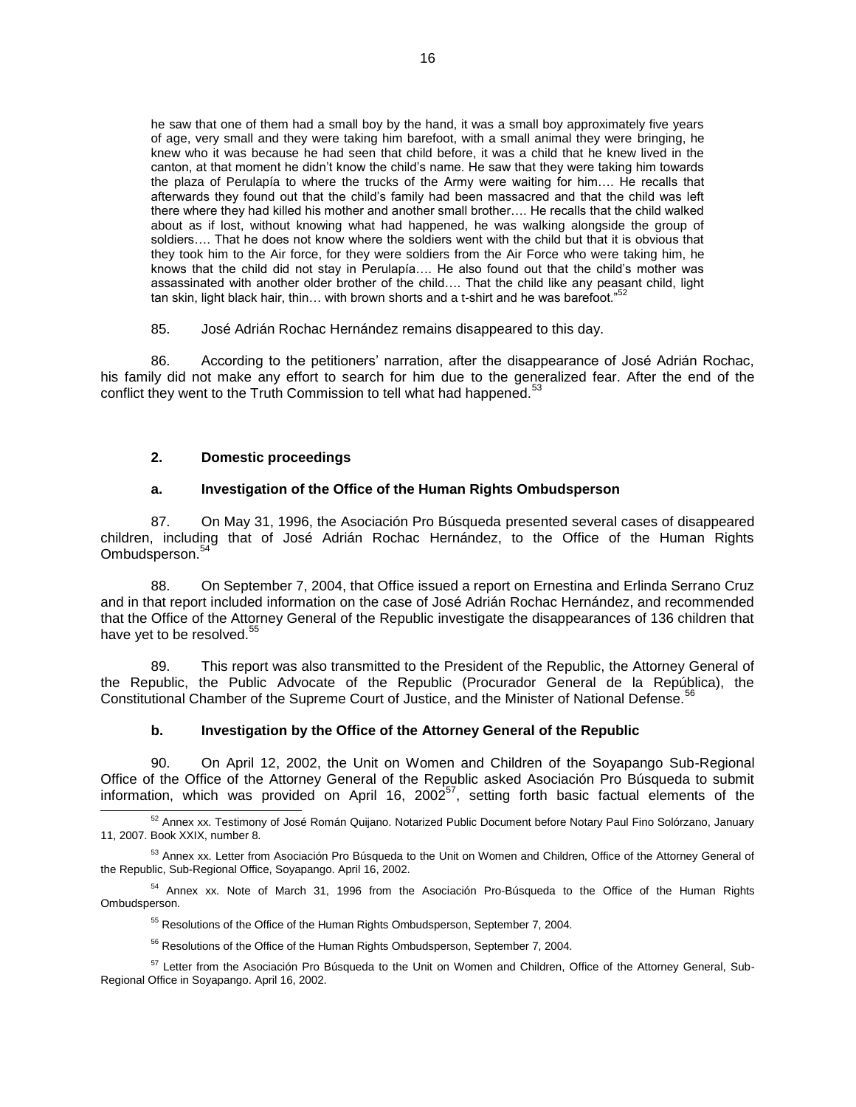he saw that one of them had a small boy by the hand, it was a small boy approximately five years of age, very small and they were taking him barefoot, with a small animal they were bringing, he knew who it was because he had seen that child before, it was a child that he knew lived in the canton, at that moment he didn't know the child's name. He saw that they were taking him towards the plaza of Perulapía to where the trucks of the Army were waiting for him…. He recalls that afterwards they found out that the child's family had been massacred and that the child was left there where they had killed his mother and another small brother…. He recalls that the child walked about as if lost, without knowing what had happened, he was walking alongside the group of soldiers…. That he does not know where the soldiers went with the child but that it is obvious that they took him to the Air force, for they were soldiers from the Air Force who were taking him, he knows that the child did not stay in Perulapía…. He also found out that the child's mother was assassinated with another older brother of the child…. That the child like any peasant child, light tan skin, light black hair, thin... with brown shorts and a t-shirt and he was barefoot."<sup>52</sup>

85. José Adrián Rochac Hernández remains disappeared to this day.

86. According to the petitioners' narration, after the disappearance of José Adrián Rochac, his family did not make any effort to search for him due to the generalized fear. After the end of the conflict they went to the Truth Commission to tell what had happened.<sup>53</sup>

### **2. Domestic proceedings**

#### **a. Investigation of the Office of the Human Rights Ombudsperson**

87. On May 31, 1996, the Asociación Pro Búsqueda presented several cases of disappeared children, including that of José Adrián Rochac Hernández, to the Office of the Human Rights Ombudsperson.<sup>54</sup>

88. On September 7, 2004, that Office issued a report on Ernestina and Erlinda Serrano Cruz and in that report included information on the case of José Adrián Rochac Hernández, and recommended that the Office of the Attorney General of the Republic investigate the disappearances of 136 children that have yet to be resolved.<sup>55</sup>

89. This report was also transmitted to the President of the Republic, the Attorney General of the Republic, the Public Advocate of the Republic (Procurador General de la República), the Constitutional Chamber of the Supreme Court of Justice, and the Minister of National Defense.<sup>56</sup>

#### **b. Investigation by the Office of the Attorney General of the Republic**

90. On April 12, 2002, the Unit on Women and Children of the Soyapango Sub-Regional Office of the Office of the Attorney General of the Republic asked Asociación Pro Búsqueda to submit information, which was provided on April 16,  $2002^{57}$ , setting forth basic factual elements of the

l <sup>52</sup> Annex xx. Testimony of José Román Quijano. Notarized Public Document before Notary Paul Fino Solórzano, January 11, 2007. Book XXIX, number 8.

<sup>53</sup> Annex xx. Letter from Asociación Pro Búsqueda to the Unit on Women and Children, Office of the Attorney General of the Republic, Sub-Regional Office, Soyapango. April 16, 2002.

<sup>54</sup> Annex xx. Note of March 31, 1996 from the Asociación Pro-Búsqueda to the Office of the Human Rights Ombudsperson.

<sup>&</sup>lt;sup>55</sup> Resolutions of the Office of the Human Rights Ombudsperson, September 7, 2004.

<sup>&</sup>lt;sup>56</sup> Resolutions of the Office of the Human Rights Ombudsperson, September 7, 2004.

<sup>&</sup>lt;sup>57</sup> Letter from the Asociación Pro Búsqueda to the Unit on Women and Children, Office of the Attorney General, Sub-Regional Office in Soyapango. April 16, 2002.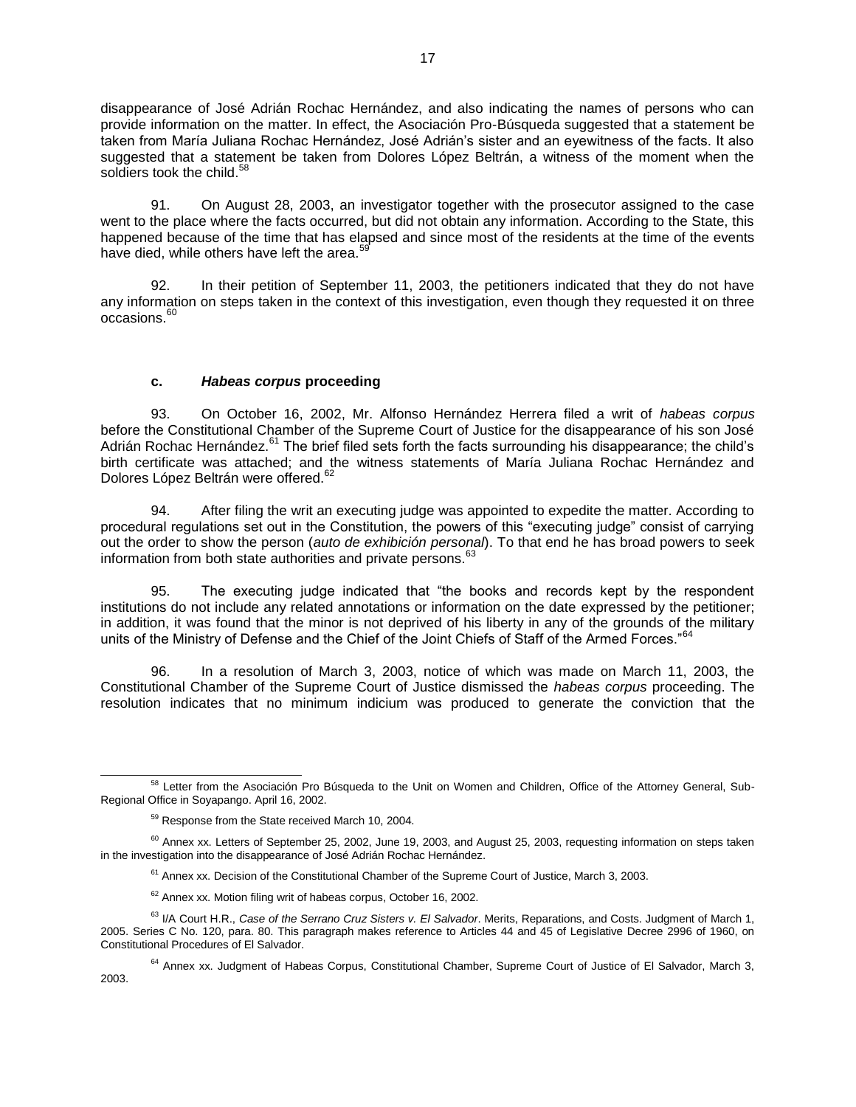disappearance of José Adrián Rochac Hernández, and also indicating the names of persons who can provide information on the matter. In effect, the Asociación Pro-Búsqueda suggested that a statement be taken from María Juliana Rochac Hernández, José Adrián's sister and an eyewitness of the facts. It also suggested that a statement be taken from Dolores López Beltrán, a witness of the moment when the soldiers took the child.<sup>58</sup>

91. On August 28, 2003, an investigator together with the prosecutor assigned to the case went to the place where the facts occurred, but did not obtain any information. According to the State, this happened because of the time that has elapsed and since most of the residents at the time of the events have died, while others have left the area.<sup>5</sup>

92. In their petition of September 11, 2003, the petitioners indicated that they do not have any information on steps taken in the context of this investigation, even though they requested it on three occasions.<sup>60</sup>

### **c.** *Habeas corpus* **proceeding**

93. On October 16, 2002, Mr. Alfonso Hernández Herrera filed a writ of *habeas corpus* before the Constitutional Chamber of the Supreme Court of Justice for the disappearance of his son José Adrián Rochac Hernández.<sup>61</sup> The brief filed sets forth the facts surrounding his disappearance; the child's birth certificate was attached; and the witness statements of María Juliana Rochac Hernández and Dolores López Beltrán were offered.<sup>62</sup>

94. After filing the writ an executing judge was appointed to expedite the matter. According to procedural regulations set out in the Constitution, the powers of this "executing judge" consist of carrying out the order to show the person (*auto de exhibición personal*). To that end he has broad powers to seek information from both state authorities and private persons.<sup>63</sup>

95. The executing judge indicated that "the books and records kept by the respondent institutions do not include any related annotations or information on the date expressed by the petitioner; in addition, it was found that the minor is not deprived of his liberty in any of the grounds of the military units of the Ministry of Defense and the Chief of the Joint Chiefs of Staff of the Armed Forces."<sup>64</sup>

96. In a resolution of March 3, 2003, notice of which was made on March 11, 2003, the Constitutional Chamber of the Supreme Court of Justice dismissed the *habeas corpus* proceeding. The resolution indicates that no minimum indicium was produced to generate the conviction that the

l <sup>58</sup> Letter from the Asociación Pro Búsqueda to the Unit on Women and Children, Office of the Attorney General, Sub-Regional Office in Soyapango. April 16, 2002.

<sup>&</sup>lt;sup>59</sup> Response from the State received March 10, 2004.

 $60$  Annex xx. Letters of September 25, 2002, June 19, 2003, and August 25, 2003, requesting information on steps taken in the investigation into the disappearance of José Adrián Rochac Hernández.

<sup>&</sup>lt;sup>61</sup> Annex xx. Decision of the Constitutional Chamber of the Supreme Court of Justice, March 3, 2003.

 $62$  Annex xx. Motion filing writ of habeas corpus, October 16, 2002.

<sup>63</sup> I/A Court H.R., *Case of the Serrano Cruz Sisters v. El Salvador*. Merits, Reparations, and Costs. Judgment of March 1, 2005. Series C No. 120, para. 80. This paragraph makes reference to Articles 44 and 45 of Legislative Decree 2996 of 1960, on Constitutional Procedures of El Salvador.

<sup>&</sup>lt;sup>64</sup> Annex xx. Judgment of Habeas Corpus, Constitutional Chamber, Supreme Court of Justice of El Salvador, March 3, 2003.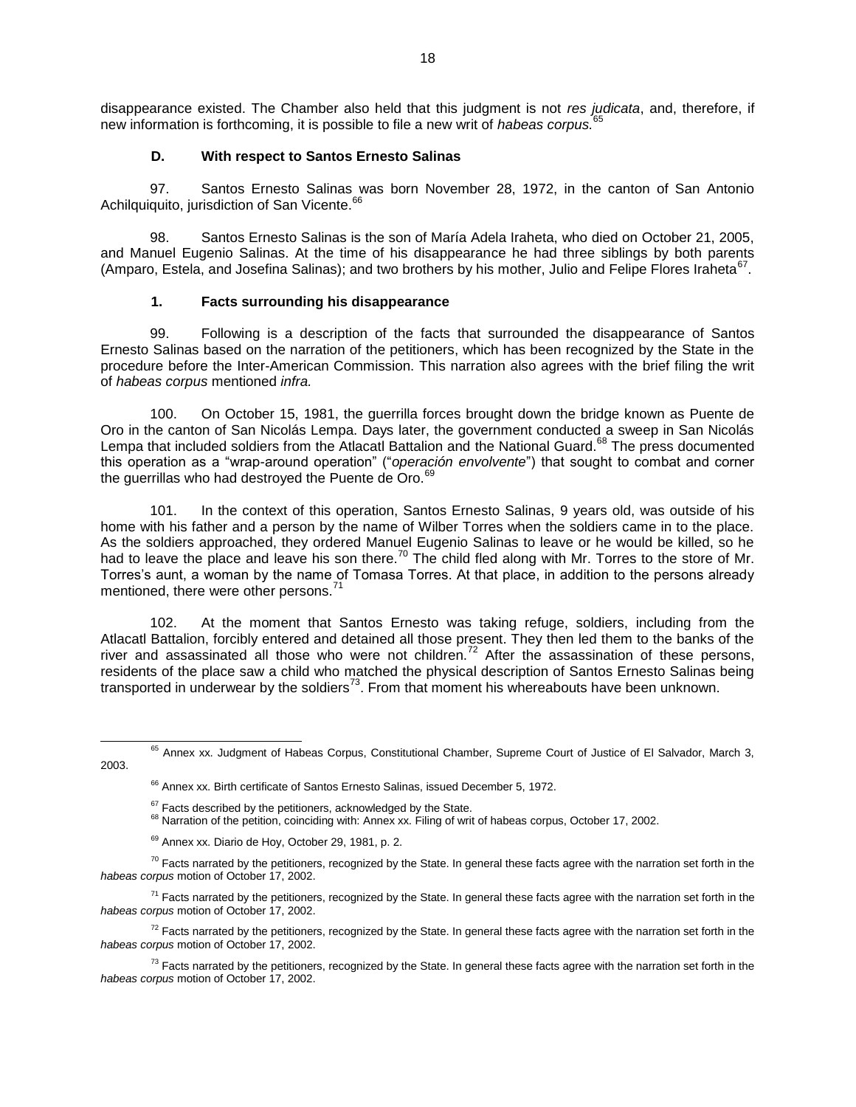disappearance existed. The Chamber also held that this judgment is not *res judicata*, and, therefore, if new information is forthcoming, it is possible to file a new writ of *habeas corpus*.<sup>6</sup>

### **D. With respect to Santos Ernesto Salinas**

97. Santos Ernesto Salinas was born November 28, 1972, in the canton of San Antonio Achilquiquito, jurisdiction of San Vicente.<sup>66</sup>

98. Santos Ernesto Salinas is the son of María Adela Iraheta, who died on October 21, 2005, and Manuel Eugenio Salinas. At the time of his disappearance he had three siblings by both parents (Amparo, Estela, and Josefina Salinas); and two brothers by his mother, Julio and Felipe Flores Iraheta<sup>67</sup>.

#### **1. Facts surrounding his disappearance**

99. Following is a description of the facts that surrounded the disappearance of Santos Ernesto Salinas based on the narration of the petitioners, which has been recognized by the State in the procedure before the Inter-American Commission. This narration also agrees with the brief filing the writ of *habeas corpus* mentioned *infra.* 

100. On October 15, 1981, the guerrilla forces brought down the bridge known as Puente de Oro in the canton of San Nicolás Lempa. Days later, the government conducted a sweep in San Nicolás Lempa that included soldiers from the Atlacatl Battalion and the National Guard.<sup>68</sup> The press documented this operation as a "wrap-around operation" ("*operación envolvente*") that sought to combat and corner the guerrillas who had destroyed the Puente de Oro.<sup>69</sup>

101. In the context of this operation, Santos Ernesto Salinas, 9 years old, was outside of his home with his father and a person by the name of Wilber Torres when the soldiers came in to the place. As the soldiers approached, they ordered Manuel Eugenio Salinas to leave or he would be killed, so he had to leave the place and leave his son there.<sup>70</sup> The child fled along with Mr. Torres to the store of Mr. Torres's aunt, a woman by the name of Tomasa Torres. At that place, in addition to the persons already mentioned, there were other persons.<sup>71</sup>

102. At the moment that Santos Ernesto was taking refuge, soldiers, including from the Atlacatl Battalion, forcibly entered and detained all those present. They then led them to the banks of the river and assassinated all those who were not children.<sup>72</sup> After the assassination of these persons, residents of the place saw a child who matched the physical description of Santos Ernesto Salinas being transported in underwear by the soldiers<sup>73</sup>. From that moment his whereabouts have been unknown.

 $\overline{a}$ 

<sup>&</sup>lt;sup>65</sup> Annex xx. Judgment of Habeas Corpus, Constitutional Chamber, Supreme Court of Justice of El Salvador, March 3, 2003.

<sup>&</sup>lt;sup>66</sup> Annex xx. Birth certificate of Santos Ernesto Salinas, issued December 5, 1972.

 $67$  Facts described by the petitioners, acknowledged by the State.

<sup>&</sup>lt;sup>68</sup> Narration of the petition, coinciding with: Annex xx. Filing of writ of habeas corpus, October 17, 2002.

<sup>&</sup>lt;sup>69</sup> Annex xx. Diario de Hoy, October 29, 1981, p. 2.

 $70$  Facts narrated by the petitioners, recognized by the State. In general these facts agree with the narration set forth in the *habeas corpus* motion of October 17, 2002.

<sup>&</sup>lt;sup>71</sup> Facts narrated by the petitioners, recognized by the State. In general these facts agree with the narration set forth in the *habeas corpus* motion of October 17, 2002.

 $72$  Facts narrated by the petitioners, recognized by the State. In general these facts agree with the narration set forth in the *habeas corpus* motion of October 17, 2002.

 $73$  Facts narrated by the petitioners, recognized by the State. In general these facts agree with the narration set forth in the *habeas corpus* motion of October 17, 2002.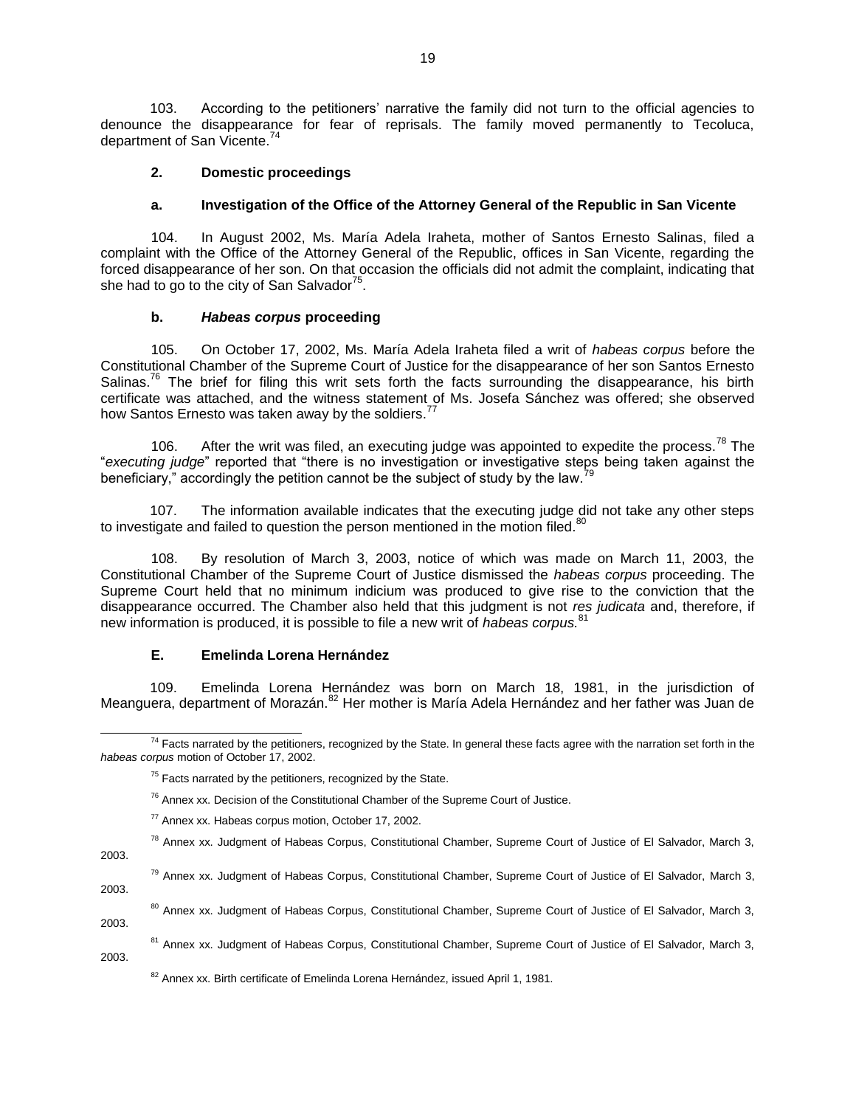103. According to the petitioners' narrative the family did not turn to the official agencies to denounce the disappearance for fear of reprisals. The family moved permanently to Tecoluca, department of San Vicente.<sup>74</sup>

## **2. Domestic proceedings**

## **a. Investigation of the Office of the Attorney General of the Republic in San Vicente**

104. In August 2002, Ms. María Adela Iraheta, mother of Santos Ernesto Salinas, filed a complaint with the Office of the Attorney General of the Republic, offices in San Vicente, regarding the forced disappearance of her son. On that occasion the officials did not admit the complaint, indicating that she had to go to the city of San Salvador<sup>75</sup>.

### **b.** *Habeas corpus* **proceeding**

105. On October 17, 2002, Ms. María Adela Iraheta filed a writ of *habeas corpus* before the Constitutional Chamber of the Supreme Court of Justice for the disappearance of her son Santos Ernesto Salinas.<sup>76</sup> The brief for filing this writ sets forth the facts surrounding the disappearance, his birth certificate was attached, and the witness statement of Ms. Josefa Sánchez was offered; she observed how Santos Ernesto was taken away by the soldiers.<sup>77</sup>

106. After the writ was filed, an executing judge was appointed to expedite the process.<sup>78</sup> The "*executing judge*" reported that "there is no investigation or investigative steps being taken against the beneficiary," accordingly the petition cannot be the subject of study by the law. $^7$ 

107. The information available indicates that the executing judge did not take any other steps to investigate and failed to question the person mentioned in the motion filed. $80$ 

108. By resolution of March 3, 2003, notice of which was made on March 11, 2003, the Constitutional Chamber of the Supreme Court of Justice dismissed the *habeas corpus* proceeding. The Supreme Court held that no minimum indicium was produced to give rise to the conviction that the disappearance occurred. The Chamber also held that this judgment is not *res judicata* and, therefore, if new information is produced, it is possible to file a new writ of *habeas corpus.*<sup>81</sup>

## **E. Emelinda Lorena Hernández**

109. Emelinda Lorena Hernández was born on March 18, 1981, in the jurisdiction of Meanguera, department of Morazán.<sup>82</sup> Her mother is María Adela Hernández and her father was Juan de

- <sup>78</sup> Annex xx. Judgment of Habeas Corpus, Constitutional Chamber, Supreme Court of Justice of El Salvador, March 3,
- 2003.

 $\overline{a}$ 

- $79$  Annex xx. Judgment of Habeas Corpus, Constitutional Chamber, Supreme Court of Justice of El Salvador, March 3, 2003.
	- 80 Annex xx. Judgment of Habeas Corpus, Constitutional Chamber, Supreme Court of Justice of El Salvador, March 3,
- 2003.

 $74$  Facts narrated by the petitioners, recognized by the State. In general these facts agree with the narration set forth in the *habeas corpus* motion of October 17, 2002.

 $75$  Facts narrated by the petitioners, recognized by the State.

<sup>&</sup>lt;sup>76</sup> Annex xx. Decision of the Constitutional Chamber of the Supreme Court of Justice.

<sup>77</sup> Annex xx. Habeas corpus motion, October 17, 2002.

<sup>&</sup>lt;sup>81</sup> Annex xx. Judgment of Habeas Corpus, Constitutional Chamber, Supreme Court of Justice of El Salvador, March 3, 2003.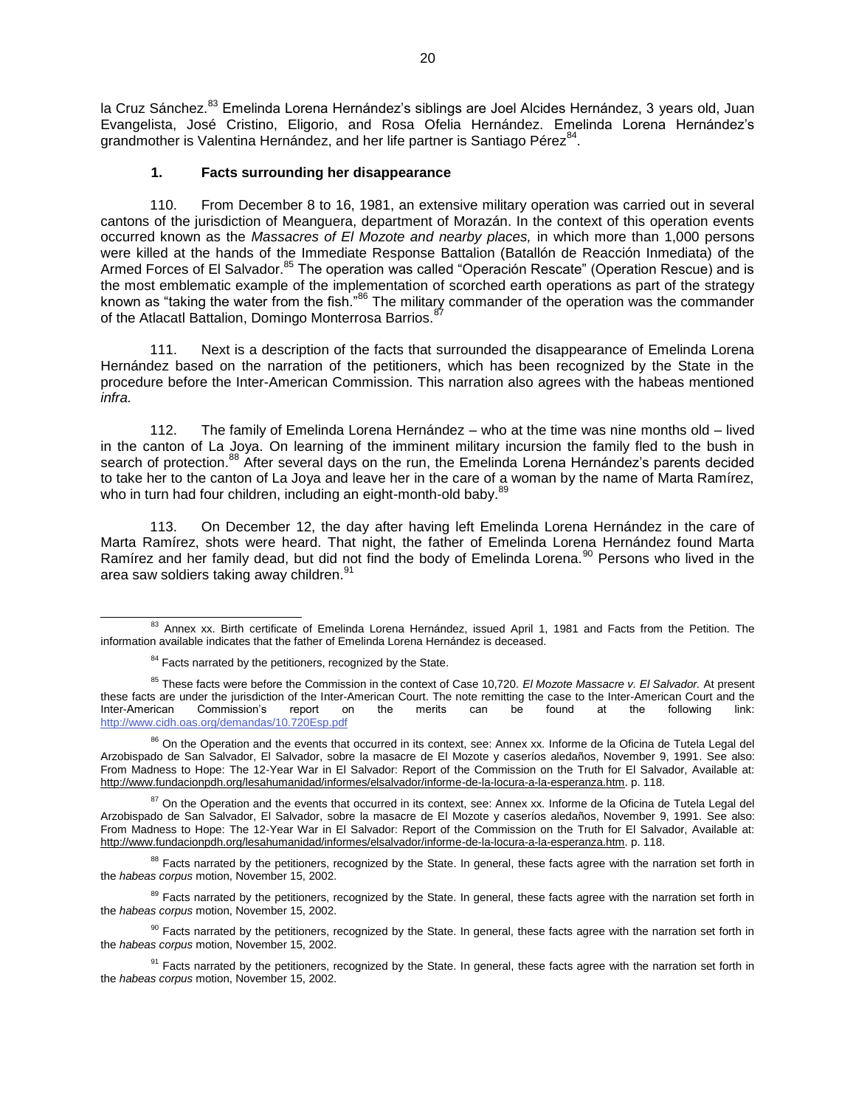la Cruz Sánchez.<sup>83</sup> Emelinda Lorena Hernández's siblings are Joel Alcides Hernández, 3 years old, Juan Evangelista, José Cristino, Eligorio, and Rosa Ofelia Hernández. Emelinda Lorena Hernández's grandmother is Valentina Hernández, and her life partner is Santiago Pérez<sup>84</sup>.

### **1. Facts surrounding her disappearance**

110. From December 8 to 16, 1981, an extensive military operation was carried out in several cantons of the jurisdiction of Meanguera, department of Morazán. In the context of this operation events occurred known as the *Massacres of El Mozote and nearby places,* in which more than 1,000 persons were killed at the hands of the Immediate Response Battalion (Batallón de Reacción Inmediata) of the Armed Forces of El Salvador.<sup>85</sup> The operation was called "Operación Rescate" (Operation Rescue) and is the most emblematic example of the implementation of scorched earth operations as part of the strategy known as "taking the water from the fish."<sup>86</sup> The military commander of the operation was the commander of the Atlacatl Battalion, Domingo Monterrosa Barrios.<sup>87</sup>

111. Next is a description of the facts that surrounded the disappearance of Emelinda Lorena Hernández based on the narration of the petitioners, which has been recognized by the State in the procedure before the Inter-American Commission. This narration also agrees with the habeas mentioned *infra.*

112. The family of Emelinda Lorena Hernández – who at the time was nine months old – lived in the canton of La Joya. On learning of the imminent military incursion the family fled to the bush in search of protection.<sup>88</sup> After several days on the run, the Emelinda Lorena Hernández's parents decided to take her to the canton of La Joya and leave her in the care of a woman by the name of Marta Ramírez, who in turn had four children, including an eight-month-old baby.<sup>89</sup>

113. On December 12, the day after having left Emelinda Lorena Hernández in the care of Marta Ramírez, shots were heard. That night, the father of Emelinda Lorena Hernández found Marta Ramírez and her family dead, but did not find the body of Emelinda Lorena.<sup>90</sup> Persons who lived in the area saw soldiers taking away children.<sup>9</sup>

 $\overline{a}$ 83 Annex xx. Birth certificate of Emelinda Lorena Hernández, issued April 1, 1981 and Facts from the Petition. The information available indicates that the father of Emelinda Lorena Hernández is deceased.

<sup>&</sup>lt;sup>84</sup> Facts narrated by the petitioners, recognized by the State.

<sup>85</sup> These facts were before the Commission in the context of Case 10,720. *El Mozote Massacre v. El Salvador.* At present these facts are under the jurisdiction of the Inter-American Court. The note remitting the case to the Inter-American Court and the Inter-American Commission's report on the merits can be found at the following link: Inter-American Commission's report on the merits can be found at the following link: <http://www.cidh.oas.org/demandas/10.720Esp.pdf>

<sup>&</sup>lt;sup>86</sup> On the Operation and the events that occurred in its context, see: Annex xx. Informe de la Oficina de Tutela Legal del Arzobispado de San Salvador, El Salvador, sobre la masacre de El Mozote y caseríos aledaños, November 9, 1991. See also: From Madness to Hope: The 12-Year War in El Salvador: Report of the Commission on the Truth for El Salvador, Available at: [http://www.fundacionpdh.org/lesahumanidad/informes/elsalvador/informe-de-la-locura-a-la-esperanza.htm.](http://www.fundacionpdh.org/lesahumanidad/informes/elsalvador/informe-de-la-locura-a-la-esperanza.htm) p. 118.

 $87$  On the Operation and the events that occurred in its context, see: Annex xx. Informe de la Oficina de Tutela Legal del Arzobispado de San Salvador, El Salvador, sobre la masacre de El Mozote y caseríos aledaños, November 9, 1991. See also: From Madness to Hope: The 12-Year War in El Salvador: Report of the Commission on the Truth for El Salvador, Available at: [http://www.fundacionpdh.org/lesahumanidad/informes/elsalvador/informe-de-la-locura-a-la-esperanza.htm.](http://www.fundacionpdh.org/lesahumanidad/informes/elsalvador/informe-de-la-locura-a-la-esperanza.htm) p. 118.

<sup>&</sup>lt;sup>88</sup> Facts narrated by the petitioners, recognized by the State. In general, these facts agree with the narration set forth in the *habeas corpus* motion, November 15, 2002.

<sup>&</sup>lt;sup>89</sup> Facts narrated by the petitioners, recognized by the State. In general, these facts agree with the narration set forth in the *habeas corpus* motion, November 15, 2002.

<sup>90</sup> Facts narrated by the petitioners, recognized by the State. In general, these facts agree with the narration set forth in the *habeas corpus* motion, November 15, 2002.

<sup>&</sup>lt;sup>91</sup> Facts narrated by the petitioners, recognized by the State. In general, these facts agree with the narration set forth in the *habeas corpus* motion, November 15, 2002.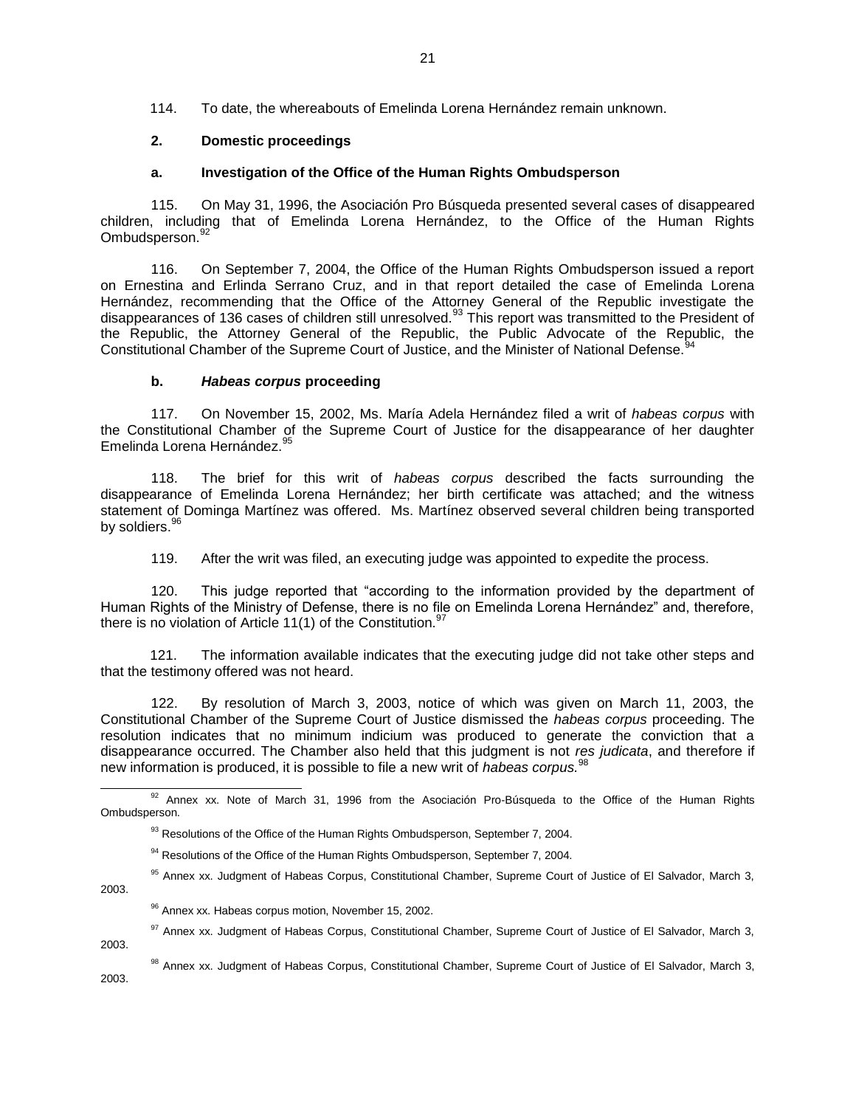114. To date, the whereabouts of Emelinda Lorena Hernández remain unknown.

#### **2. Domestic proceedings**

#### **a. Investigation of the Office of the Human Rights Ombudsperson**

115. On May 31, 1996, the Asociación Pro Búsqueda presented several cases of disappeared children, including that of Emelinda Lorena Hernández, to the Office of the Human Rights Ombudsperson.<sup>92</sup>

116. On September 7, 2004, the Office of the Human Rights Ombudsperson issued a report on Ernestina and Erlinda Serrano Cruz, and in that report detailed the case of Emelinda Lorena Hernández, recommending that the Office of the Attorney General of the Republic investigate the disappearances of 136 cases of children still unresolved.<sup>93</sup> This report was transmitted to the President of the Republic, the Attorney General of the Republic, the Public Advocate of the Republic, the Constitutional Chamber of the Supreme Court of Justice, and the Minister of National Defense.<sup>94</sup>

#### **b.** *Habeas corpus* **proceeding**

117. On November 15, 2002, Ms. María Adela Hernández filed a writ of *habeas corpus* with the Constitutional Chamber of the Supreme Court of Justice for the disappearance of her daughter Emelinda Lorena Hernández.<sup>95</sup>

118. The brief for this writ of *habeas corpus* described the facts surrounding the disappearance of Emelinda Lorena Hernández; her birth certificate was attached; and the witness statement of Dominga Martínez was offered. Ms. Martínez observed several children being transported by soldiers.<sup>9</sup>

119. After the writ was filed, an executing judge was appointed to expedite the process.

120. This judge reported that "according to the information provided by the department of Human Rights of the Ministry of Defense, there is no file on Emelinda Lorena Hernández" and, therefore, there is no violation of Article 11(1) of the Constitution. $97$ 

121. The information available indicates that the executing judge did not take other steps and that the testimony offered was not heard.

122. By resolution of March 3, 2003, notice of which was given on March 11, 2003, the Constitutional Chamber of the Supreme Court of Justice dismissed the *habeas corpus* proceeding. The resolution indicates that no minimum indicium was produced to generate the conviction that a disappearance occurred. The Chamber also held that this judgment is not *res judicata*, and therefore if new information is produced, it is possible to file a new writ of *habeas corpus*.<sup>8</sup>

95 Annex xx. Judgment of Habeas Corpus, Constitutional Chamber, Supreme Court of Justice of El Salvador, March 3, 2003.

96 Annex xx. Habeas corpus motion, November 15, 2002.

l

2003.

97 Annex xx. Judgment of Habeas Corpus, Constitutional Chamber, Supreme Court of Justice of El Salvador, March 3,

98 Annex xx. Judgment of Habeas Corpus, Constitutional Chamber, Supreme Court of Justice of El Salvador, March 3, 2003.

<sup>92</sup> Annex xx. Note of March 31, 1996 from the Asociación Pro-Búsqueda to the Office of the Human Rights Ombudsperson.

<sup>93</sup> Resolutions of the Office of the Human Rights Ombudsperson, September 7, 2004.

<sup>&</sup>lt;sup>94</sup> Resolutions of the Office of the Human Rights Ombudsperson, September 7, 2004.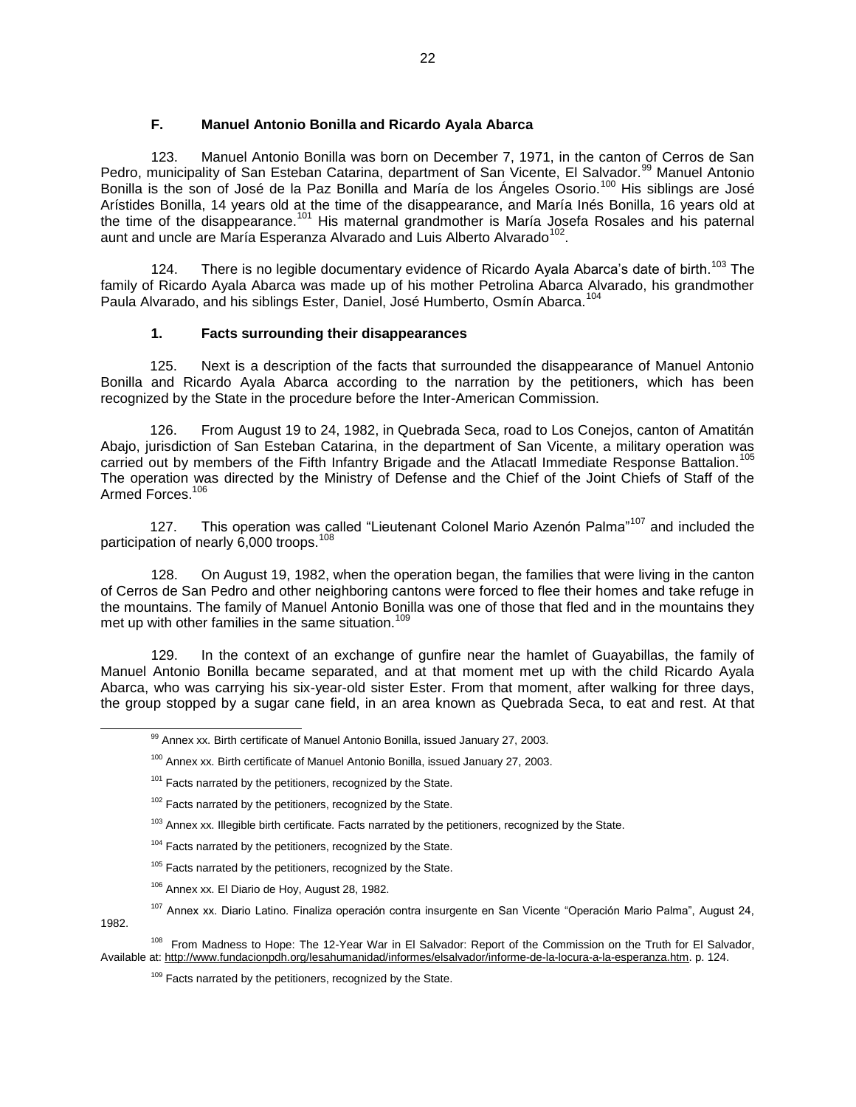## **F. Manuel Antonio Bonilla and Ricardo Ayala Abarca**

123. Manuel Antonio Bonilla was born on December 7, 1971, in the canton of Cerros de San Pedro, municipality of San Esteban Catarina, department of San Vicente, El Salvador.<sup>99</sup> Manuel Antonio Bonilla is the son of José de la Paz Bonilla and María de los Ángeles Osorio.<sup>100</sup> His siblings are José Arístides Bonilla, 14 years old at the time of the disappearance, and María Inés Bonilla, 16 years old at the time of the disappearance.<sup>101</sup> His maternal grandmother is María Josefa Rosales and his paternal aunt and uncle are María Esperanza Alvarado and Luis Alberto Alvarado<sup>102</sup> .

124. There is no legible documentary evidence of Ricardo Ayala Abarca's date of birth.<sup>103</sup> The family of Ricardo Ayala Abarca was made up of his mother Petrolina Abarca Alvarado, his grandmother Paula Alvarado, and his siblings Ester, Daniel, José Humberto, Osmín Abarca.<sup>104</sup>

### **1. Facts surrounding their disappearances**

125. Next is a description of the facts that surrounded the disappearance of Manuel Antonio Bonilla and Ricardo Ayala Abarca according to the narration by the petitioners, which has been recognized by the State in the procedure before the Inter-American Commission.

126. From August 19 to 24, 1982, in Quebrada Seca, road to Los Conejos, canton of Amatitán Abajo, jurisdiction of San Esteban Catarina, in the department of San Vicente, a military operation was carried out by members of the Fifth Infantry Brigade and the Atlacatl Immediate Response Battalion.<sup>105</sup> The operation was directed by the Ministry of Defense and the Chief of the Joint Chiefs of Staff of the Armed Forces.<sup>106</sup>

127. This operation was called "Lieutenant Colonel Mario Azenón Palma"<sup>107</sup> and included the participation of nearly 6,000 troops.<sup>108</sup>

128. On August 19, 1982, when the operation began, the families that were living in the canton of Cerros de San Pedro and other neighboring cantons were forced to flee their homes and take refuge in the mountains. The family of Manuel Antonio Bonilla was one of those that fled and in the mountains they met up with other families in the same situation.<sup>109</sup>

129. In the context of an exchange of gunfire near the hamlet of Guayabillas, the family of Manuel Antonio Bonilla became separated, and at that moment met up with the child Ricardo Ayala Abarca, who was carrying his six-year-old sister Ester. From that moment, after walking for three days, the group stopped by a sugar cane field, in an area known as Quebrada Seca, to eat and rest. At that

- $105$  Facts narrated by the petitioners, recognized by the State.
- <sup>106</sup> Annex xx. El Diario de Hoy, August 28, 1982.

l

<sup>107</sup> Annex xx. Diario Latino. Finaliza operación contra insurgente en San Vicente "Operación Mario Palma", August 24, 1982.

<sup>108</sup> From Madness to Hope: The 12-Year War in El Salvador: Report of the Commission on the Truth for El Salvador, Available at: [http://www.fundacionpdh.org/lesahumanidad/informes/elsalvador/informe-de-la-locura-a-la-esperanza.htm.](http://www.fundacionpdh.org/lesahumanidad/informes/elsalvador/informe-de-la-locura-a-la-esperanza.htm) p. 124.

<sup>99</sup> Annex xx. Birth certificate of Manuel Antonio Bonilla, issued January 27, 2003.

<sup>&</sup>lt;sup>100</sup> Annex xx. Birth certificate of Manuel Antonio Bonilla, issued January 27, 2003.

<sup>&</sup>lt;sup>101</sup> Facts narrated by the petitioners, recognized by the State.

 $102$  Facts narrated by the petitioners, recognized by the State.

<sup>&</sup>lt;sup>103</sup> Annex xx. Illegible birth certificate. Facts narrated by the petitioners, recognized by the State.

<sup>&</sup>lt;sup>104</sup> Facts narrated by the petitioners, recognized by the State.

 $109$  Facts narrated by the petitioners, recognized by the State.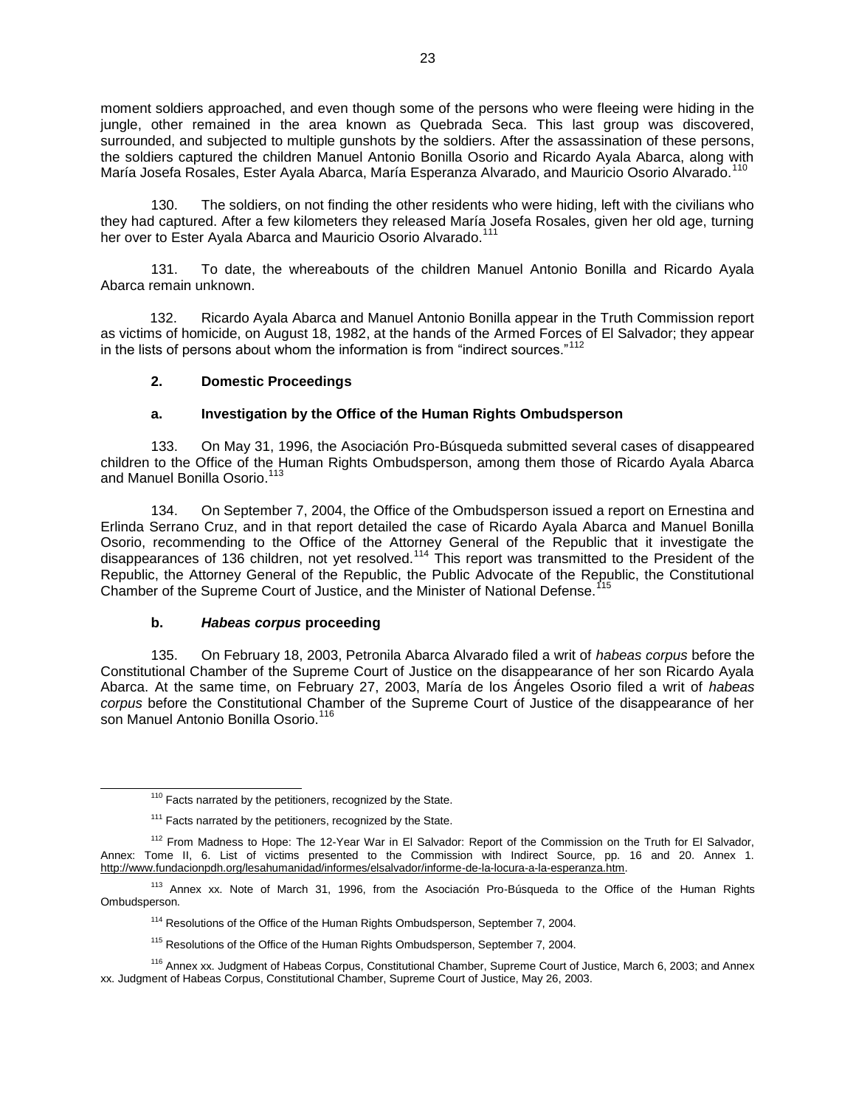moment soldiers approached, and even though some of the persons who were fleeing were hiding in the jungle, other remained in the area known as Quebrada Seca. This last group was discovered, surrounded, and subjected to multiple gunshots by the soldiers. After the assassination of these persons, the soldiers captured the children Manuel Antonio Bonilla Osorio and Ricardo Ayala Abarca, along with María Josefa Rosales, Ester Ayala Abarca, María Esperanza Alvarado, and Mauricio Osorio Alvarado.<sup>110</sup>

130. The soldiers, on not finding the other residents who were hiding, left with the civilians who they had captured. After a few kilometers they released María Josefa Rosales, given her old age, turning her over to Ester Ayala Abarca and Mauricio Osorio Alvarado.<sup>1</sup>

131. To date, the whereabouts of the children Manuel Antonio Bonilla and Ricardo Ayala Abarca remain unknown.

132. Ricardo Ayala Abarca and Manuel Antonio Bonilla appear in the Truth Commission report as victims of homicide, on August 18, 1982, at the hands of the Armed Forces of El Salvador; they appear in the lists of persons about whom the information is from "indirect sources."<sup>112</sup>

## **2. Domestic Proceedings**

## **a. Investigation by the Office of the Human Rights Ombudsperson**

133. On May 31, 1996, the Asociación Pro-Búsqueda submitted several cases of disappeared children to the Office of the Human Rights Ombudsperson, among them those of Ricardo Ayala Abarca and Manuel Bonilla Osorio.<sup>113</sup>

134. On September 7, 2004, the Office of the Ombudsperson issued a report on Ernestina and Erlinda Serrano Cruz, and in that report detailed the case of Ricardo Ayala Abarca and Manuel Bonilla Osorio, recommending to the Office of the Attorney General of the Republic that it investigate the disappearances of 136 children, not yet resolved.<sup>114</sup> This report was transmitted to the President of the Republic, the Attorney General of the Republic, the Public Advocate of the Republic, the Constitutional Chamber of the Supreme Court of Justice, and the Minister of National Defense.<sup>115</sup>

### **b.** *Habeas corpus* **proceeding**

l

135. On February 18, 2003, Petronila Abarca Alvarado filed a writ of *habeas corpus* before the Constitutional Chamber of the Supreme Court of Justice on the disappearance of her son Ricardo Ayala Abarca. At the same time, on February 27, 2003, María de los Ángeles Osorio filed a writ of *habeas corpus* before the Constitutional Chamber of the Supreme Court of Justice of the disappearance of her son Manuel Antonio Bonilla Osorio.<sup>1</sup>

<sup>&</sup>lt;sup>110</sup> Facts narrated by the petitioners, recognized by the State.

<sup>&</sup>lt;sup>111</sup> Facts narrated by the petitioners, recognized by the State.

<sup>&</sup>lt;sup>112</sup> From Madness to Hope: The 12-Year War in El Salvador: Report of the Commission on the Truth for El Salvador, Annex: Tome II, 6. List of victims presented to the Commission with Indirect Source, pp. 16 and 20. Annex 1. [http://www.fundacionpdh.org/lesahumanidad/informes/elsalvador/informe-de-la-locura-a-la-esperanza.htm.](http://www.fundacionpdh.org/lesahumanidad/informes/elsalvador/informe-de-la-locura-a-la-esperanza.htm)

<sup>113</sup> Annex xx. Note of March 31, 1996, from the Asociación Pro-Búsqueda to the Office of the Human Rights Ombudsperson.

<sup>&</sup>lt;sup>114</sup> Resolutions of the Office of the Human Rights Ombudsperson, September 7, 2004.

<sup>&</sup>lt;sup>115</sup> Resolutions of the Office of the Human Rights Ombudsperson, September 7, 2004.

<sup>116</sup> Annex xx. Judgment of Habeas Corpus, Constitutional Chamber, Supreme Court of Justice, March 6, 2003; and Annex xx. Judgment of Habeas Corpus, Constitutional Chamber, Supreme Court of Justice, May 26, 2003.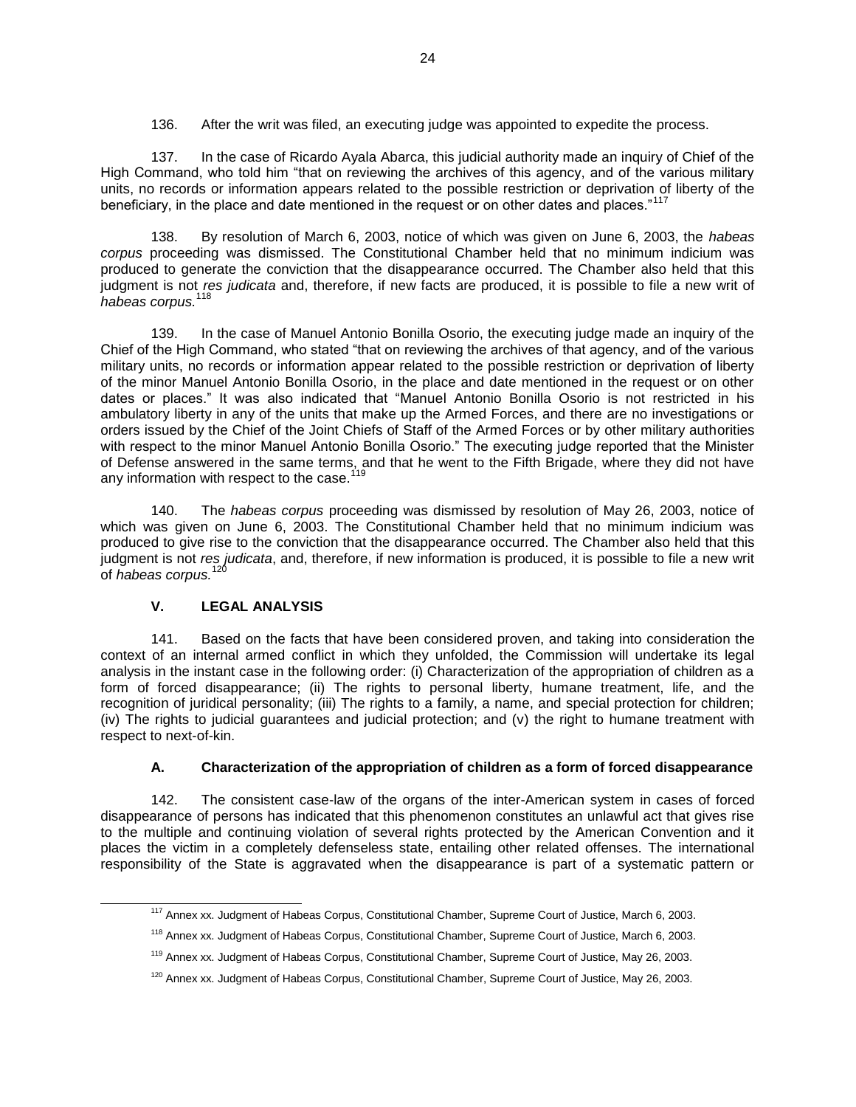136. After the writ was filed, an executing judge was appointed to expedite the process.

137. In the case of Ricardo Ayala Abarca, this judicial authority made an inquiry of Chief of the High Command, who told him "that on reviewing the archives of this agency, and of the various military units, no records or information appears related to the possible restriction or deprivation of liberty of the beneficiary, in the place and date mentioned in the request or on other dates and places."<sup>117</sup>

138. By resolution of March 6, 2003, notice of which was given on June 6, 2003, the *habeas corpus* proceeding was dismissed. The Constitutional Chamber held that no minimum indicium was produced to generate the conviction that the disappearance occurred. The Chamber also held that this judgment is not *res judicata* and, therefore, if new facts are produced, it is possible to file a new writ of *habeas corpus.*<sup>118</sup>

139. In the case of Manuel Antonio Bonilla Osorio, the executing judge made an inquiry of the Chief of the High Command, who stated "that on reviewing the archives of that agency, and of the various military units, no records or information appear related to the possible restriction or deprivation of liberty of the minor Manuel Antonio Bonilla Osorio, in the place and date mentioned in the request or on other dates or places." It was also indicated that "Manuel Antonio Bonilla Osorio is not restricted in his ambulatory liberty in any of the units that make up the Armed Forces, and there are no investigations or orders issued by the Chief of the Joint Chiefs of Staff of the Armed Forces or by other military authorities with respect to the minor Manuel Antonio Bonilla Osorio." The executing judge reported that the Minister of Defense answered in the same terms, and that he went to the Fifth Brigade, where they did not have any information with respect to the case. $^{119}$ 

140. The *habeas corpus* proceeding was dismissed by resolution of May 26, 2003, notice of which was given on June 6, 2003. The Constitutional Chamber held that no minimum indicium was produced to give rise to the conviction that the disappearance occurred. The Chamber also held that this judgment is not *res judicata*, and, therefore, if new information is produced, it is possible to file a new writ of *habeas* corpus.

## **V. LEGAL ANALYSIS**

l

141. Based on the facts that have been considered proven, and taking into consideration the context of an internal armed conflict in which they unfolded, the Commission will undertake its legal analysis in the instant case in the following order: (i) Characterization of the appropriation of children as a form of forced disappearance; (ii) The rights to personal liberty, humane treatment, life, and the recognition of juridical personality; (iii) The rights to a family, a name, and special protection for children; (iv) The rights to judicial guarantees and judicial protection; and (v) the right to humane treatment with respect to next-of-kin.

## **A. Characterization of the appropriation of children as a form of forced disappearance**

142. The consistent case-law of the organs of the inter-American system in cases of forced disappearance of persons has indicated that this phenomenon constitutes an unlawful act that gives rise to the multiple and continuing violation of several rights protected by the American Convention and it places the victim in a completely defenseless state, entailing other related offenses. The international responsibility of the State is aggravated when the disappearance is part of a systematic pattern or

<sup>117</sup> Annex xx. Judgment of Habeas Corpus, Constitutional Chamber, Supreme Court of Justice, March 6, 2003.

<sup>&</sup>lt;sup>118</sup> Annex xx. Judgment of Habeas Corpus, Constitutional Chamber, Supreme Court of Justice, March 6, 2003.

<sup>&</sup>lt;sup>119</sup> Annex xx. Judgment of Habeas Corpus, Constitutional Chamber, Supreme Court of Justice, May 26, 2003.

<sup>&</sup>lt;sup>120</sup> Annex xx. Judgment of Habeas Corpus, Constitutional Chamber, Supreme Court of Justice, May 26, 2003.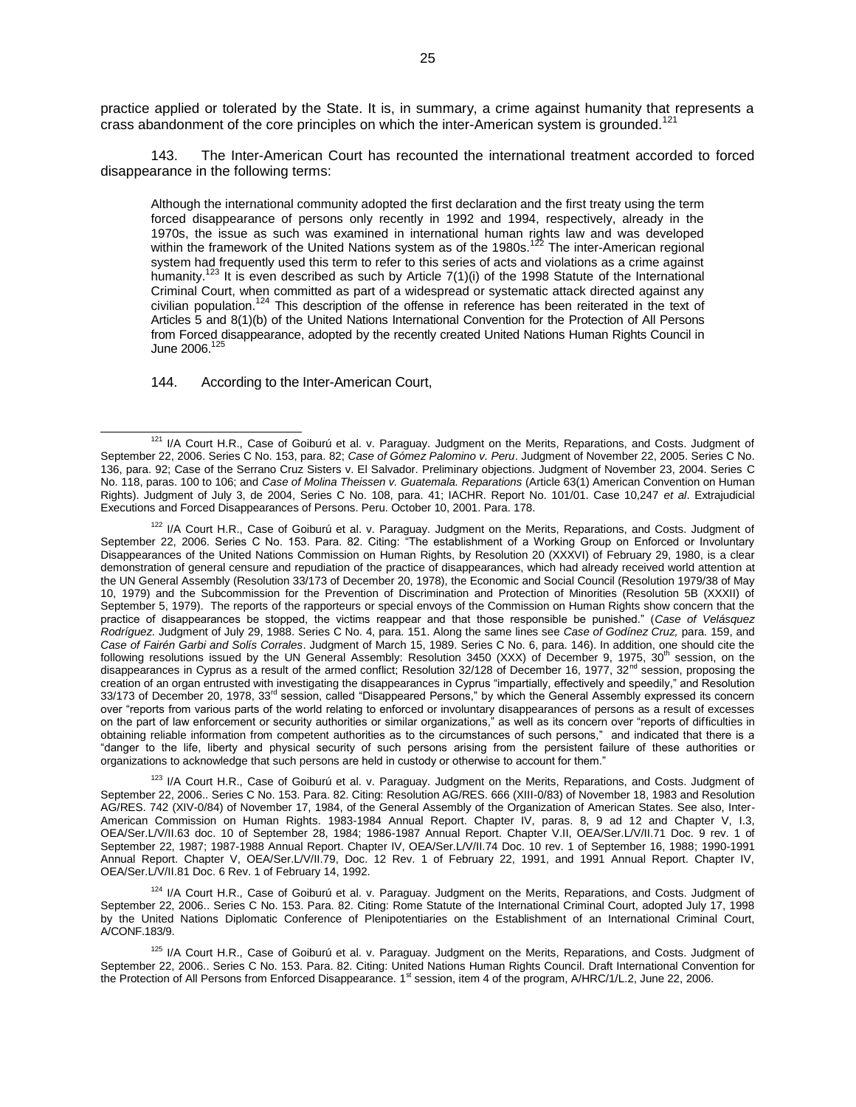practice applied or tolerated by the State. It is, in summary, a crime against humanity that represents a crass abandonment of the core principles on which the inter-American system is grounded.<sup>121</sup>

143. The Inter-American Court has recounted the international treatment accorded to forced disappearance in the following terms:

Although the international community adopted the first declaration and the first treaty using the term forced disappearance of persons only recently in 1992 and 1994, respectively, already in the 1970s, the issue as such was examined in international human rights law and was developed within the framework of the United Nations system as of the 1980s.<sup>122</sup> The inter-American regional system had frequently used this term to refer to this series of acts and violations as a crime against humanity.<sup>123</sup> It is even described as such by Article  $7(1)(i)$  of the 1998 Statute of the International Criminal Court, when committed as part of a widespread or systematic attack directed against any civilian population.<sup>124</sup> This description of the offense in reference has been reiterated in the text of Articles 5 and 8(1)(b) of the United Nations International Convention for the Protection of All Persons from Forced disappearance, adopted by the recently created United Nations Human Rights Council in June 2006.<sup>125</sup>

144. According to the Inter-American Court,

123 I/A Court H.R., Case of Goiburú et al. v. Paraguay. Judgment on the Merits, Reparations, and Costs. Judgment of September 22, 2006.. Series C No. 153. Para. 82. Citing: Resolution AG/RES. 666 (XIII-0/83) of November 18, 1983 and Resolution AG/RES. 742 (XIV-0/84) of November 17, 1984, of the General Assembly of the Organization of American States. See also, Inter-American Commission on Human Rights. 1983-1984 Annual Report. Chapter IV, paras. 8, 9 ad 12 and Chapter V, I.3, OEA/Ser.L/V/II.63 doc. 10 of September 28, 1984; 1986-1987 Annual Report. Chapter V.II, OEA/Ser.L/V/II.71 Doc. 9 rev. 1 of September 22, 1987; 1987-1988 Annual Report. Chapter IV, OEA/Ser.L/V/II.74 Doc. 10 rev. 1 of September 16, 1988; 1990-1991 Annual Report. Chapter V, OEA/Ser.L/V/II.79, Doc. 12 Rev. 1 of February 22, 1991, and 1991 Annual Report. Chapter IV, OEA/Ser.L/V/II.81 Doc. 6 Rev. 1 of February 14, 1992.

124 I/A Court H.R., Case of Goiburú et al. v. Paraguay. Judgment on the Merits, Reparations, and Costs. Judgment of September 22, 2006.. Series C No. 153. Para. 82. Citing: Rome Statute of the International Criminal Court, adopted July 17, 1998 by the United Nations Diplomatic Conference of Plenipotentiaries on the Establishment of an International Criminal Court, A/CONF.183/9.

<sup>125</sup> I/A Court H.R., Case of Goiburú et al. v. Paraguay. Judgment on the Merits, Reparations, and Costs. Judgment of September 22, 2006.. Series C No. 153. Para. 82. Citing: United Nations Human Rights Council. Draft International Convention for the Protection of All Persons from Enforced Disappearance. 1<sup>st</sup> session, item 4 of the program, A/HRC/1/L.2, June 22, 2006.

 $\overline{a}$ <sup>121</sup> I/A Court H.R., Case of Goiburú et al. v. Paraguay. Judgment on the Merits, Reparations, and Costs. Judgment of September 22, 2006. Series C No. 153, para. 82; *Case of Gómez Palomino v. Peru*. Judgment of November 22, 2005. Series C No. 136, para. 92; Case of the Serrano Cruz Sisters v. El Salvador. Preliminary objections. Judgment of November 23, 2004. Series C No. 118, paras. 100 to 106; and *Case of Molina Theissen v. Guatemala. Reparations* (Article 63(1) American Convention on Human Rights). Judgment of July 3, de 2004, Series C No. 108, para. 41; IACHR. Report No. 101/01. Case 10,247 *et al*. Extrajudicial Executions and Forced Disappearances of Persons. Peru. October 10, 2001. Para. 178.

<sup>&</sup>lt;sup>122</sup> I/A Court H.R., Case of Goiburú et al. v. Paraguay. Judgment on the Merits, Reparations, and Costs. Judgment of September 22, 2006. Series C No. 153. Para. 82. Citing: "The establishment of a Working Group on Enforced or Involuntary Disappearances of the United Nations Commission on Human Rights, by Resolution 20 (XXXVI) of February 29, 1980, is a clear demonstration of general censure and repudiation of the practice of disappearances, which had already received world attention at the UN General Assembly (Resolution 33/173 of December 20, 1978), the Economic and Social Council (Resolution 1979/38 of May 10, 1979) and the Subcommission for the Prevention of Discrimination and Protection of Minorities (Resolution 5B (XXXII) of September 5, 1979). The reports of the rapporteurs or special envoys of the Commission on Human Rights show concern that the practice of disappearances be stopped, the victims reappear and that those responsible be punished." (*Case of Velásquez Rodríguez*. Judgment of July 29, 1988. Series C No. 4, para. 151. Along the same lines see *Case of Godínez Cruz,* para. 159, and *Case of Fairén Garbi and Solís Corrales*. Judgment of March 15, 1989. Series C No. 6, para. 146). In addition, one should cite the following resolutions issued by the UN General Assembly: Resolution 3450 (XXX) of December 9, 1975, 30<sup>th</sup> session, on the disappearances in Cyprus as a result of the armed conflict; Resolution 32/128 of December 16, 1977, 32<sup>nd</sup> session, proposing the creation of an organ entrusted with investigating the disappearances in Cyprus "impartially, effectively and speedily," and Resolution 33/173 of December 20, 1978, 33<sup>rd</sup> session, called "Disappeared Persons," by which the General Assembly expressed its concern over "reports from various parts of the world relating to enforced or involuntary disappearances of persons as a result of excesses on the part of law enforcement or security authorities or similar organizations," as well as its concern over "reports of difficulties in obtaining reliable information from competent authorities as to the circumstances of such persons," and indicated that there is a "danger to the life, liberty and physical security of such persons arising from the persistent failure of these authorities or organizations to acknowledge that such persons are held in custody or otherwise to account for them."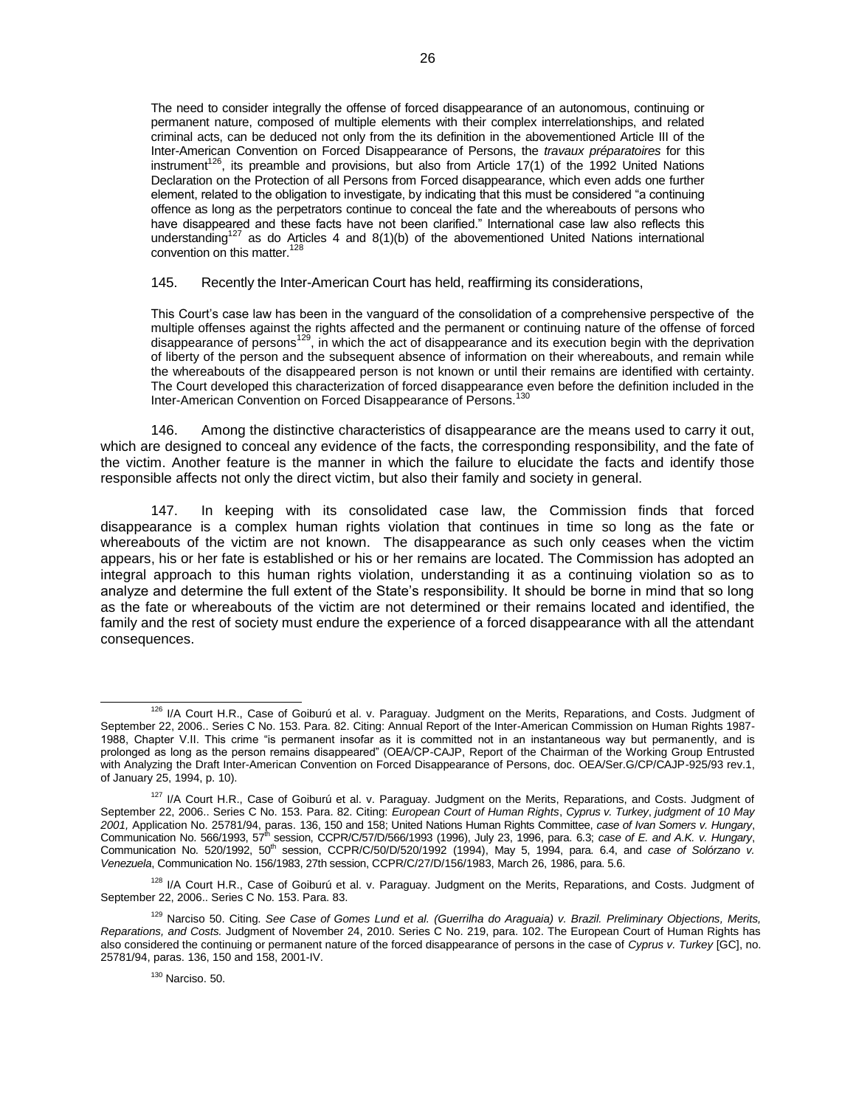The need to consider integrally the offense of forced disappearance of an autonomous, continuing or permanent nature, composed of multiple elements with their complex interrelationships, and related criminal acts, can be deduced not only from the its definition in the abovementioned Article III of the Inter-American Convention on Forced Disappearance of Persons, the *travaux préparatoires* for this instrument<sup>126</sup>, its preamble and provisions, but also from Article 17(1) of the 1992 United Nations Declaration on the Protection of all Persons from Forced disappearance, which even adds one further element, related to the obligation to investigate, by indicating that this must be considered "a continuing offence as long as the perpetrators continue to conceal the fate and the whereabouts of persons who have disappeared and these facts have not been clarified." International case law also reflects this understanding<sup>127</sup> as do Articles 4 and  $8(1)$ (b) of the abovementioned United Nations international convention on this matter.<sup>128</sup>

26

145. Recently the Inter-American Court has held, reaffirming its considerations,

This Court's case law has been in the vanguard of the consolidation of a comprehensive perspective of the multiple offenses against the rights affected and the permanent or continuing nature of the offense of forced disappearance of persons<sup>129</sup>, in which the act of disappearance and its execution begin with the deprivation of liberty of the person and the subsequent absence of information on their whereabouts, and remain while the whereabouts of the disappeared person is not known or until their remains are identified with certainty. The Court developed this characterization of forced disappearance even before the definition included in the Inter-American Convention on Forced Disappearance of Persons.

146. Among the distinctive characteristics of disappearance are the means used to carry it out, which are designed to conceal any evidence of the facts, the corresponding responsibility, and the fate of the victim. Another feature is the manner in which the failure to elucidate the facts and identify those responsible affects not only the direct victim, but also their family and society in general.

147. In keeping with its consolidated case law, the Commission finds that forced disappearance is a complex human rights violation that continues in time so long as the fate or whereabouts of the victim are not known. The disappearance as such only ceases when the victim appears, his or her fate is established or his or her remains are located. The Commission has adopted an integral approach to this human rights violation, understanding it as a continuing violation so as to analyze and determine the full extent of the State's responsibility. It should be borne in mind that so long as the fate or whereabouts of the victim are not determined or their remains located and identified, the family and the rest of society must endure the experience of a forced disappearance with all the attendant consequences.

<sup>130</sup> Narciso. 50.

l

<sup>126</sup> I/A Court H.R., Case of Goiburú et al. v. Paraguay. Judgment on the Merits, Reparations, and Costs. Judgment of September 22, 2006.. Series C No. 153. Para. 82. Citing: Annual Report of the Inter-American Commission on Human Rights 1987- 1988, Chapter V.II. This crime "is permanent insofar as it is committed not in an instantaneous way but permanently, and is prolonged as long as the person remains disappeared" (OEA/CP-CAJP, Report of the Chairman of the Working Group Entrusted with Analyzing the Draft Inter-American Convention on Forced Disappearance of Persons, doc. OEA/Ser.G/CP/CAJP-925/93 rev.1, of January 25, 1994, p. 10).

<sup>&</sup>lt;sup>127</sup> I/A Court H.R., Case of Goiburú et al. v. Paraguay. Judgment on the Merits, Reparations, and Costs. Judgment of September 22, 2006.. Series C No. 153. Para. 82. Citing: *European Court of Human Rights*, *Cyprus v. Turkey*, *judgment of 10 May 2001,* Application No. 25781/94, paras. 136, 150 and 158; United Nations Human Rights Committee, *case of Ivan Somers v. Hungary*, Communication No. 566/1993, 57<sup>th</sup> session, CCPR/C/57/D/566/1993 (1996), July 23, 1996, para. 6.3; *case of E. and A.K. v. Hungary*, Communication No. 520/1992, 50th session, CCPR/C/50/D/520/1992 (1994), May 5, 1994, para. 6.4, and *case of Solórzano v. Venezuela*, Communication No. 156/1983, 27th session, CCPR/C/27/D/156/1983, March 26, 1986, para. 5.6.

<sup>&</sup>lt;sup>128</sup> I/A Court H.R., Case of Goiburú et al. v. Paraguay. Judgment on the Merits, Reparations, and Costs. Judgment of September 22, 2006.. Series C No. 153. Para. 83.

<sup>129</sup> Narciso 50. Citing. *See Case of Gomes Lund et al. (Guerrilha do Araguaia) v. Brazil. Preliminary Objections, Merits, Reparations, and Costs.* Judgment of November 24, 2010. Series C No. 219, para. 102. The European Court of Human Rights has also considered the continuing or permanent nature of the forced disappearance of persons in the case of *Cyprus v. Turkey* [GC], no. 25781/94, paras. 136, 150 and 158, 2001-IV.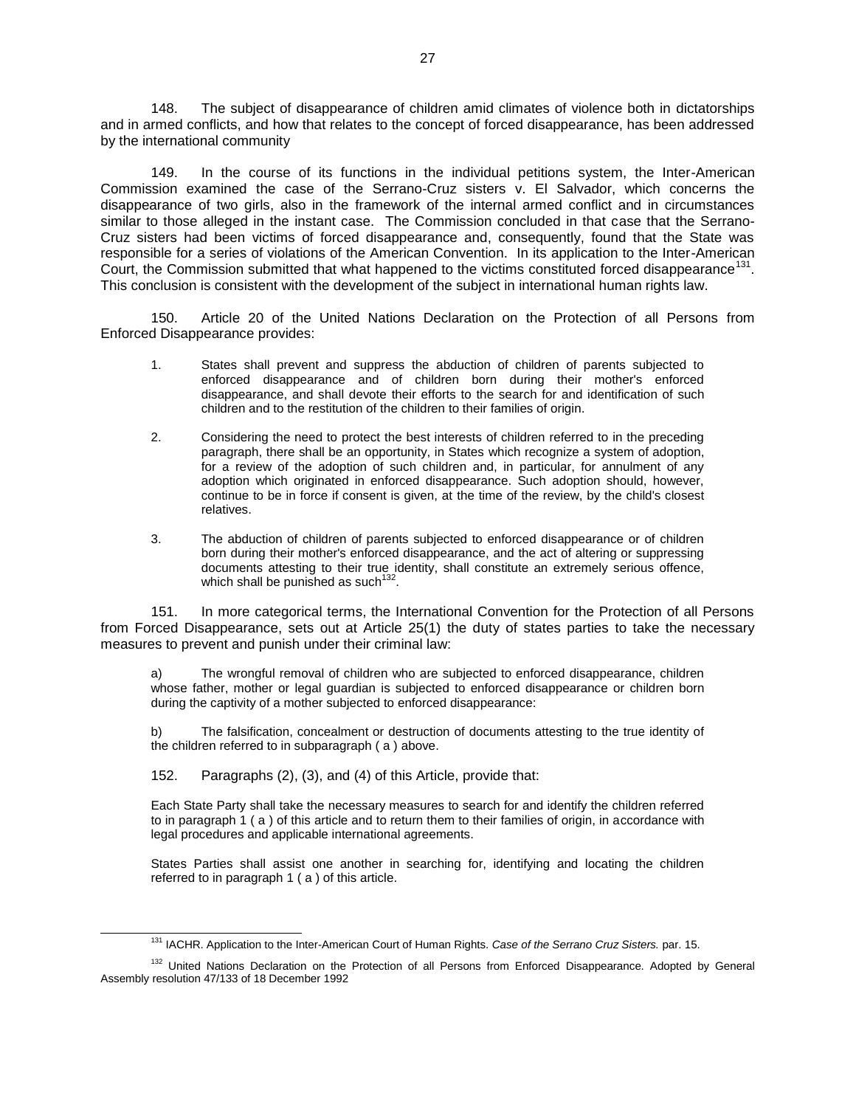148. The subject of disappearance of children amid climates of violence both in dictatorships and in armed conflicts, and how that relates to the concept of forced disappearance, has been addressed by the international community

149. In the course of its functions in the individual petitions system, the Inter-American Commission examined the case of the Serrano-Cruz sisters v. El Salvador, which concerns the disappearance of two girls, also in the framework of the internal armed conflict and in circumstances similar to those alleged in the instant case. The Commission concluded in that case that the Serrano-Cruz sisters had been victims of forced disappearance and, consequently, found that the State was responsible for a series of violations of the American Convention. In its application to the Inter-American Court, the Commission submitted that what happened to the victims constituted forced disappearance<sup>131</sup>. This conclusion is consistent with the development of the subject in international human rights law.

150. Article 20 of the United Nations Declaration on the Protection of all Persons from Enforced Disappearance provides:

- 1. States shall prevent and suppress the abduction of children of parents subjected to enforced disappearance and of children born during their mother's enforced disappearance, and shall devote their efforts to the search for and identification of such children and to the restitution of the children to their families of origin.
- 2. Considering the need to protect the best interests of children referred to in the preceding paragraph, there shall be an opportunity, in States which recognize a system of adoption, for a review of the adoption of such children and, in particular, for annulment of any adoption which originated in enforced disappearance. Such adoption should, however, continue to be in force if consent is given, at the time of the review, by the child's closest relatives.
- 3. The abduction of children of parents subjected to enforced disappearance or of children born during their mother's enforced disappearance, and the act of altering or suppressing documents attesting to their true identity, shall constitute an extremely serious offence, which shall be punished as such $^{132}$ .

151. In more categorical terms, the International Convention for the Protection of all Persons from Forced Disappearance, sets out at Article 25(1) the duty of states parties to take the necessary measures to prevent and punish under their criminal law:

a) The wrongful removal of children who are subjected to enforced disappearance, children whose father, mother or legal guardian is subjected to enforced disappearance or children born during the captivity of a mother subjected to enforced disappearance:

b) The falsification, concealment or destruction of documents attesting to the true identity of the children referred to in subparagraph ( a ) above.

152. Paragraphs (2), (3), and (4) of this Article, provide that:

 $\overline{a}$ 

Each State Party shall take the necessary measures to search for and identify the children referred to in paragraph 1 ( a ) of this article and to return them to their families of origin, in accordance with legal procedures and applicable international agreements.

States Parties shall assist one another in searching for, identifying and locating the children referred to in paragraph 1 ( a ) of this article.

<sup>131</sup> IACHR. Application to the Inter-American Court of Human Rights. *Case of the Serrano Cruz Sisters.* par. 15.

<sup>132</sup> United Nations Declaration on the Protection of all Persons from Enforced Disappearance. Adopted by General Assembly resolution 47/133 of 18 December 1992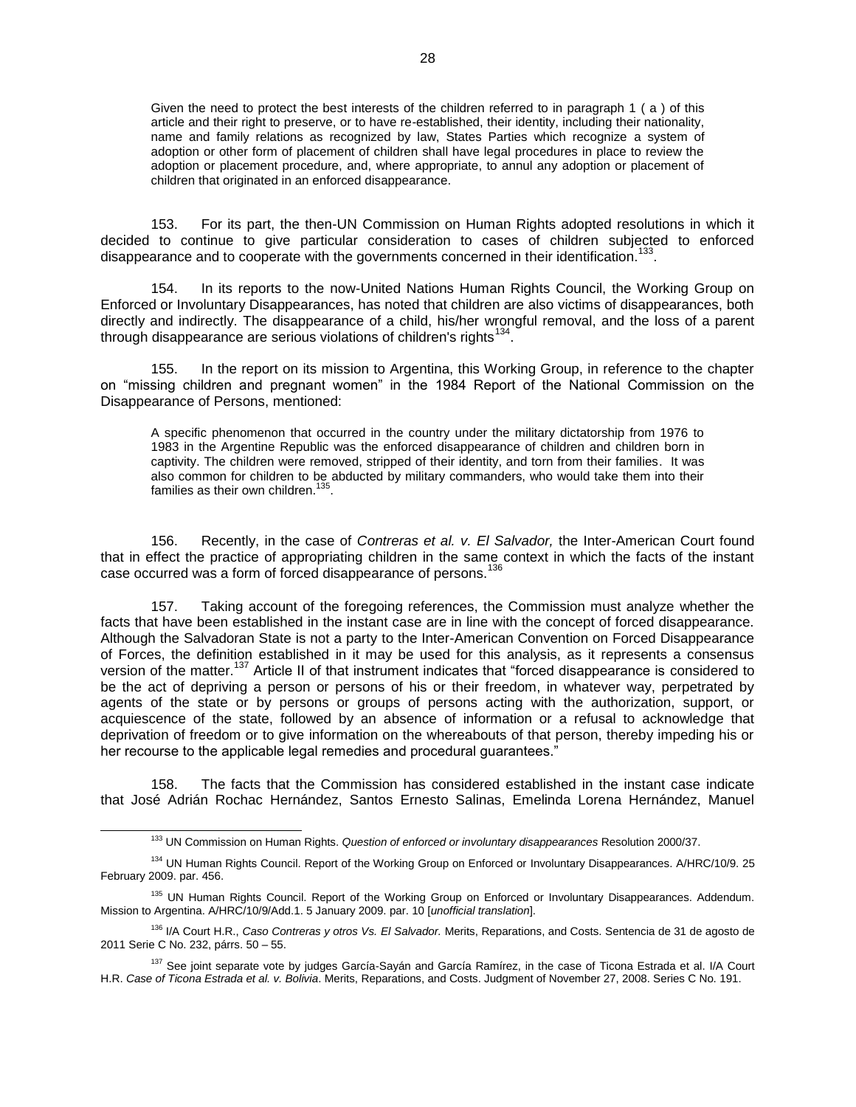Given the need to protect the best interests of the children referred to in paragraph 1 ( a ) of this article and their right to preserve, or to have re-established, their identity, including their nationality, name and family relations as recognized by law, States Parties which recognize a system of adoption or other form of placement of children shall have legal procedures in place to review the adoption or placement procedure, and, where appropriate, to annul any adoption or placement of children that originated in an enforced disappearance.

153. For its part, the then-UN Commission on Human Rights adopted resolutions in which it decided to continue to give particular consideration to cases of children subjected to enforced disappearance and to cooperate with the governments concerned in their identification.<sup>133</sup>.

154. In its reports to the now-United Nations Human Rights Council, the Working Group on Enforced or Involuntary Disappearances, has noted that children are also victims of disappearances, both directly and indirectly. The disappearance of a child, his/her wrongful removal, and the loss of a parent through disappearance are serious violations of children's rights<sup>134</sup>.

155. In the report on its mission to Argentina, this Working Group, in reference to the chapter on "missing children and pregnant women" in the 1984 Report of the National Commission on the Disappearance of Persons, mentioned:

A specific phenomenon that occurred in the country under the military dictatorship from 1976 to 1983 in the Argentine Republic was the enforced disappearance of children and children born in captivity. The children were removed, stripped of their identity, and torn from their families. It was also common for children to be abducted by military commanders, who would take them into their families as their own children.<sup>135</sup>.

156. Recently, in the case of *Contreras et al. v. El Salvador,* the Inter-American Court found that in effect the practice of appropriating children in the same context in which the facts of the instant case occurred was a form of forced disappearance of persons.<sup>136</sup>

157. Taking account of the foregoing references, the Commission must analyze whether the facts that have been established in the instant case are in line with the concept of forced disappearance. Although the Salvadoran State is not a party to the Inter-American Convention on Forced Disappearance of Forces, the definition established in it may be used for this analysis, as it represents a consensus version of the matter.<sup>137</sup> Article II of that instrument indicates that "forced disappearance is considered to be the act of depriving a person or persons of his or their freedom, in whatever way, perpetrated by agents of the state or by persons or groups of persons acting with the authorization, support, or acquiescence of the state, followed by an absence of information or a refusal to acknowledge that deprivation of freedom or to give information on the whereabouts of that person, thereby impeding his or her recourse to the applicable legal remedies and procedural guarantees."

158. The facts that the Commission has considered established in the instant case indicate that José Adrián Rochac Hernández, Santos Ernesto Salinas, Emelinda Lorena Hernández, Manuel

 $\overline{a}$ 

- <sup>136</sup> I/A Court H.R., *Caso Contreras y otros Vs. El Salvador.* Merits, Reparations, and Costs. Sentencia de 31 de agosto de 2011 Serie C No. 232, párrs. 50 – 55.
- 137 See joint separate vote by judges García-Sayán and García Ramírez, in the case of Ticona Estrada et al. I/A Court H.R. *Case of Ticona Estrada et al. v. Bolivia*. Merits, Reparations, and Costs. Judgment of November 27, 2008. Series C No. 191.

<sup>133</sup> UN Commission on Human Rights. *Question of enforced or involuntary disappearances* Resolution 2000/37.

<sup>&</sup>lt;sup>134</sup> UN Human Rights Council. Report of the Working Group on Enforced or Involuntary Disappearances. A/HRC/10/9. 25 February 2009. par. 456.

<sup>&</sup>lt;sup>135</sup> UN Human Rights Council. Report of the Working Group on Enforced or Involuntary Disappearances. Addendum. Mission to Argentina. A/HRC/10/9/Add.1. 5 January 2009. par. 10 [*unofficial translation*].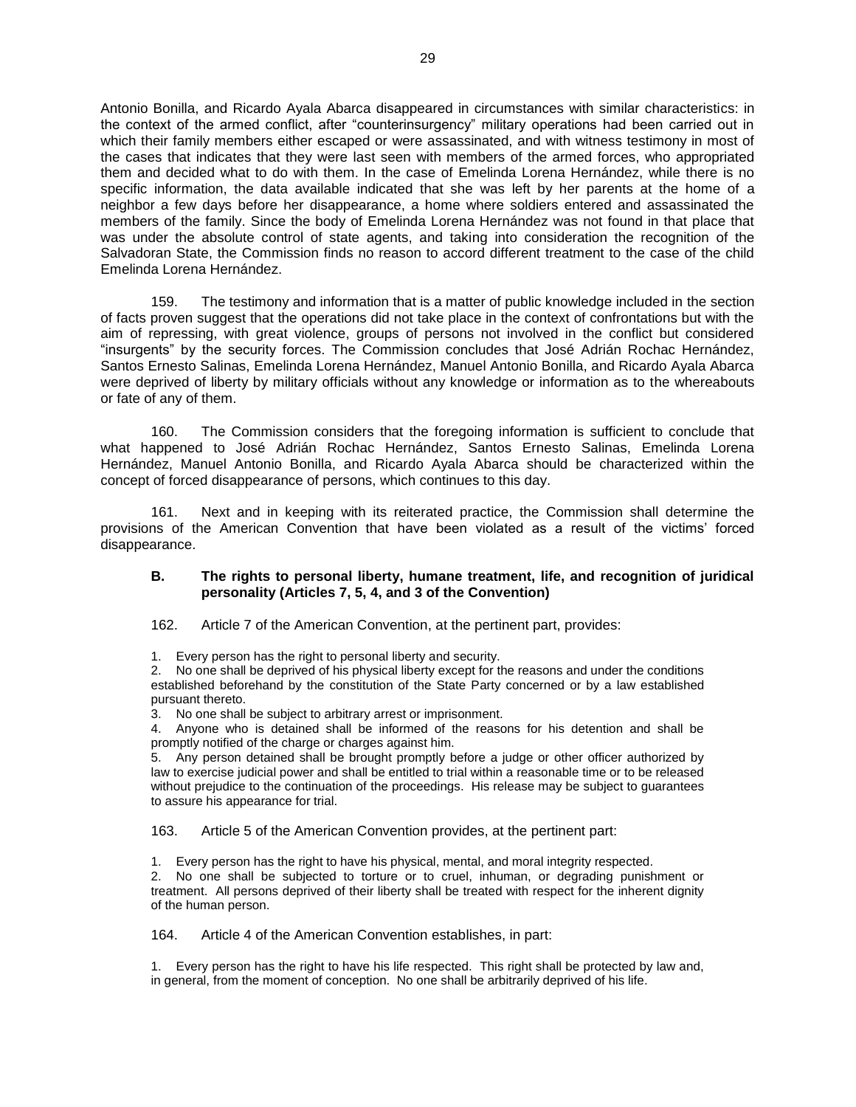Antonio Bonilla, and Ricardo Ayala Abarca disappeared in circumstances with similar characteristics: in the context of the armed conflict, after "counterinsurgency" military operations had been carried out in which their family members either escaped or were assassinated, and with witness testimony in most of the cases that indicates that they were last seen with members of the armed forces, who appropriated them and decided what to do with them. In the case of Emelinda Lorena Hernández, while there is no specific information, the data available indicated that she was left by her parents at the home of a neighbor a few days before her disappearance, a home where soldiers entered and assassinated the members of the family. Since the body of Emelinda Lorena Hernández was not found in that place that was under the absolute control of state agents, and taking into consideration the recognition of the Salvadoran State, the Commission finds no reason to accord different treatment to the case of the child Emelinda Lorena Hernández.

159. The testimony and information that is a matter of public knowledge included in the section of facts proven suggest that the operations did not take place in the context of confrontations but with the aim of repressing, with great violence, groups of persons not involved in the conflict but considered "insurgents" by the security forces. The Commission concludes that José Adrián Rochac Hernández, Santos Ernesto Salinas, Emelinda Lorena Hernández, Manuel Antonio Bonilla, and Ricardo Ayala Abarca were deprived of liberty by military officials without any knowledge or information as to the whereabouts or fate of any of them.

160. The Commission considers that the foregoing information is sufficient to conclude that what happened to José Adrián Rochac Hernández, Santos Ernesto Salinas, Emelinda Lorena Hernández, Manuel Antonio Bonilla, and Ricardo Ayala Abarca should be characterized within the concept of forced disappearance of persons, which continues to this day.

161. Next and in keeping with its reiterated practice, the Commission shall determine the provisions of the American Convention that have been violated as a result of the victims' forced disappearance.

### **B. The rights to personal liberty, humane treatment, life, and recognition of juridical personality (Articles 7, 5, 4, and 3 of the Convention)**

162. Article 7 of the American Convention, at the pertinent part, provides:

1. Every person has the right to personal liberty and security.

2. No one shall be deprived of his physical liberty except for the reasons and under the conditions established beforehand by the constitution of the State Party concerned or by a law established pursuant thereto.

3. No one shall be subject to arbitrary arrest or imprisonment.

4. Anyone who is detained shall be informed of the reasons for his detention and shall be promptly notified of the charge or charges against him.

5. Any person detained shall be brought promptly before a judge or other officer authorized by law to exercise judicial power and shall be entitled to trial within a reasonable time or to be released without prejudice to the continuation of the proceedings. His release may be subject to guarantees to assure his appearance for trial.

163. Article 5 of the American Convention provides, at the pertinent part:

1. Every person has the right to have his physical, mental, and moral integrity respected.

2. No one shall be subjected to torture or to cruel, inhuman, or degrading punishment or treatment. All persons deprived of their liberty shall be treated with respect for the inherent dignity of the human person.

164. Article 4 of the American Convention establishes, in part:

1. Every person has the right to have his life respected. This right shall be protected by law and, in general, from the moment of conception. No one shall be arbitrarily deprived of his life.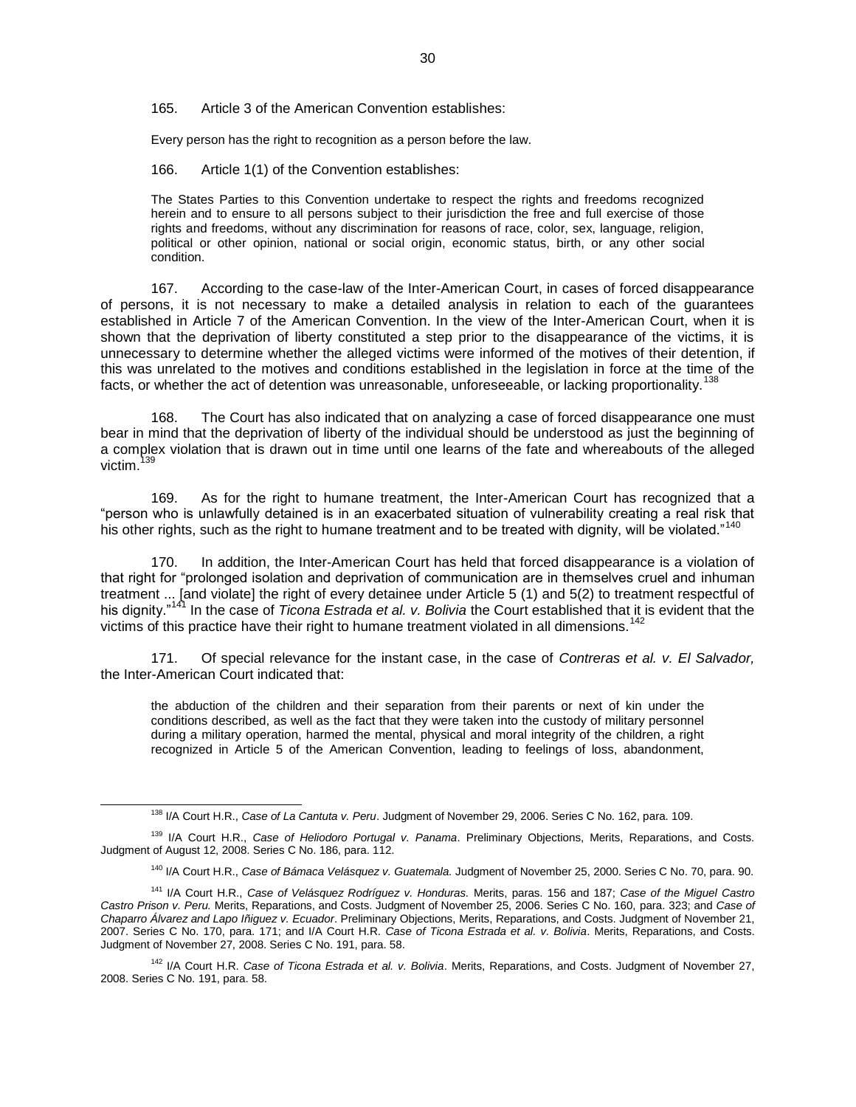165. Article 3 of the American Convention establishes:

Every person has the right to recognition as a person before the law.

166. Article 1(1) of the Convention establishes:

The States Parties to this Convention undertake to respect the rights and freedoms recognized herein and to ensure to all persons subject to their jurisdiction the free and full exercise of those rights and freedoms, without any discrimination for reasons of race, color, sex, language, religion, political or other opinion, national or social origin, economic status, birth, or any other social condition.

167. According to the case-law of the Inter-American Court, in cases of forced disappearance of persons, it is not necessary to make a detailed analysis in relation to each of the guarantees established in Article 7 of the American Convention. In the view of the Inter-American Court, when it is shown that the deprivation of liberty constituted a step prior to the disappearance of the victims, it is unnecessary to determine whether the alleged victims were informed of the motives of their detention, if this was unrelated to the motives and conditions established in the legislation in force at the time of the facts, or whether the act of detention was unreasonable, unforeseeable, or lacking proportionality.<sup>1</sup>

168. The Court has also indicated that on analyzing a case of forced disappearance one must bear in mind that the deprivation of liberty of the individual should be understood as just the beginning of a complex violation that is drawn out in time until one learns of the fate and whereabouts of the alleged victim.<sup>139</sup>

169. As for the right to humane treatment, the Inter-American Court has recognized that a "person who is unlawfully detained is in an exacerbated situation of vulnerability creating a real risk that his other rights, such as the right to humane treatment and to be treated with dignity, will be violated."<sup>140</sup>

170. In addition, the Inter-American Court has held that forced disappearance is a violation of that right for "prolonged isolation and deprivation of communication are in themselves cruel and inhuman treatment ... [and violate] the right of every detainee under Article 5 (1) and 5(2) to treatment respectful of his dignity."<sup>141</sup> In the case of *Ticona Estrada et al. v. Bolivia* the Court established that it is evident that the victims of this practice have their right to humane treatment violated in all dimensions.<sup>142</sup>

171. Of special relevance for the instant case, in the case of *Contreras et al. v. El Salvador,*  the Inter-American Court indicated that:

the abduction of the children and their separation from their parents or next of kin under the conditions described, as well as the fact that they were taken into the custody of military personnel during a military operation, harmed the mental, physical and moral integrity of the children, a right recognized in Article 5 of the American Convention, leading to feelings of loss, abandonment,

l

<sup>138</sup> I/A Court H.R., *Case of La Cantuta v. Peru*. Judgment of November 29, 2006. Series C No. 162, para. 109.

<sup>139</sup> I/A Court H.R., *Case of Heliodoro Portugal v. Panama*. Preliminary Objections, Merits, Reparations, and Costs. Judgment of August 12, 2008. Series C No. 186, para. 112.

<sup>140</sup> I/A Court H.R., *Case of Bámaca Velásquez v. Guatemala.* Judgment of November 25, 2000. Series C No. 70, para. 90.

<sup>141</sup> I/A Court H.R., *Case of Velásquez Rodríguez v. Honduras.* Merits, paras. 156 and 187; *Case of the Miguel Castro Castro Prison v. Peru.* Merits, Reparations, and Costs. Judgment of November 25, 2006. Series C No. 160, para. 323; and *Case of Chaparro Álvarez and Lapo Iñiguez v. Ecuador*. Preliminary Objections, Merits, Reparations, and Costs. Judgment of November 21, 2007. Series C No. 170, para. 171; and I/A Court H.R. *Case of Ticona Estrada et al. v. Bolivia*. Merits, Reparations, and Costs. Judgment of November 27, 2008. Series C No. 191, para. 58.

<sup>142</sup> I/A Court H.R. *Case of Ticona Estrada et al. v. Bolivia*. Merits, Reparations, and Costs. Judgment of November 27, 2008. Series C No. 191, para. 58.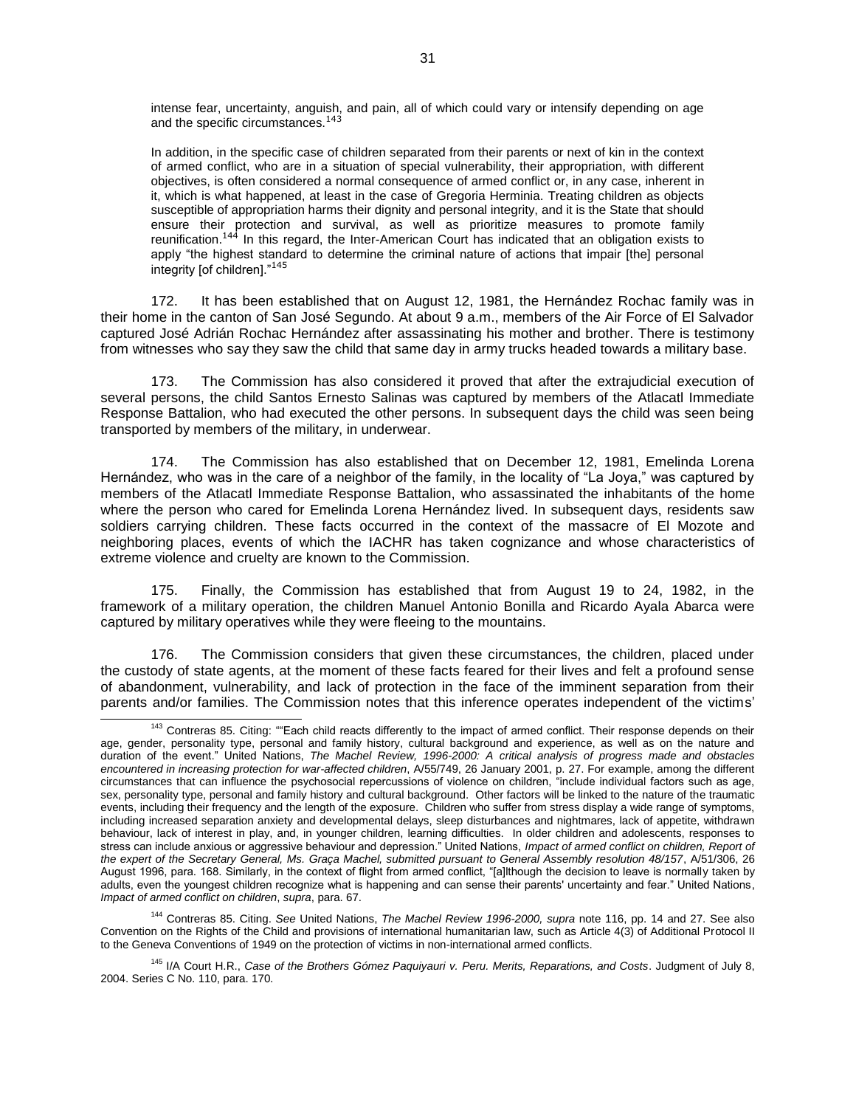intense fear, uncertainty, anguish, and pain, all of which could vary or intensify depending on age and the specific circumstances.<sup>143</sup>

In addition, in the specific case of children separated from their parents or next of kin in the context of armed conflict, who are in a situation of special vulnerability, their appropriation, with different objectives, is often considered a normal consequence of armed conflict or, in any case, inherent in it, which is what happened, at least in the case of Gregoria Herminia. Treating children as objects susceptible of appropriation harms their dignity and personal integrity, and it is the State that should ensure their protection and survival, as well as prioritize measures to promote family reunification.<sup>144</sup> In this regard, the Inter-American Court has indicated that an obligation exists to apply "the highest standard to determine the criminal nature of actions that impair [the] personal integrity [of children]."<sup>145</sup>

172. It has been established that on August 12, 1981, the Hernández Rochac family was in their home in the canton of San José Segundo. At about 9 a.m., members of the Air Force of El Salvador captured José Adrián Rochac Hernández after assassinating his mother and brother. There is testimony from witnesses who say they saw the child that same day in army trucks headed towards a military base.

173. The Commission has also considered it proved that after the extrajudicial execution of several persons, the child Santos Ernesto Salinas was captured by members of the Atlacatl Immediate Response Battalion, who had executed the other persons. In subsequent days the child was seen being transported by members of the military, in underwear.

174. The Commission has also established that on December 12, 1981, Emelinda Lorena Hernández, who was in the care of a neighbor of the family, in the locality of "La Joya," was captured by members of the Atlacatl Immediate Response Battalion, who assassinated the inhabitants of the home where the person who cared for Emelinda Lorena Hernández lived. In subsequent days, residents saw soldiers carrying children. These facts occurred in the context of the massacre of El Mozote and neighboring places, events of which the IACHR has taken cognizance and whose characteristics of extreme violence and cruelty are known to the Commission.

175. Finally, the Commission has established that from August 19 to 24, 1982, in the framework of a military operation, the children Manuel Antonio Bonilla and Ricardo Ayala Abarca were captured by military operatives while they were fleeing to the mountains.

176. The Commission considers that given these circumstances, the children, placed under the custody of state agents, at the moment of these facts feared for their lives and felt a profound sense of abandonment, vulnerability, and lack of protection in the face of the imminent separation from their parents and/or families. The Commission notes that this inference operates independent of the victims'

l

<sup>&</sup>lt;sup>143</sup> Contreras 85. Citing: ""Each child reacts differently to the impact of armed conflict. Their response depends on their age, gender, personality type, personal and family history, cultural background and experience, as well as on the nature and duration of the event." United Nations, *The Machel Review, 1996-2000: A critical analysis of progress made and obstacles encountered in increasing protection for war-affected children*, A/55/749, 26 January 2001, p. 27. For example, among the different circumstances that can influence the psychosocial repercussions of violence on children, "include individual factors such as age, sex, personality type, personal and family history and cultural background. Other factors will be linked to the nature of the traumatic events, including their frequency and the length of the exposure. Children who suffer from stress display a wide range of symptoms, including increased separation anxiety and developmental delays, sleep disturbances and nightmares, lack of appetite, withdrawn behaviour, lack of interest in play, and, in younger children, learning difficulties. In older children and adolescents, responses to stress can include anxious or aggressive behaviour and depression." United Nations, *Impact of armed conflict on children, Report of the expert of the Secretary General, Ms. Graça Machel, submitted pursuant to General Assembly resolution 48/157*, A/51/306, 26 August 1996, para. 168. Similarly, in the context of flight from armed conflict, "[a]lthough the decision to leave is normally taken by adults, even the youngest children recognize what is happening and can sense their parents' uncertainty and fear." United Nations, *Impact of armed conflict on children*, *supra*, para. 67.

<sup>144</sup> Contreras 85. Citing. *See* United Nations, *The Machel Review 1996-2000, supra* note 116, pp. 14 and 27. See also Convention on the Rights of the Child and provisions of international humanitarian law, such as Article 4(3) of Additional Protocol II to the Geneva Conventions of 1949 on the protection of victims in non-international armed conflicts.

<sup>145</sup> I/A Court H.R., *Case of the Brothers Gómez Paquiyauri v. Peru. Merits, Reparations, and Costs*. Judgment of July 8, 2004. Series C No. 110, para. 170.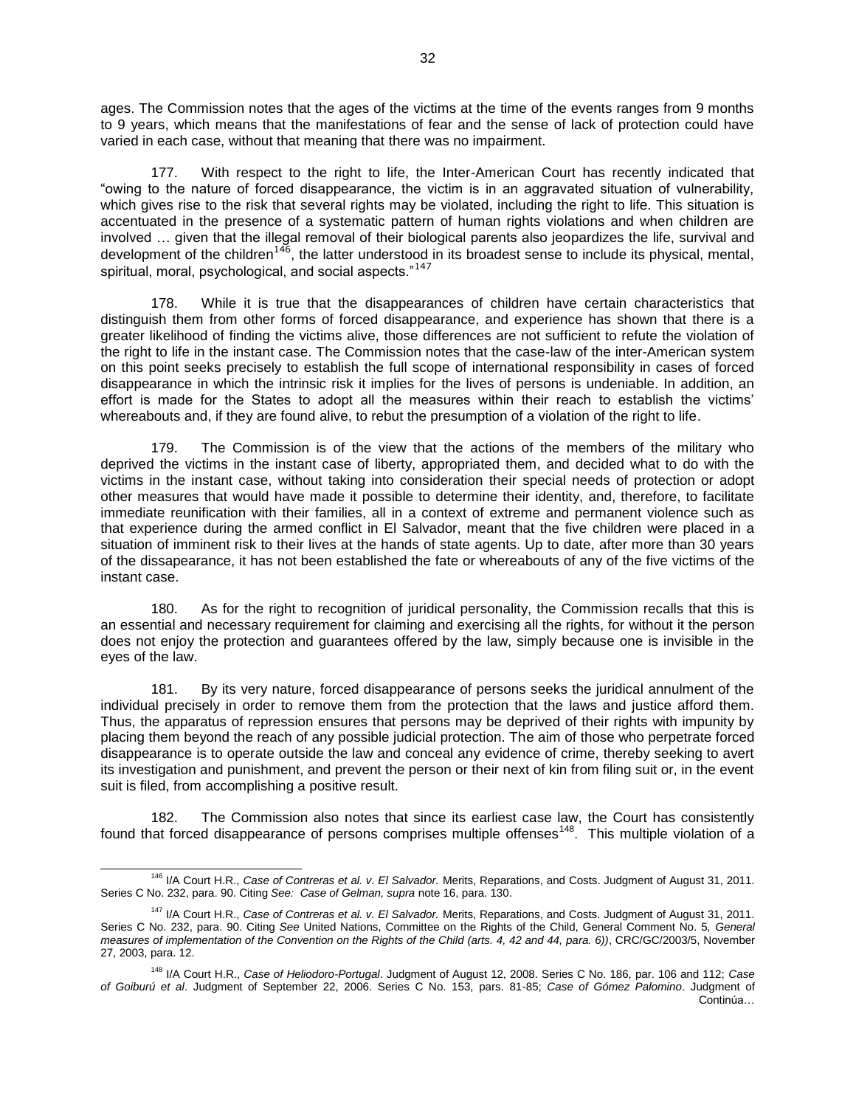ages. The Commission notes that the ages of the victims at the time of the events ranges from 9 months to 9 years, which means that the manifestations of fear and the sense of lack of protection could have varied in each case, without that meaning that there was no impairment.

177. With respect to the right to life, the Inter-American Court has recently indicated that "owing to the nature of forced disappearance, the victim is in an aggravated situation of vulnerability, which gives rise to the risk that several rights may be violated, including the right to life. This situation is accentuated in the presence of a systematic pattern of human rights violations and when children are involved … given that the illegal removal of their biological parents also jeopardizes the life, survival and development of the children<sup>146</sup>, the latter understood in its broadest sense to include its physical, mental, spiritual, moral, psychological, and social aspects."<sup>147</sup>

178. While it is true that the disappearances of children have certain characteristics that distinguish them from other forms of forced disappearance, and experience has shown that there is a greater likelihood of finding the victims alive, those differences are not sufficient to refute the violation of the right to life in the instant case. The Commission notes that the case-law of the inter-American system on this point seeks precisely to establish the full scope of international responsibility in cases of forced disappearance in which the intrinsic risk it implies for the lives of persons is undeniable. In addition, an effort is made for the States to adopt all the measures within their reach to establish the victims' whereabouts and, if they are found alive, to rebut the presumption of a violation of the right to life.

179. The Commission is of the view that the actions of the members of the military who deprived the victims in the instant case of liberty, appropriated them, and decided what to do with the victims in the instant case, without taking into consideration their special needs of protection or adopt other measures that would have made it possible to determine their identity, and, therefore, to facilitate immediate reunification with their families, all in a context of extreme and permanent violence such as that experience during the armed conflict in El Salvador, meant that the five children were placed in a situation of imminent risk to their lives at the hands of state agents. Up to date, after more than 30 years of the dissapearance, it has not been established the fate or whereabouts of any of the five victims of the instant case.

180. As for the right to recognition of juridical personality, the Commission recalls that this is an essential and necessary requirement for claiming and exercising all the rights, for without it the person does not enjoy the protection and guarantees offered by the law, simply because one is invisible in the eyes of the law.

181. By its very nature, forced disappearance of persons seeks the juridical annulment of the individual precisely in order to remove them from the protection that the laws and justice afford them. Thus, the apparatus of repression ensures that persons may be deprived of their rights with impunity by placing them beyond the reach of any possible judicial protection. The aim of those who perpetrate forced disappearance is to operate outside the law and conceal any evidence of crime, thereby seeking to avert its investigation and punishment, and prevent the person or their next of kin from filing suit or, in the event suit is filed, from accomplishing a positive result.

182. The Commission also notes that since its earliest case law, the Court has consistently found that forced disappearance of persons comprises multiple offenses<sup>148</sup>. This multiple violation of a

 $\overline{a}$ <sup>146</sup> I/A Court H.R., *Case of Contreras et al. v. El Salvador.* Merits, Reparations, and Costs. Judgment of August 31, 2011. Series C No. 232, para. 90. Citing *See: Case of Gelman, supra* note 16, para. 130.

<sup>147</sup> I/A Court H.R., *Case of Contreras et al. v. El Salvador.* Merits, Reparations, and Costs. Judgment of August 31, 2011. Series C No. 232, para. 90. Citing *See* United Nations, Committee on the Rights of the Child, General Comment No. 5, *General measures of implementation of the Convention on the Rights of the Child (arts. 4, 42 and 44, para. 6))*, CRC/GC/2003/5, November 27, 2003, para. 12.

<sup>148</sup> I/A Court H.R., *Case of Heliodoro-Portugal*. Judgment of August 12, 2008. Series C No. 186, par. 106 and 112; *Case of Goiburú et al*. Judgment of September 22, 2006. Series C No. 153, pars. 81-85; *Case of Gómez Palomino*. Judgment of Continúa…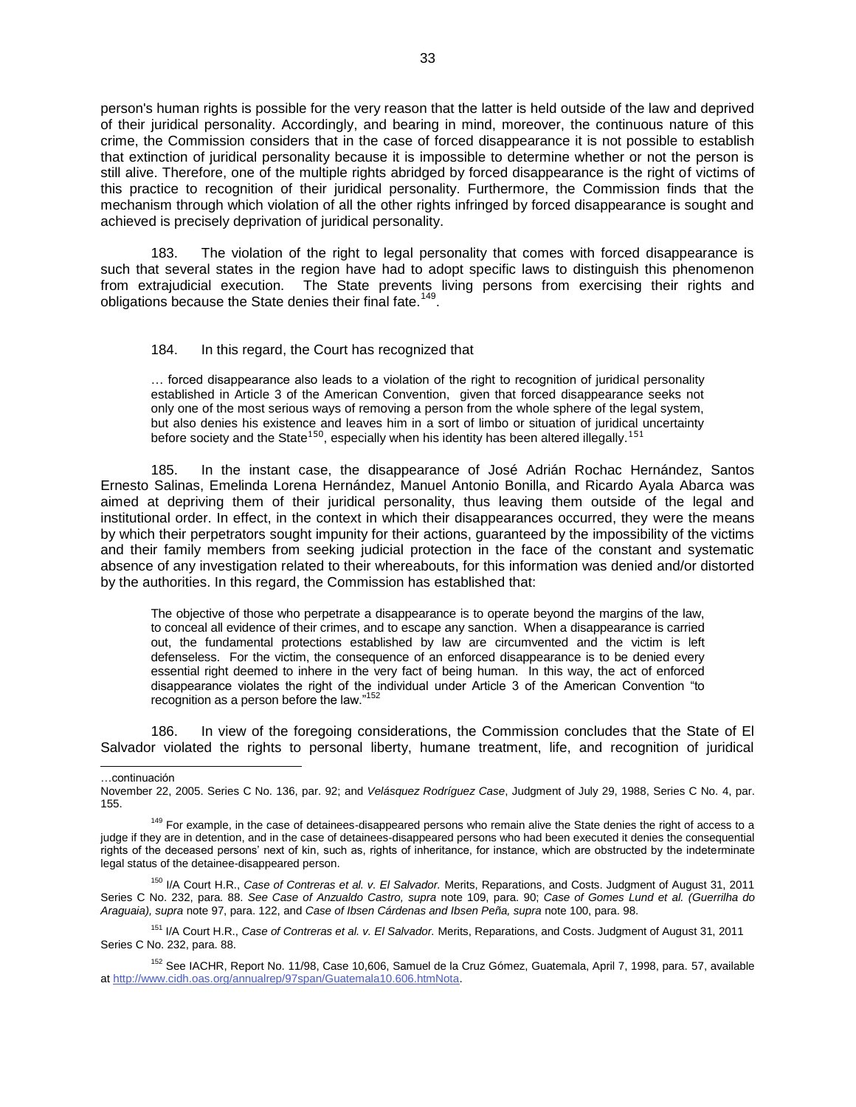person's human rights is possible for the very reason that the latter is held outside of the law and deprived of their juridical personality. Accordingly, and bearing in mind, moreover, the continuous nature of this crime, the Commission considers that in the case of forced disappearance it is not possible to establish that extinction of juridical personality because it is impossible to determine whether or not the person is still alive. Therefore, one of the multiple rights abridged by forced disappearance is the right of victims of this practice to recognition of their juridical personality. Furthermore, the Commission finds that the mechanism through which violation of all the other rights infringed by forced disappearance is sought and achieved is precisely deprivation of juridical personality.

183. The violation of the right to legal personality that comes with forced disappearance is such that several states in the region have had to adopt specific laws to distinguish this phenomenon from extrajudicial execution. The State prevents living persons from exercising their rights and obligations because the State denies their final fate.<sup>149</sup>.

#### 184. In this regard, the Court has recognized that

… forced disappearance also leads to a violation of the right to recognition of juridical personality established in Article 3 of the American Convention, given that forced disappearance seeks not only one of the most serious ways of removing a person from the whole sphere of the legal system, but also denies his existence and leaves him in a sort of limbo or situation of juridical uncertainty before society and the State<sup>150</sup>, especially when his identity has been altered illegally.<sup>151</sup>

185. In the instant case, the disappearance of José Adrián Rochac Hernández, Santos Ernesto Salinas, Emelinda Lorena Hernández, Manuel Antonio Bonilla, and Ricardo Ayala Abarca was aimed at depriving them of their juridical personality, thus leaving them outside of the legal and institutional order. In effect, in the context in which their disappearances occurred, they were the means by which their perpetrators sought impunity for their actions, guaranteed by the impossibility of the victims and their family members from seeking judicial protection in the face of the constant and systematic absence of any investigation related to their whereabouts, for this information was denied and/or distorted by the authorities. In this regard, the Commission has established that:

The objective of those who perpetrate a disappearance is to operate beyond the margins of the law, to conceal all evidence of their crimes, and to escape any sanction. When a disappearance is carried out, the fundamental protections established by law are circumvented and the victim is left defenseless. For the victim, the consequence of an enforced disappearance is to be denied every essential right deemed to inhere in the very fact of being human. In this way, the act of enforced disappearance violates the right of the individual under Article 3 of the American Convention "to recognition as a person before the law."<sup>152</sup>

186. In view of the foregoing considerations, the Commission concludes that the State of El Salvador violated the rights to personal liberty, humane treatment, life, and recognition of juridical

 $\overline{a}$ 

<sup>…</sup>continuación

November 22, 2005. Series C No. 136, par. 92; and *Velásquez Rodríguez Case*, Judgment of July 29, 1988, Series C No. 4, par. 155.

<sup>&</sup>lt;sup>149</sup> For example, in the case of detainees-disappeared persons who remain alive the State denies the right of access to a judge if they are in detention, and in the case of detainees-disappeared persons who had been executed it denies the consequential rights of the deceased persons' next of kin, such as, rights of inheritance, for instance, which are obstructed by the indeterminate legal status of the detainee-disappeared person.

<sup>150</sup> I/A Court H.R., *Case of Contreras et al. v. El Salvador.* Merits, Reparations, and Costs. Judgment of August 31, 2011 Series C No. 232, para. 88. *See Case of Anzualdo Castro, supra* note 109, para. 90; *Case of Gomes Lund et al. (Guerrilha do Araguaia), supra* note 97, para. 122, and *Case of Ibsen Cárdenas and Ibsen Peña, supra* note 100, para. 98.

<sup>151</sup> I/A Court H.R., *Case of Contreras et al. v. El Salvador.* Merits, Reparations, and Costs. Judgment of August 31, 2011 Series C No. 232, para. 88.

<sup>&</sup>lt;sup>152</sup> See IACHR, Report No. 11/98, Case 10,606, Samuel de la Cruz Gómez, Guatemala, April 7, 1998, para. 57, available at [http://www.cidh.oas.org/annualrep/97span/Guatemala10.606.htmNota.](http://www.cidh.oas.org/annualrep/97span/Guatemala10.606.htmNota)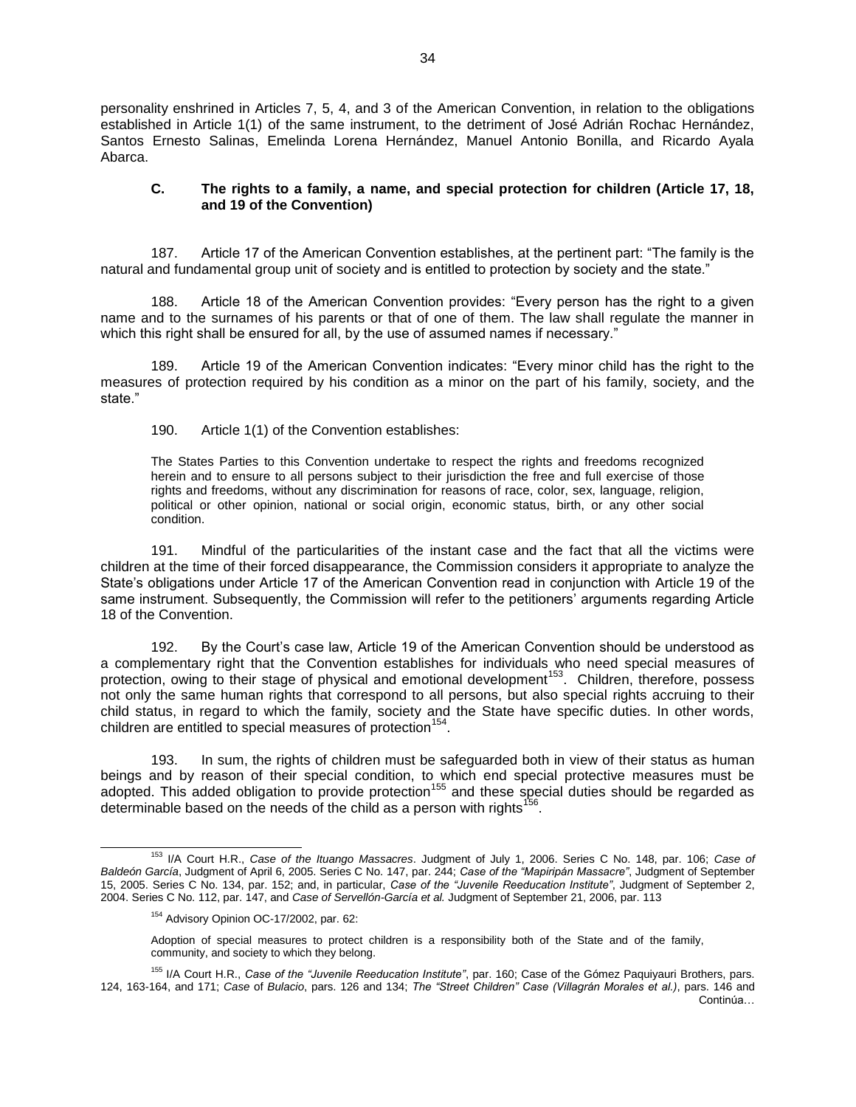personality enshrined in Articles 7, 5, 4, and 3 of the American Convention, in relation to the obligations established in Article 1(1) of the same instrument, to the detriment of José Adrián Rochac Hernández, Santos Ernesto Salinas, Emelinda Lorena Hernández, Manuel Antonio Bonilla, and Ricardo Ayala Abarca.

### **C. The rights to a family, a name, and special protection for children (Article 17, 18, and 19 of the Convention)**

187. Article 17 of the American Convention establishes, at the pertinent part: "The family is the natural and fundamental group unit of society and is entitled to protection by society and the state."

188. Article 18 of the American Convention provides: "Every person has the right to a given name and to the surnames of his parents or that of one of them. The law shall regulate the manner in which this right shall be ensured for all, by the use of assumed names if necessary."

189. Article 19 of the American Convention indicates: "Every minor child has the right to the measures of protection required by his condition as a minor on the part of his family, society, and the state."

190. Article 1(1) of the Convention establishes:

The States Parties to this Convention undertake to respect the rights and freedoms recognized herein and to ensure to all persons subject to their jurisdiction the free and full exercise of those rights and freedoms, without any discrimination for reasons of race, color, sex, language, religion, political or other opinion, national or social origin, economic status, birth, or any other social condition.

191. Mindful of the particularities of the instant case and the fact that all the victims were children at the time of their forced disappearance, the Commission considers it appropriate to analyze the State's obligations under Article 17 of the American Convention read in conjunction with Article 19 of the same instrument. Subsequently, the Commission will refer to the petitioners' arguments regarding Article 18 of the Convention.

192. By the Court's case law, Article 19 of the American Convention should be understood as a complementary right that the Convention establishes for individuals who need special measures of protection, owing to their stage of physical and emotional development<sup>153</sup>. Children, therefore, possess not only the same human rights that correspond to all persons, but also special rights accruing to their child status, in regard to which the family, society and the State have specific duties. In other words, children are entitled to special measures of protection<sup>154</sup>.

193. In sum, the rights of children must be safeguarded both in view of their status as human beings and by reason of their special condition, to which end special protective measures must be adopted. This added obligation to provide protection<sup>155</sup> and these special duties should be regarded as determinable based on the needs of the child as a person with rights<sup>156</sup>.

 $\overline{a}$ 

<sup>153</sup> I/A Court H.R., *Case of the Ituango Massacres*. Judgment of July 1, 2006. Series C No. 148, par. 106; *Case of Baldeón García*, Judgment of April 6, 2005. Series C No. 147, par. 244; *Case of the "Mapiripán Massacre"*, Judgment of September 15, 2005. Series C No. 134, par. 152; and, in particular, *Case of the "Juvenile Reeducation Institute"*, Judgment of September 2, 2004. Series C No. 112, par. 147, and *Case of Servellón-García et al.* Judgment of September 21, 2006, par. 113

<sup>&</sup>lt;sup>154</sup> Advisory Opinion OC-17/2002, par. 62:

Adoption of special measures to protect children is a responsibility both of the State and of the family, community, and society to which they belong.

<sup>155</sup> I/A Court H.R., *Case of the "Juvenile Reeducation Institute"*, par. 160; Case of the Gómez Paquiyauri Brothers, pars. 124, 163-164, and 171; *Case* of *Bulacio*, pars. 126 and 134; *The "Street Children" Case (Villagrán Morales et al.)*, pars. 146 and Continúa…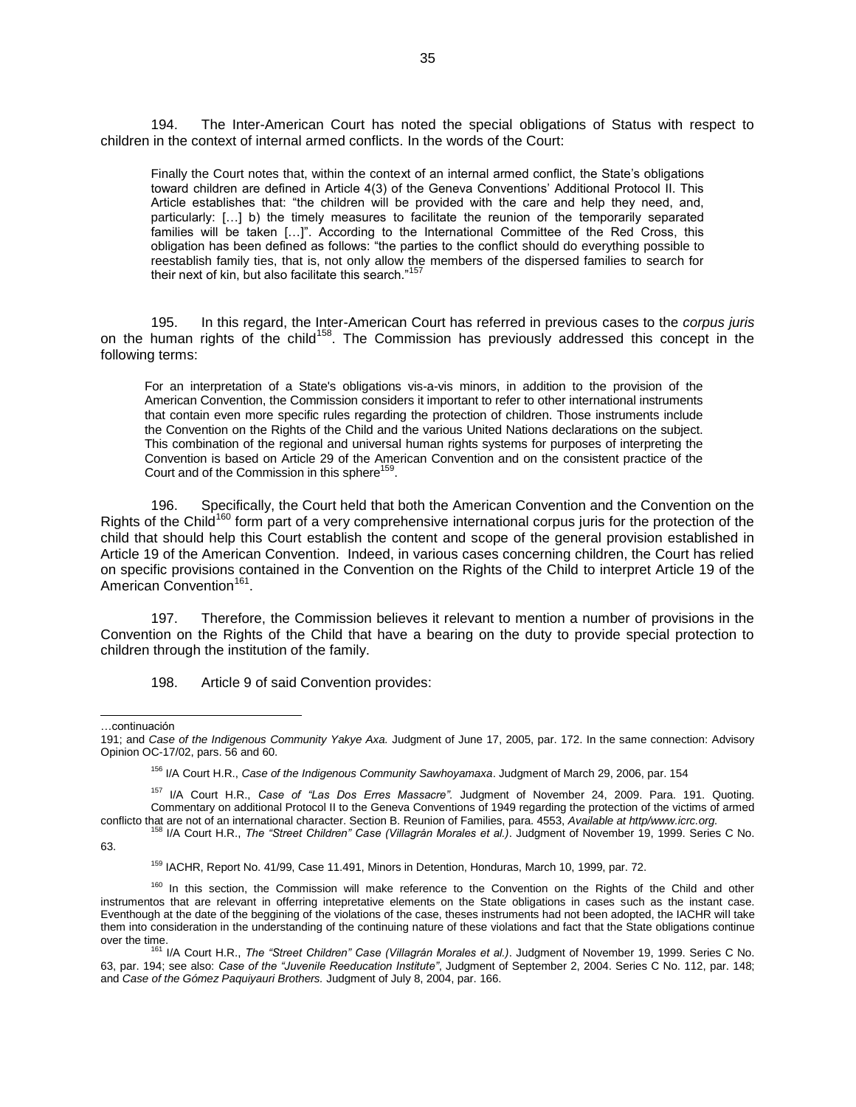194. The Inter-American Court has noted the special obligations of Status with respect to children in the context of internal armed conflicts. In the words of the Court:

Finally the Court notes that, within the context of an internal armed conflict, the State's obligations toward children are defined in Article 4(3) of the Geneva Conventions' Additional Protocol II. This Article establishes that: "the children will be provided with the care and help they need, and, particularly: […] b) the timely measures to facilitate the reunion of the temporarily separated families will be taken [...]". According to the International Committee of the Red Cross, this obligation has been defined as follows: "the parties to the conflict should do everything possible to reestablish family ties, that is, not only allow the members of the dispersed families to search for their next of kin, but also facilitate this search."<sup>157</sup>

195. In this regard, the Inter-American Court has referred in previous cases to the *corpus juris* on the human rights of the child<sup>158</sup>. The Commission has previously addressed this concept in the following terms:

For an interpretation of a State's obligations vis-a-vis minors, in addition to the provision of the American Convention, the Commission considers it important to refer to other international instruments that contain even more specific rules regarding the protection of children. Those instruments include the Convention on the Rights of the Child and the various United Nations declarations on the subject. This combination of the regional and universal human rights systems for purposes of interpreting the Convention is based on Article 29 of the American Convention and on the consistent practice of the Court and of the Commission in this sphere<sup>159</sup>.

196. Specifically, the Court held that both the American Convention and the Convention on the Rights of the Child<sup>160</sup> form part of a very comprehensive international corpus juris for the protection of the child that should help this Court establish the content and scope of the general provision established in Article 19 of the American Convention. Indeed, in various cases concerning children, the Court has relied on specific provisions contained in the Convention on the Rights of the Child to interpret Article 19 of the American Convention<sup>161</sup>.

197. Therefore, the Commission believes it relevant to mention a number of provisions in the Convention on the Rights of the Child that have a bearing on the duty to provide special protection to children through the institution of the family.

198. Article 9 of said Convention provides:

<sup>156</sup> I/A Court H.R., *Case of the Indigenous Community Sawhoyamaxa*. Judgment of March 29, 2006, par. 154

<sup>157</sup> I/A Court H.R., *Case of "Las Dos Erres Massacre".* Judgment of November 24, 2009. Para. 191. Quoting. Commentary on additional Protocol II to the Geneva Conventions of 1949 regarding the protection of the victims of armed

conflicto that are not of an international character. Section B. Reunion of Families, para. 4553, *Available at http/www.icrc.org.*<br>1588 I/A Court H.R., *The "Street Children" Case (Villagrán Morales et al.)*. Judgment of

63.

 $\overline{a}$ 

<sup>159</sup> IACHR, Report No. 41/99, Case 11.491, Minors in Detention, Honduras, March 10, 1999, par. 72.

<sup>160</sup> In this section, the Commission will make reference to the Convention on the Rights of the Child and other instrumentos that are relevant in offerring intepretative elements on the State obligations in cases such as the instant case. Eventhough at the date of the beggining of the violations of the case, theses instruments had not been adopted, the IACHR will take them into consideration in the understanding of the continuing nature of these violations and fact that the State obligations continue over the time.<br><sup>161</sup> I/A Court H.R., *The "Street Children" Case (Villagrán Morales et al.)*. Judgment of November 19, 1999. Series C No.

63, par. 194; see also: *Case of the "Juvenile Reeducation Institute"*, Judgment of September 2, 2004. Series C No. 112, par. 148; and *Case of the Gómez Paquiyauri Brothers.* Judgment of July 8, 2004, par. 166.

<sup>…</sup>continuación

<sup>191;</sup> and *Case of the Indigenous Community Yakye Axa.* Judgment of June 17, 2005, par. 172. In the same connection: Advisory Opinion OC-17/02, pars. 56 and 60.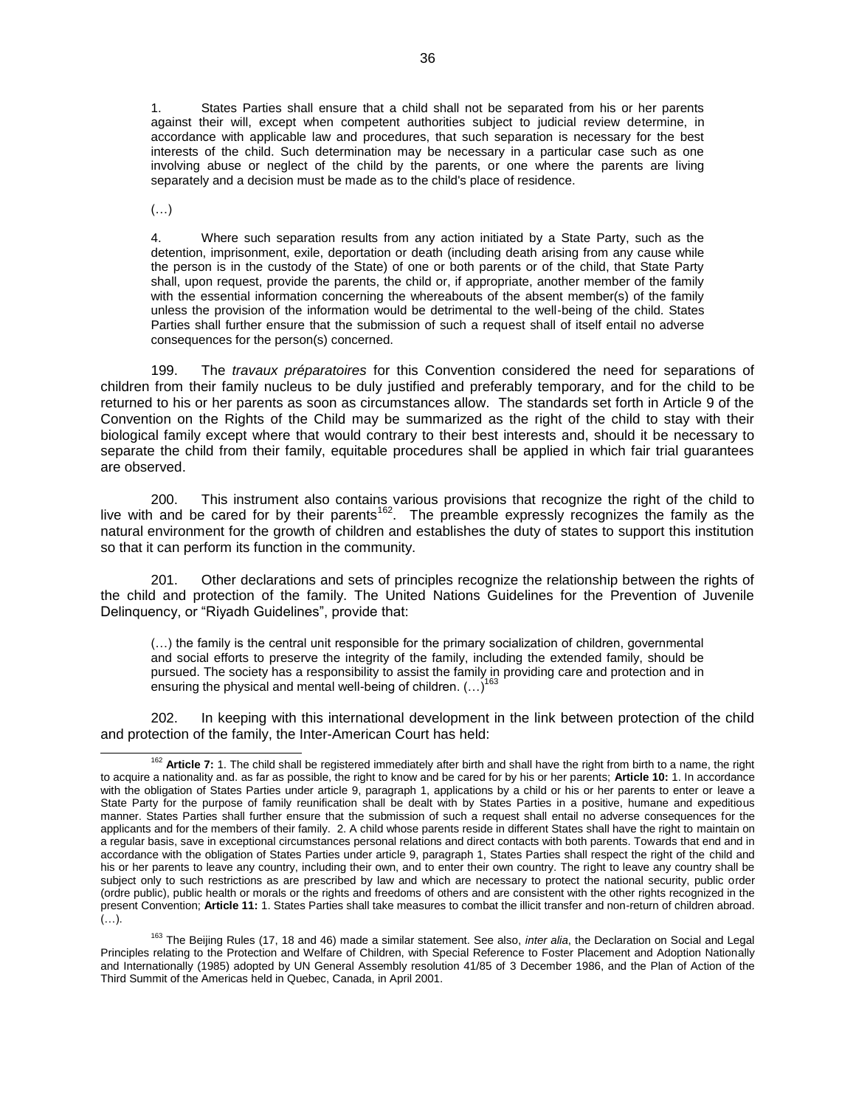1. States Parties shall ensure that a child shall not be separated from his or her parents against their will, except when competent authorities subject to judicial review determine, in accordance with applicable law and procedures, that such separation is necessary for the best interests of the child. Such determination may be necessary in a particular case such as one involving abuse or neglect of the child by the parents, or one where the parents are living separately and a decision must be made as to the child's place of residence.

 $(\ldots)$ 

4. Where such separation results from any action initiated by a State Party, such as the detention, imprisonment, exile, deportation or death (including death arising from any cause while the person is in the custody of the State) of one or both parents or of the child, that State Party shall, upon request, provide the parents, the child or, if appropriate, another member of the family with the essential information concerning the whereabouts of the absent member(s) of the family unless the provision of the information would be detrimental to the well-being of the child. States Parties shall further ensure that the submission of such a request shall of itself entail no adverse consequences for the person(s) concerned.

199. The *travaux préparatoires* for this Convention considered the need for separations of children from their family nucleus to be duly justified and preferably temporary, and for the child to be returned to his or her parents as soon as circumstances allow. The standards set forth in Article 9 of the Convention on the Rights of the Child may be summarized as the right of the child to stay with their biological family except where that would contrary to their best interests and, should it be necessary to separate the child from their family, equitable procedures shall be applied in which fair trial guarantees are observed.

200. This instrument also contains various provisions that recognize the right of the child to live with and be cared for by their parents<sup>162</sup>. The preamble expressly recognizes the family as the natural environment for the growth of children and establishes the duty of states to support this institution so that it can perform its function in the community.

201. Other declarations and sets of principles recognize the relationship between the rights of the child and protection of the family. The United Nations Guidelines for the Prevention of Juvenile Delinquency, or "Riyadh Guidelines", provide that:

(…) the family is the central unit responsible for the primary socialization of children, governmental and social efforts to preserve the integrity of the family, including the extended family, should be pursued. The society has a responsibility to assist the family in providing care and protection and in ensuring the physical and mental well-being of children.  $(...)$ <sup>163</sup>

202. In keeping with this international development in the link between protection of the child and protection of the family, the Inter-American Court has held:

l <sup>162</sup> Article 7: 1. The child shall be registered immediately after birth and shall have the right from birth to a name, the right to acquire a nationality and. as far as possible, the right to know and be cared for by his or her parents; **Article 10:** 1. In accordance with the obligation of States Parties under article 9, paragraph 1, applications by a child or his or her parents to enter or leave a State Party for the purpose of family reunification shall be dealt with by States Parties in a positive, humane and expeditious manner. States Parties shall further ensure that the submission of such a request shall entail no adverse consequences for the applicants and for the members of their family. 2. A child whose parents reside in different States shall have the right to maintain on a regular basis, save in exceptional circumstances personal relations and direct contacts with both parents. Towards that end and in accordance with the obligation of States Parties under article 9, paragraph 1, States Parties shall respect the right of the child and his or her parents to leave any country, including their own, and to enter their own country. The right to leave any country shall be subject only to such restrictions as are prescribed by law and which are necessary to protect the national security, public order (ordre public), public health or morals or the rights and freedoms of others and are consistent with the other rights recognized in the present Convention; **Article 11:** 1. States Parties shall take measures to combat the illicit transfer and non-return of children abroad. (…).

<sup>&</sup>lt;sup>163</sup> The Beijing Rules (17, 18 and 46) made a similar statement. See also, *inter alia*, the Declaration on Social and Legal Principles relating to the Protection and Welfare of Children, with Special Reference to Foster Placement and Adoption Nationally and Internationally (1985) adopted by UN General Assembly resolution 41/85 of 3 December 1986, and the Plan of Action of the Third Summit of the Americas held in Quebec, Canada, in April 2001.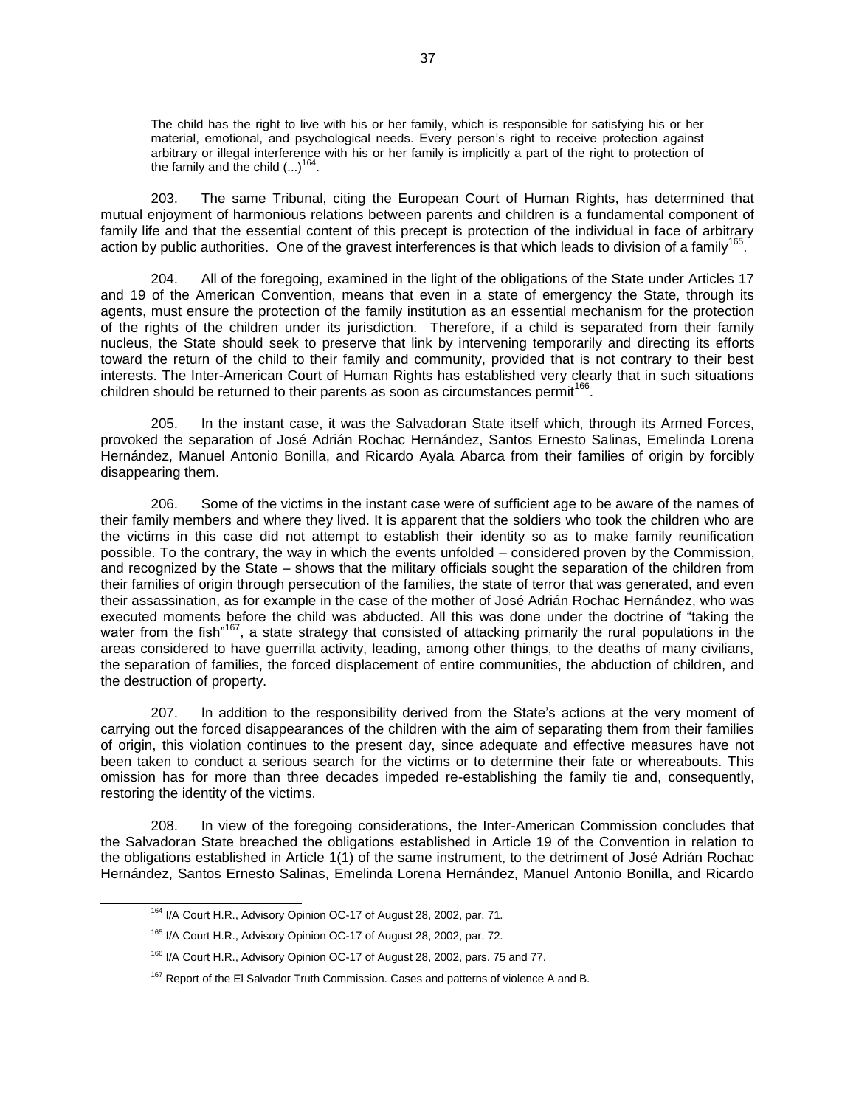The child has the right to live with his or her family, which is responsible for satisfying his or her material, emotional, and psychological needs. Every person's right to receive protection against arbitrary or illegal interference with his or her family is implicitly a part of the right to protection of the family and the child  $(...)$ <sup>164</sup>.

203. The same Tribunal, citing the European Court of Human Rights, has determined that mutual enjoyment of harmonious relations between parents and children is a fundamental component of family life and that the essential content of this precept is protection of the individual in face of arbitrary action by public authorities. One of the gravest interferences is that which leads to division of a family<sup>16</sup> .

204. All of the foregoing, examined in the light of the obligations of the State under Articles 17 and 19 of the American Convention, means that even in a state of emergency the State, through its agents, must ensure the protection of the family institution as an essential mechanism for the protection of the rights of the children under its jurisdiction. Therefore, if a child is separated from their family nucleus, the State should seek to preserve that link by intervening temporarily and directing its efforts toward the return of the child to their family and community, provided that is not contrary to their best interests. The Inter-American Court of Human Rights has established very clearly that in such situations children should be returned to their parents as soon as circumstances permit<sup>166</sup>.

205. In the instant case, it was the Salvadoran State itself which, through its Armed Forces, provoked the separation of José Adrián Rochac Hernández, Santos Ernesto Salinas, Emelinda Lorena Hernández, Manuel Antonio Bonilla, and Ricardo Ayala Abarca from their families of origin by forcibly disappearing them.

206. Some of the victims in the instant case were of sufficient age to be aware of the names of their family members and where they lived. It is apparent that the soldiers who took the children who are the victims in this case did not attempt to establish their identity so as to make family reunification possible. To the contrary, the way in which the events unfolded – considered proven by the Commission, and recognized by the State – shows that the military officials sought the separation of the children from their families of origin through persecution of the families, the state of terror that was generated, and even their assassination, as for example in the case of the mother of José Adrián Rochac Hernández, who was executed moments before the child was abducted. All this was done under the doctrine of "taking the water from the fish<sup>"167</sup>, a state strategy that consisted of attacking primarily the rural populations in the areas considered to have guerrilla activity, leading, among other things, to the deaths of many civilians, the separation of families, the forced displacement of entire communities, the abduction of children, and the destruction of property.

207. In addition to the responsibility derived from the State's actions at the very moment of carrying out the forced disappearances of the children with the aim of separating them from their families of origin, this violation continues to the present day, since adequate and effective measures have not been taken to conduct a serious search for the victims or to determine their fate or whereabouts. This omission has for more than three decades impeded re-establishing the family tie and, consequently, restoring the identity of the victims.

208. In view of the foregoing considerations, the Inter-American Commission concludes that the Salvadoran State breached the obligations established in Article 19 of the Convention in relation to the obligations established in Article 1(1) of the same instrument, to the detriment of José Adrián Rochac Hernández, Santos Ernesto Salinas, Emelinda Lorena Hernández, Manuel Antonio Bonilla, and Ricardo

l

<sup>164</sup> I/A Court H.R., Advisory Opinion OC-17 of August 28, 2002, par. 71.

<sup>&</sup>lt;sup>165</sup> I/A Court H.R., Advisory Opinion OC-17 of August 28, 2002, par. 72.

<sup>&</sup>lt;sup>166</sup> I/A Court H.R., Advisory Opinion OC-17 of August 28, 2002, pars. 75 and 77.

<sup>&</sup>lt;sup>167</sup> Report of the El Salvador Truth Commission. Cases and patterns of violence A and B.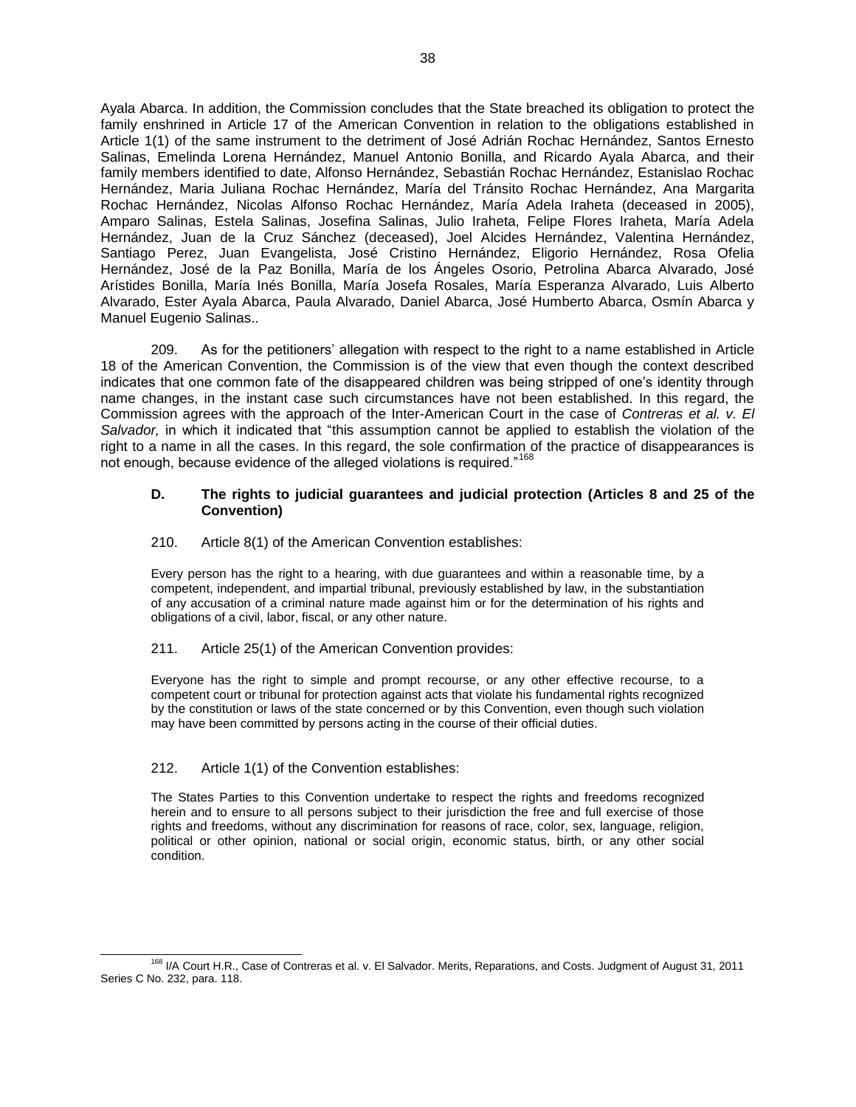Ayala Abarca. In addition, the Commission concludes that the State breached its obligation to protect the family enshrined in Article 17 of the American Convention in relation to the obligations established in Article 1(1) of the same instrument to the detriment of José Adrián Rochac Hernández, Santos Ernesto Salinas, Emelinda Lorena Hernández, Manuel Antonio Bonilla, and Ricardo Ayala Abarca, and their family members identified to date, Alfonso Hernández, Sebastián Rochac Hernández, Estanislao Rochac Hernández, Maria Juliana Rochac Hernández, María del Tránsito Rochac Hernández, Ana Margarita Rochac Hernández, Nicolas Alfonso Rochac Hernández, María Adela Iraheta (deceased in 2005), Amparo Salinas, Estela Salinas, Josefina Salinas, Julio Iraheta, Felipe Flores Iraheta, María Adela Hernández, Juan de la Cruz Sánchez (deceased), Joel Alcides Hernández, Valentina Hernández, Santiago Perez, Juan Evangelista, José Cristino Hernández, Eligorio Hernández, Rosa Ofelia Hernández, José de la Paz Bonilla, María de los Ángeles Osorio, Petrolina Abarca Alvarado, José Arístides Bonilla, María Inés Bonilla, María Josefa Rosales, María Esperanza Alvarado, Luis Alberto Alvarado, Ester Ayala Abarca, Paula Alvarado, Daniel Abarca, José Humberto Abarca, Osmín Abarca y Manuel Eugenio Salinas..

209. As for the petitioners' allegation with respect to the right to a name established in Article 18 of the American Convention, the Commission is of the view that even though the context described indicates that one common fate of the disappeared children was being stripped of one's identity through name changes, in the instant case such circumstances have not been established. In this regard, the Commission agrees with the approach of the Inter-American Court in the case of *Contreras et al. v. El*  Salvador, in which it indicated that "this assumption cannot be applied to establish the violation of the right to a name in all the cases. In this regard, the sole confirmation of the practice of disappearances is not enough, because evidence of the alleged violations is required."<sup>168</sup>

### **D. The rights to judicial guarantees and judicial protection (Articles 8 and 25 of the Convention)**

#### 210. Article 8(1) of the American Convention establishes:

Every person has the right to a hearing, with due guarantees and within a reasonable time, by a competent, independent, and impartial tribunal, previously established by law, in the substantiation of any accusation of a criminal nature made against him or for the determination of his rights and obligations of a civil, labor, fiscal, or any other nature.

#### 211. Article 25(1) of the American Convention provides:

Everyone has the right to simple and prompt recourse, or any other effective recourse, to a competent court or tribunal for protection against acts that violate his fundamental rights recognized by the constitution or laws of the state concerned or by this Convention, even though such violation may have been committed by persons acting in the course of their official duties.

#### 212. Article 1(1) of the Convention establishes:

The States Parties to this Convention undertake to respect the rights and freedoms recognized herein and to ensure to all persons subject to their jurisdiction the free and full exercise of those rights and freedoms, without any discrimination for reasons of race, color, sex, language, religion, political or other opinion, national or social origin, economic status, birth, or any other social condition.

l 168 I/A Court H.R., Case of Contreras et al. v. El Salvador. Merits, Reparations, and Costs. Judgment of August 31, 2011 Series C No. 232, para. 118.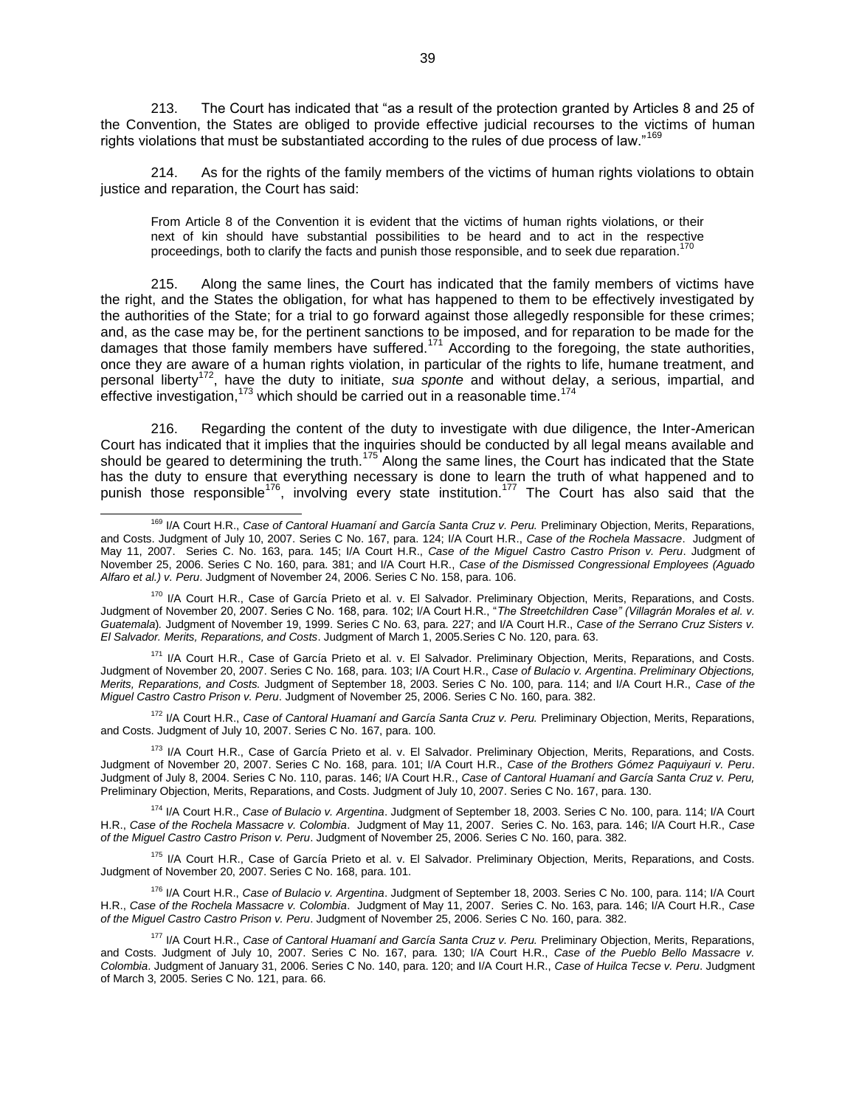213. The Court has indicated that "as a result of the protection granted by Articles 8 and 25 of the Convention, the States are obliged to provide effective judicial recourses to the victims of human rights violations that must be substantiated according to the rules of due process of law."<sup>169</sup>

214. As for the rights of the family members of the victims of human rights violations to obtain justice and reparation, the Court has said:

From Article 8 of the Convention it is evident that the victims of human rights violations, or their next of kin should have substantial possibilities to be heard and to act in the respective proceedings, both to clarify the facts and punish those responsible, and to seek due reparation.<sup>170</sup>

215. Along the same lines, the Court has indicated that the family members of victims have the right, and the States the obligation, for what has happened to them to be effectively investigated by the authorities of the State; for a trial to go forward against those allegedly responsible for these crimes; and, as the case may be, for the pertinent sanctions to be imposed, and for reparation to be made for the damages that those family members have suffered.<sup>171</sup> According to the foregoing, the state authorities, once they are aware of a human rights violation, in particular of the rights to life, humane treatment, and personal liberty<sup>172</sup>, have the duty to initiate, *sua sponte* and without delay, a serious, impartial, and effective investigation,  $173$  which should be carried out in a reasonable time.  $174$ 

216. Regarding the content of the duty to investigate with due diligence, the Inter-American Court has indicated that it implies that the inquiries should be conducted by all legal means available and should be geared to determining the truth.<sup>175</sup> Along the same lines, the Court has indicated that the State has the duty to ensure that everything necessary is done to learn the truth of what happened and to punish those responsible<sup>176</sup>, involving every state institution.<sup>177</sup> The Court has also said that the

 $\overline{a}$ 

171 I/A Court H.R., Case of García Prieto et al. v. El Salvador. Preliminary Objection, Merits, Reparations, and Costs. Judgment of November 20, 2007. Series C No. 168, para. 103; I/A Court H.R., *Case of Bulacio v. Argentina*. *Preliminary Objections, Merits, Reparations, and Costs.* Judgment of September 18, 2003. Series C No. 100, para. 114; and I/A Court H.R., *Case of the Miguel Castro Castro Prison v. Peru*. Judgment of November 25, 2006. Series C No. 160, para. 382.

<sup>172</sup> I/A Court H.R., *Case of Cantoral Huamaní and García Santa Cruz v. Peru.* Preliminary Objection, Merits, Reparations, and Costs. Judgment of July 10, 2007. Series C No. 167, para. 100.

173 I/A Court H.R., Case of García Prieto et al. v. El Salvador. Preliminary Objection, Merits, Reparations, and Costs. Judgment of November 20, 2007. Series C No. 168, para. 101; I/A Court H.R., *Case of the Brothers Gómez Paquiyauri v. Peru*. Judgment of July 8, 2004. Series C No. 110, paras. 146; I/A Court H.R., *Case of Cantoral Huamaní and García Santa Cruz v. Peru,* Preliminary Objection, Merits, Reparations, and Costs. Judgment of July 10, 2007. Series C No. 167, para. 130.

<sup>174</sup> I/A Court H.R., *Case of Bulacio v. Argentina*. Judgment of September 18, 2003. Series C No. 100, para. 114; I/A Court H.R., *Case of the Rochela Massacre v. Colombia*. Judgment of May 11, 2007. Series C. No. 163, para. 146; I/A Court H.R., *Case of the Miguel Castro Castro Prison v. Peru*. Judgment of November 25, 2006. Series C No. 160, para. 382.

175 I/A Court H.R., Case of García Prieto et al. v. El Salvador. Preliminary Objection, Merits, Reparations, and Costs. Judgment of November 20, 2007. Series C No. 168, para. 101.

<sup>176</sup> I/A Court H.R., *Case of Bulacio v. Argentina*. Judgment of September 18, 2003. Series C No. 100, para. 114; I/A Court H.R., *Case of the Rochela Massacre v. Colombia*. Judgment of May 11, 2007. Series C. No. 163, para. 146; I/A Court H.R., *Case of the Miguel Castro Castro Prison v. Peru*. Judgment of November 25, 2006. Series C No. 160, para. 382.

<sup>169</sup> I/A Court H.R., *Case of Cantoral Huamaní and García Santa Cruz v. Peru.* Preliminary Objection, Merits, Reparations, and Costs. Judgment of July 10, 2007. Series C No. 167, para. 124; I/A Court H.R., *Case of the Rochela Massacre*. Judgment of May 11, 2007. Series C. No. 163, para. 145; I/A Court H.R., *Case of the Miguel Castro Castro Prison v. Peru*. Judgment of November 25, 2006. Series C No. 160, para. 381; and I/A Court H.R., *Case of the Dismissed Congressional Employees (Aguado Alfaro et al.) v. Peru*. Judgment of November 24, 2006. Series C No. 158, para. 106.

<sup>&</sup>lt;sup>170</sup> I/A Court H.R., Case of García Prieto et al. v. El Salvador. Preliminary Objection, Merits, Reparations, and Costs. Judgment of November 20, 2007. Series C No. 168, para. 102; I/A Court H.R., "*The Streetchildren Case" (Villagrán Morales et al. v. Guatemala*)*.* Judgment of November 19, 1999. Series C No. 63, para. 227; and I/A Court H.R., *Case of the Serrano Cruz Sisters v. El Salvador. Merits, Reparations, and Costs*. Judgment of March 1, 2005.Series C No. 120, para. 63.

<sup>177</sup> I/A Court H.R., *Case of Cantoral Huamaní and García Santa Cruz v. Peru.* Preliminary Objection, Merits, Reparations, and Costs. Judgment of July 10, 2007. Series C No. 167, para. 130; I/A Court H.R., *Case of the Pueblo Bello Massacre v. Colombia*. Judgment of January 31, 2006. Series C No. 140, para. 120; and I/A Court H.R., *Case of Huilca Tecse v. Peru*. Judgment of March 3, 2005. Series C No. 121, para. 66.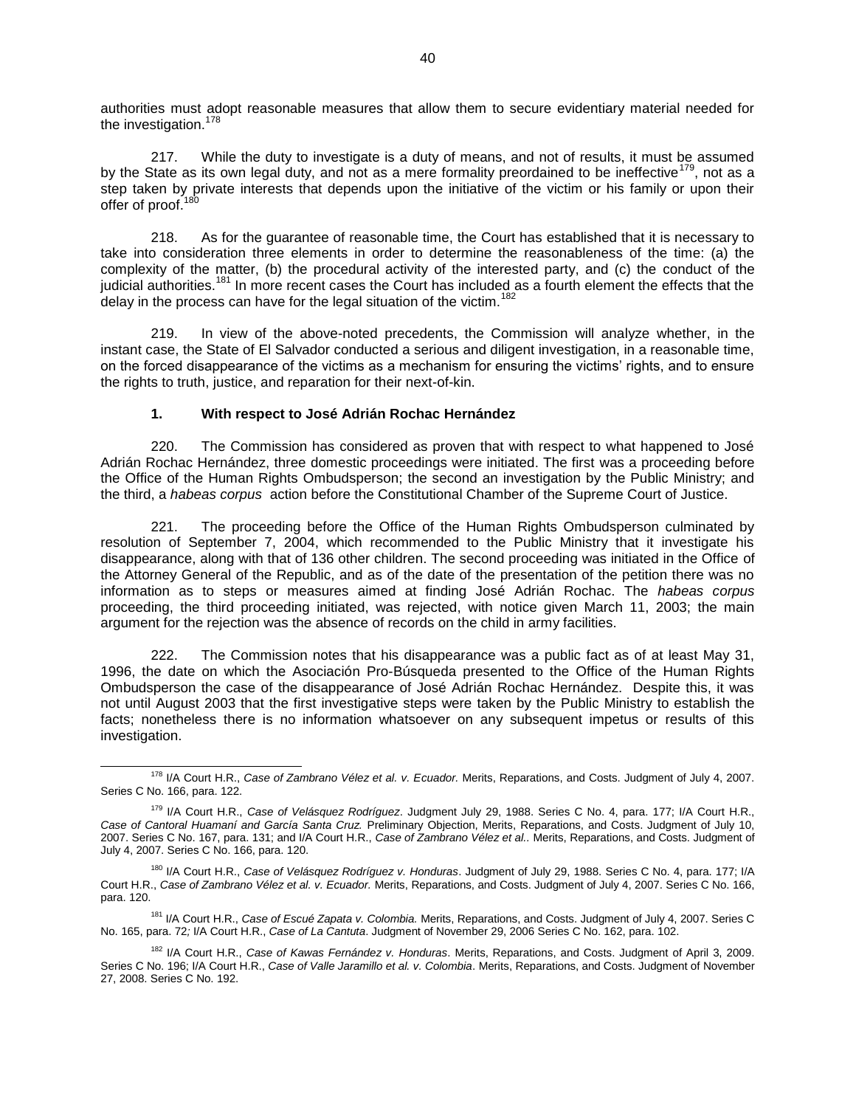authorities must adopt reasonable measures that allow them to secure evidentiary material needed for the investigation.<sup>178</sup>

217. While the duty to investigate is a duty of means, and not of results, it must be assumed by the State as its own legal duty, and not as a mere formality preordained to be ineffective<sup>179</sup>, not as a step taken by private interests that depends upon the initiative of the victim or his family or upon their offer of proof.<sup>180</sup>

218. As for the guarantee of reasonable time, the Court has established that it is necessary to take into consideration three elements in order to determine the reasonableness of the time: (a) the complexity of the matter, (b) the procedural activity of the interested party, and (c) the conduct of the judicial authorities.<sup>181</sup> In more recent cases the Court has included as a fourth element the effects that the delay in the process can have for the legal situation of the victim.<sup>182</sup>

219. In view of the above-noted precedents, the Commission will analyze whether, in the instant case, the State of El Salvador conducted a serious and diligent investigation, in a reasonable time, on the forced disappearance of the victims as a mechanism for ensuring the victims' rights, and to ensure the rights to truth, justice, and reparation for their next-of-kin.

### **1. With respect to José Adrián Rochac Hernández**

 $\overline{a}$ 

220. The Commission has considered as proven that with respect to what happened to José Adrián Rochac Hernández, three domestic proceedings were initiated. The first was a proceeding before the Office of the Human Rights Ombudsperson; the second an investigation by the Public Ministry; and the third, a *habeas corpus* action before the Constitutional Chamber of the Supreme Court of Justice.

221. The proceeding before the Office of the Human Rights Ombudsperson culminated by resolution of September 7, 2004, which recommended to the Public Ministry that it investigate his disappearance, along with that of 136 other children. The second proceeding was initiated in the Office of the Attorney General of the Republic, and as of the date of the presentation of the petition there was no information as to steps or measures aimed at finding José Adrián Rochac. The *habeas corpus* proceeding, the third proceeding initiated, was rejected, with notice given March 11, 2003; the main argument for the rejection was the absence of records on the child in army facilities.

222. The Commission notes that his disappearance was a public fact as of at least May 31, 1996, the date on which the Asociación Pro-Búsqueda presented to the Office of the Human Rights Ombudsperson the case of the disappearance of José Adrián Rochac Hernández. Despite this, it was not until August 2003 that the first investigative steps were taken by the Public Ministry to establish the facts; nonetheless there is no information whatsoever on any subsequent impetus or results of this investigation.

<sup>181</sup> I/A Court H.R., *Case of Escué Zapata v. Colombia.* Merits, Reparations, and Costs. Judgment of July 4, 2007. Series C No. 165, para. 72*;* I/A Court H.R., *Case of La Cantuta*. Judgment of November 29, 2006 Series C No. 162, para. 102.

<sup>182</sup> I/A Court H.R., *Case of Kawas Fernández v. Honduras*. Merits, Reparations, and Costs. Judgment of April 3, 2009. Series C No. 196; I/A Court H.R., *Case of Valle Jaramillo et al. v. Colombia*. Merits, Reparations, and Costs. Judgment of November 27, 2008. Series C No. 192.

<sup>178</sup> I/A Court H.R., *Case of Zambrano Vélez et al. v. Ecuador.* Merits, Reparations, and Costs. Judgment of July 4, 2007. Series C No. 166, para. 122.

<sup>179</sup> I/A Court H.R., *Case of Velásquez Rodríguez*. Judgment July 29, 1988. Series C No. 4, para. 177; I/A Court H.R., *Case of Cantoral Huamaní and García Santa Cruz.* Preliminary Objection, Merits, Reparations, and Costs. Judgment of July 10, 2007. Series C No. 167, para. 131; and I/A Court H.R., *Case of Zambrano Vélez et al..* Merits, Reparations, and Costs. Judgment of July 4, 2007. Series C No. 166, para. 120.

<sup>180</sup> I/A Court H.R., *Case of Velásquez Rodríguez v. Honduras*. Judgment of July 29, 1988. Series C No. 4, para. 177; I/A Court H.R., *Case of Zambrano Vélez et al. v. Ecuador.* Merits, Reparations, and Costs. Judgment of July 4, 2007. Series C No. 166, para. 120.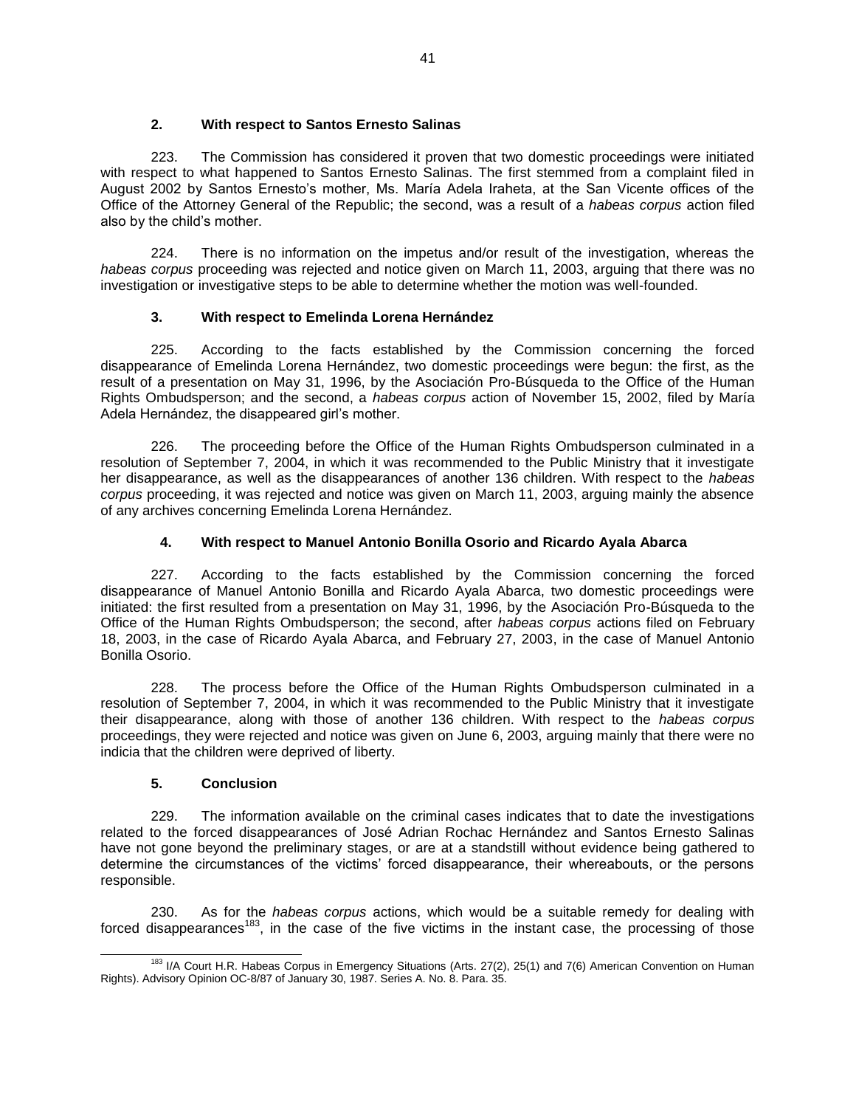## **2. With respect to Santos Ernesto Salinas**

223. The Commission has considered it proven that two domestic proceedings were initiated with respect to what happened to Santos Ernesto Salinas. The first stemmed from a complaint filed in August 2002 by Santos Ernesto's mother, Ms. María Adela Iraheta, at the San Vicente offices of the Office of the Attorney General of the Republic; the second, was a result of a *habeas corpus* action filed also by the child's mother.

224. There is no information on the impetus and/or result of the investigation, whereas the *habeas corpus* proceeding was rejected and notice given on March 11, 2003, arguing that there was no investigation or investigative steps to be able to determine whether the motion was well-founded.

## **3. With respect to Emelinda Lorena Hernández**

225. According to the facts established by the Commission concerning the forced disappearance of Emelinda Lorena Hernández, two domestic proceedings were begun: the first, as the result of a presentation on May 31, 1996, by the Asociación Pro-Búsqueda to the Office of the Human Rights Ombudsperson; and the second, a *habeas corpus* action of November 15, 2002, filed by María Adela Hernández, the disappeared girl's mother.

226. The proceeding before the Office of the Human Rights Ombudsperson culminated in a resolution of September 7, 2004, in which it was recommended to the Public Ministry that it investigate her disappearance, as well as the disappearances of another 136 children. With respect to the *habeas corpus* proceeding, it was rejected and notice was given on March 11, 2003, arguing mainly the absence of any archives concerning Emelinda Lorena Hernández.

## **4. With respect to Manuel Antonio Bonilla Osorio and Ricardo Ayala Abarca**

227. According to the facts established by the Commission concerning the forced disappearance of Manuel Antonio Bonilla and Ricardo Ayala Abarca, two domestic proceedings were initiated: the first resulted from a presentation on May 31, 1996, by the Asociación Pro-Búsqueda to the Office of the Human Rights Ombudsperson; the second, after *habeas corpus* actions filed on February 18, 2003, in the case of Ricardo Ayala Abarca, and February 27, 2003, in the case of Manuel Antonio Bonilla Osorio.

228. The process before the Office of the Human Rights Ombudsperson culminated in a resolution of September 7, 2004, in which it was recommended to the Public Ministry that it investigate their disappearance, along with those of another 136 children. With respect to the *habeas corpus*  proceedings, they were rejected and notice was given on June 6, 2003, arguing mainly that there were no indicia that the children were deprived of liberty.

## **5. Conclusion**

229. The information available on the criminal cases indicates that to date the investigations related to the forced disappearances of José Adrian Rochac Hernández and Santos Ernesto Salinas have not gone beyond the preliminary stages, or are at a standstill without evidence being gathered to determine the circumstances of the victims' forced disappearance, their whereabouts, or the persons responsible.

230. As for the *habeas corpus* actions, which would be a suitable remedy for dealing with forced disappearances<sup>183</sup>, in the case of the five victims in the instant case, the processing of those

l 183 I/A Court H.R. Habeas Corpus in Emergency Situations (Arts. 27(2), 25(1) and 7(6) American Convention on Human Rights). Advisory Opinion OC-8/87 of January 30, 1987. Series A. No. 8. Para. 35.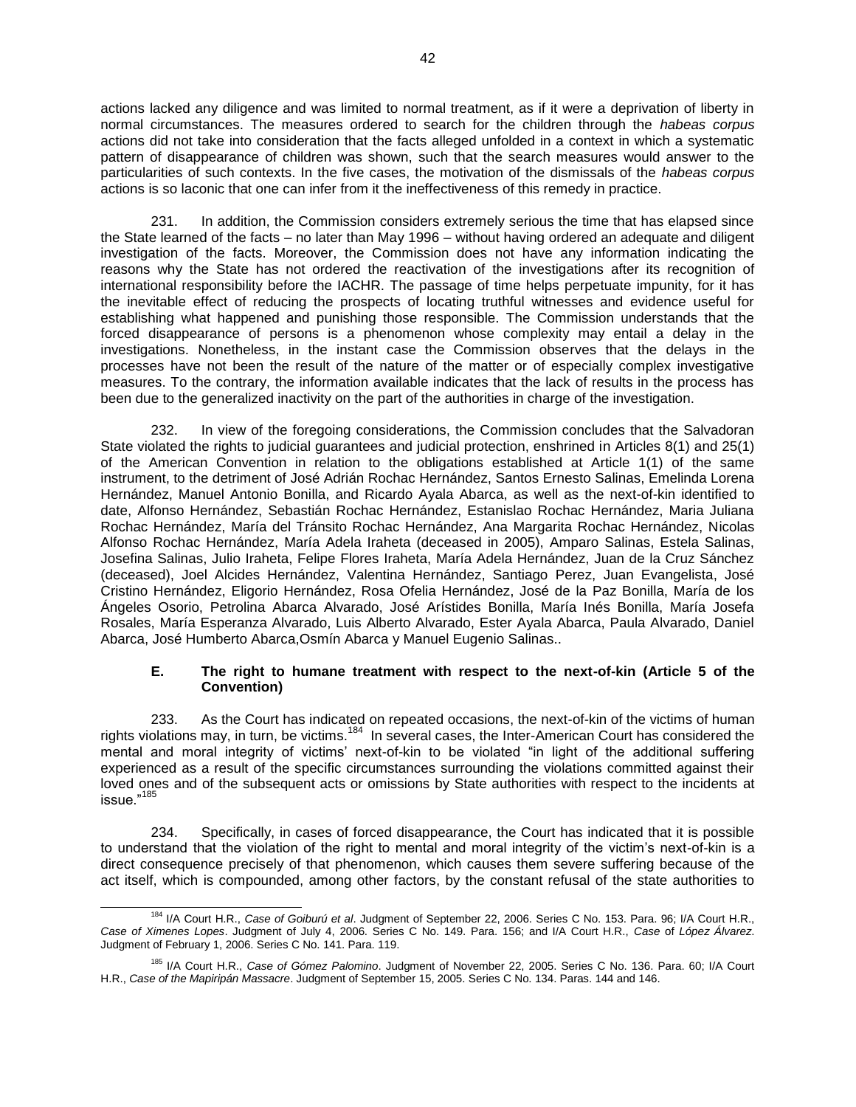actions lacked any diligence and was limited to normal treatment, as if it were a deprivation of liberty in normal circumstances. The measures ordered to search for the children through the *habeas corpus* actions did not take into consideration that the facts alleged unfolded in a context in which a systematic pattern of disappearance of children was shown, such that the search measures would answer to the particularities of such contexts. In the five cases, the motivation of the dismissals of the *habeas corpus*  actions is so laconic that one can infer from it the ineffectiveness of this remedy in practice.

231. In addition, the Commission considers extremely serious the time that has elapsed since the State learned of the facts – no later than May 1996 – without having ordered an adequate and diligent investigation of the facts. Moreover, the Commission does not have any information indicating the reasons why the State has not ordered the reactivation of the investigations after its recognition of international responsibility before the IACHR. The passage of time helps perpetuate impunity, for it has the inevitable effect of reducing the prospects of locating truthful witnesses and evidence useful for establishing what happened and punishing those responsible. The Commission understands that the forced disappearance of persons is a phenomenon whose complexity may entail a delay in the investigations. Nonetheless, in the instant case the Commission observes that the delays in the processes have not been the result of the nature of the matter or of especially complex investigative measures. To the contrary, the information available indicates that the lack of results in the process has been due to the generalized inactivity on the part of the authorities in charge of the investigation.

232. In view of the foregoing considerations, the Commission concludes that the Salvadoran State violated the rights to judicial guarantees and judicial protection, enshrined in Articles 8(1) and 25(1) of the American Convention in relation to the obligations established at Article 1(1) of the same instrument, to the detriment of José Adrián Rochac Hernández, Santos Ernesto Salinas, Emelinda Lorena Hernández, Manuel Antonio Bonilla, and Ricardo Ayala Abarca, as well as the next-of-kin identified to date, Alfonso Hernández, Sebastián Rochac Hernández, Estanislao Rochac Hernández, Maria Juliana Rochac Hernández, María del Tránsito Rochac Hernández, Ana Margarita Rochac Hernández, Nicolas Alfonso Rochac Hernández, María Adela Iraheta (deceased in 2005), Amparo Salinas, Estela Salinas, Josefina Salinas, Julio Iraheta, Felipe Flores Iraheta, María Adela Hernández, Juan de la Cruz Sánchez (deceased), Joel Alcides Hernández, Valentina Hernández, Santiago Perez, Juan Evangelista, José Cristino Hernández, Eligorio Hernández, Rosa Ofelia Hernández, José de la Paz Bonilla, María de los Ángeles Osorio, Petrolina Abarca Alvarado, José Arístides Bonilla, María Inés Bonilla, María Josefa Rosales, María Esperanza Alvarado, Luis Alberto Alvarado, Ester Ayala Abarca, Paula Alvarado, Daniel Abarca, José Humberto Abarca,Osmín Abarca y Manuel Eugenio Salinas..

### **E. The right to humane treatment with respect to the next-of-kin (Article 5 of the Convention)**

233. As the Court has indicated on repeated occasions, the next-of-kin of the victims of human rights violations may, in turn, be victims.<sup>184</sup> In several cases, the Inter-American Court has considered the mental and moral integrity of victims' next-of-kin to be violated "in light of the additional suffering experienced as a result of the specific circumstances surrounding the violations committed against their loved ones and of the subsequent acts or omissions by State authorities with respect to the incidents at issue."<sup>185</sup>

234. Specifically, in cases of forced disappearance, the Court has indicated that it is possible to understand that the violation of the right to mental and moral integrity of the victim's next-of-kin is a direct consequence precisely of that phenomenon, which causes them severe suffering because of the act itself, which is compounded, among other factors, by the constant refusal of the state authorities to

l <sup>184</sup> I/A Court H.R., *Case of Goiburú et al*. Judgment of September 22, 2006. Series C No. 153. Para. 96; I/A Court H.R., *Case of Ximenes Lopes*. Judgment of July 4, 2006. Series C No. 149. Para. 156; and I/A Court H.R., *Case* of *López Álvarez*. Judgment of February 1, 2006. Series C No. 141. Para. 119.

<sup>185</sup> I/A Court H.R., *Case of Gómez Palomino*. Judgment of November 22, 2005. Series C No. 136. Para. 60; I/A Court H.R., *Case of the Mapiripán Massacre*. Judgment of September 15, 2005. Series C No. 134. Paras. 144 and 146.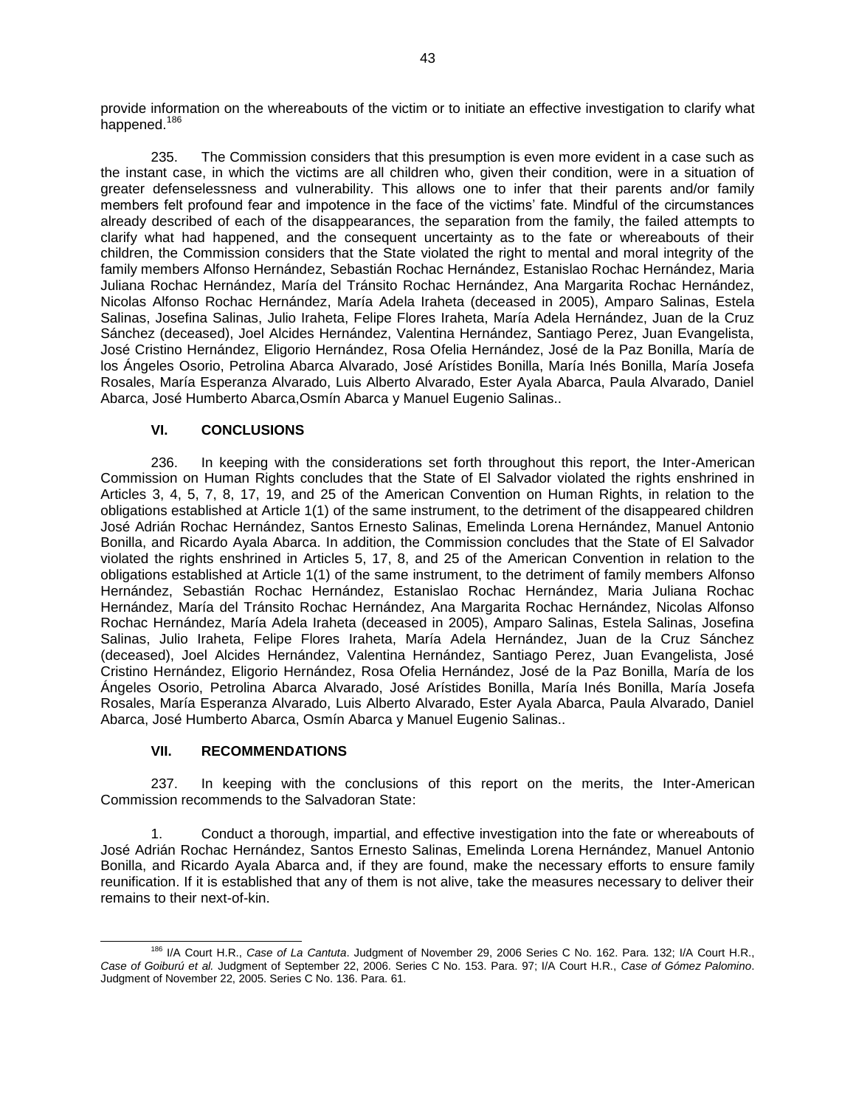provide information on the whereabouts of the victim or to initiate an effective investigation to clarify what happened.<sup>186</sup>

235. The Commission considers that this presumption is even more evident in a case such as the instant case, in which the victims are all children who, given their condition, were in a situation of greater defenselessness and vulnerability. This allows one to infer that their parents and/or family members felt profound fear and impotence in the face of the victims' fate. Mindful of the circumstances already described of each of the disappearances, the separation from the family, the failed attempts to clarify what had happened, and the consequent uncertainty as to the fate or whereabouts of their children, the Commission considers that the State violated the right to mental and moral integrity of the family members Alfonso Hernández, Sebastián Rochac Hernández, Estanislao Rochac Hernández, Maria Juliana Rochac Hernández, María del Tránsito Rochac Hernández, Ana Margarita Rochac Hernández, Nicolas Alfonso Rochac Hernández, María Adela Iraheta (deceased in 2005), Amparo Salinas, Estela Salinas, Josefina Salinas, Julio Iraheta, Felipe Flores Iraheta, María Adela Hernández, Juan de la Cruz Sánchez (deceased), Joel Alcides Hernández, Valentina Hernández, Santiago Perez, Juan Evangelista, José Cristino Hernández, Eligorio Hernández, Rosa Ofelia Hernández, José de la Paz Bonilla, María de los Ángeles Osorio, Petrolina Abarca Alvarado, José Arístides Bonilla, María Inés Bonilla, María Josefa Rosales, María Esperanza Alvarado, Luis Alberto Alvarado, Ester Ayala Abarca, Paula Alvarado, Daniel Abarca, José Humberto Abarca,Osmín Abarca y Manuel Eugenio Salinas..

## **VI. CONCLUSIONS**

236. In keeping with the considerations set forth throughout this report, the Inter-American Commission on Human Rights concludes that the State of El Salvador violated the rights enshrined in Articles 3, 4, 5, 7, 8, 17, 19, and 25 of the American Convention on Human Rights, in relation to the obligations established at Article 1(1) of the same instrument, to the detriment of the disappeared children José Adrián Rochac Hernández, Santos Ernesto Salinas, Emelinda Lorena Hernández, Manuel Antonio Bonilla, and Ricardo Ayala Abarca. In addition, the Commission concludes that the State of El Salvador violated the rights enshrined in Articles 5, 17, 8, and 25 of the American Convention in relation to the obligations established at Article 1(1) of the same instrument, to the detriment of family members Alfonso Hernández, Sebastián Rochac Hernández, Estanislao Rochac Hernández, Maria Juliana Rochac Hernández, María del Tránsito Rochac Hernández, Ana Margarita Rochac Hernández, Nicolas Alfonso Rochac Hernández, María Adela Iraheta (deceased in 2005), Amparo Salinas, Estela Salinas, Josefina Salinas, Julio Iraheta, Felipe Flores Iraheta, María Adela Hernández, Juan de la Cruz Sánchez (deceased), Joel Alcides Hernández, Valentina Hernández, Santiago Perez, Juan Evangelista, José Cristino Hernández, Eligorio Hernández, Rosa Ofelia Hernández, José de la Paz Bonilla, María de los Ángeles Osorio, Petrolina Abarca Alvarado, José Arístides Bonilla, María Inés Bonilla, María Josefa Rosales, María Esperanza Alvarado, Luis Alberto Alvarado, Ester Ayala Abarca, Paula Alvarado, Daniel Abarca, José Humberto Abarca, Osmín Abarca y Manuel Eugenio Salinas..

### **VII. RECOMMENDATIONS**

237. In keeping with the conclusions of this report on the merits, the Inter-American Commission recommends to the Salvadoran State:

1. Conduct a thorough, impartial, and effective investigation into the fate or whereabouts of José Adrián Rochac Hernández, Santos Ernesto Salinas, Emelinda Lorena Hernández, Manuel Antonio Bonilla, and Ricardo Ayala Abarca and, if they are found, make the necessary efforts to ensure family reunification. If it is established that any of them is not alive, take the measures necessary to deliver their remains to their next-of-kin.

 $\overline{a}$ <sup>186</sup> I/A Court H.R., *Case of La Cantuta*. Judgment of November 29, 2006 Series C No. 162. Para. 132; I/A Court H.R., *Case of Goiburú et al.* Judgment of September 22, 2006. Series C No. 153. Para. 97; I/A Court H.R., *Case of Gómez Palomino*. Judgment of November 22, 2005. Series C No. 136. Para. 61.